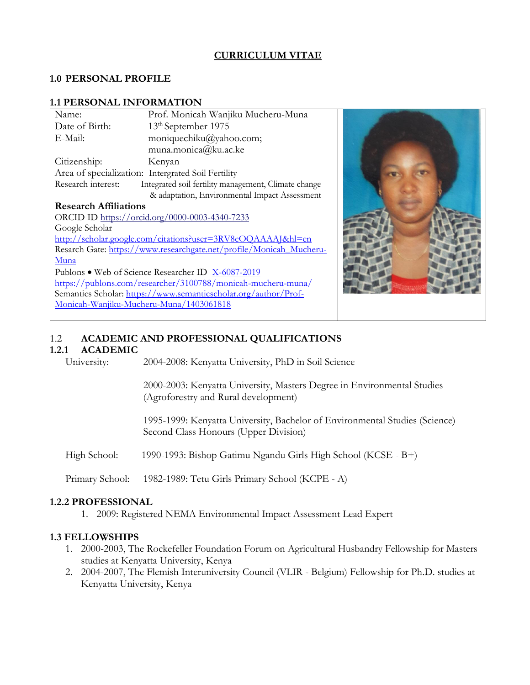## **CURRICULUM VITAE**

#### **1.0 PERSONAL PROFILE**

#### **1.1 PERSONAL INFORMATION**

| Name:                                                               | Prof. Monicah Wanjiku Mucheru-Muna                   |  |  |
|---------------------------------------------------------------------|------------------------------------------------------|--|--|
| Date of Birth:                                                      | 13 <sup>th</sup> September 1975                      |  |  |
| E-Mail:                                                             | moniquechiku@yahoo.com;                              |  |  |
|                                                                     | muna.monica@ku.ac.ke                                 |  |  |
| Citizenship:                                                        | Kenyan                                               |  |  |
| Area of specialization: Intergrated Soil Fertility                  |                                                      |  |  |
| Research interest:                                                  | Integrated soil fertility management, Climate change |  |  |
|                                                                     | & adaptation, Environmental Impact Assessment        |  |  |
| <b>Research Affiliations</b>                                        |                                                      |  |  |
| ORCID ID https://orcid.org/0000-0003-4340-7233                      |                                                      |  |  |
| Google Scholar                                                      |                                                      |  |  |
| http://scholar.google.com/citations?user=3RV8cOQAAAAJ&hl=en         |                                                      |  |  |
| Resarch Gate: https://www.researchgate.net/profile/Monicah Mucheru- |                                                      |  |  |
| Muna                                                                |                                                      |  |  |
| Publons • Web of Science Researcher ID X-6087-2019                  |                                                      |  |  |
| https://publons.com/researcher/3100788/monicah-mucheru-muna/        |                                                      |  |  |
| Semantics Scholar: https://www.semanticscholar.org/author/Prof-     |                                                      |  |  |
| Monicah-Wanjiku-Mucheru-Muna/1403061818                             |                                                      |  |  |



## 1.2 **ACADEMIC AND PROFESSIONAL QUALIFICATIONS**

#### **1.2.1 ACADEMIC**

University: 2004-2008: Kenyatta University, PhD in Soil Science

2000-2003: Kenyatta University, Masters Degree in Environmental Studies (Agroforestry and Rural development)

1995-1999: Kenyatta University, Bachelor of Environmental Studies (Science) Second Class Honours (Upper Division)

High School: 1990-1993: Bishop Gatimu Ngandu Girls High School (KCSE - B+)

Primary School: 1982-1989: Tetu Girls Primary School (KCPE - A)

#### **1.2.2 PROFESSIONAL**

1. 2009: Registered NEMA Environmental Impact Assessment Lead Expert

#### **1.3 FELLOWSHIPS**

- 1. 2000-2003, The Rockefeller Foundation Forum on Agricultural Husbandry Fellowship for Masters studies at Kenyatta University, Kenya
- 2. 2004-2007, The Flemish Interuniversity Council (VLIR Belgium) Fellowship for Ph.D. studies at Kenyatta University, Kenya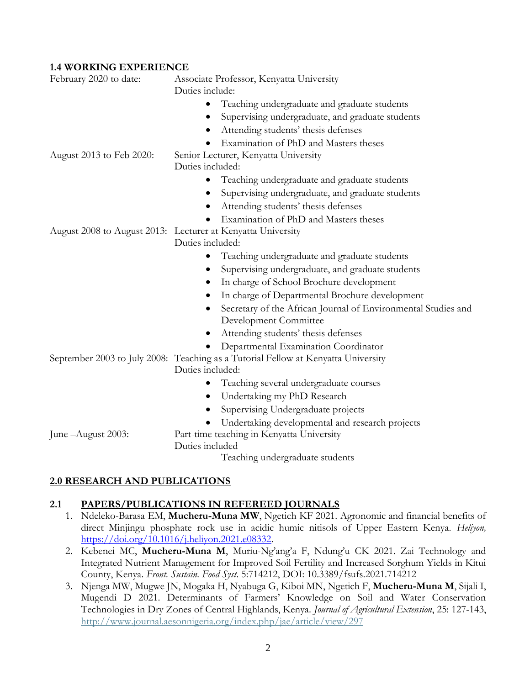#### **1.4 WORKING EXPERIENCE**

| February 2020 to date:   | Associate Professor, Kenyatta University<br>Duties include:                            |
|--------------------------|----------------------------------------------------------------------------------------|
|                          | Teaching undergraduate and graduate students                                           |
|                          | Supervising undergraduate, and graduate students<br>٠                                  |
|                          | Attending students' thesis defenses                                                    |
|                          | Examination of PhD and Masters theses                                                  |
| August 2013 to Feb 2020: | Senior Lecturer, Kenyatta University                                                   |
|                          | Duties included:                                                                       |
|                          | Teaching undergraduate and graduate students<br>$\bullet$                              |
|                          | Supervising undergraduate, and graduate students<br>$\bullet$                          |
|                          | Attending students' thesis defenses                                                    |
|                          | Examination of PhD and Masters theses                                                  |
|                          | August 2008 to August 2013: Lecturer at Kenyatta University                            |
|                          | Duties included:                                                                       |
|                          | Teaching undergraduate and graduate students<br>$\bullet$                              |
|                          | Supervising undergraduate, and graduate students<br>$\bullet$                          |
|                          | In charge of School Brochure development                                               |
|                          | In charge of Departmental Brochure development                                         |
|                          | Secretary of the African Journal of Environmental Studies and<br>Development Committee |
|                          | Attending students' thesis defenses<br>٠                                               |
|                          | Departmental Examination Coordinator                                                   |
|                          | September 2003 to July 2008: Teaching as a Tutorial Fellow at Kenyatta University      |
|                          | Duties included:                                                                       |
|                          | Teaching several undergraduate courses<br>$\bullet$                                    |
|                          | Undertaking my PhD Research<br>$\bullet$                                               |
|                          | Supervising Undergraduate projects                                                     |
|                          | Undertaking developmental and research projects                                        |
| June - August 2003:      | Part-time teaching in Kenyatta University                                              |
|                          | Duties included                                                                        |
|                          | Teaching undergraduate students                                                        |

## **2.0 RESEARCH AND PUBLICATIONS**

#### **2.1 PAPERS/PUBLICATIONS IN REFEREED JOURNALS**

- 1. Ndeleko-Barasa EM, **Mucheru-Muna MW**, Ngetich KF 2021. Agronomic and financial benefits of direct Minjingu phosphate rock use in acidic humic nitisols of Upper Eastern Kenya. *Heliyon,* [https://doi.org/10.1016/j.heliyon.2021.e08332.](https://doi.org/10.1016/j.heliyon.2021.e08332)
- 2. Kebenei MC, **Mucheru-Muna M**, Muriu-Ng'ang'a F, Ndung'u CK 2021. Zai Technology and Integrated Nutrient Management for Improved Soil Fertility and Increased Sorghum Yields in Kitui County, Kenya. *Front. Sustain. Food Syst*. 5:714212, DOI: 10.3389/fsufs.2021.714212
- 3. Njenga MW, Mugwe JN, Mogaka H, Nyabuga G, Kiboi MN, Ngetich F, **Mucheru-Muna M**, Sijali I, Mugendi D 2021. Determinants of Farmers' Knowledge on Soil and Water Conservation Technologies in Dry Zones of Central Highlands, Kenya. *Journal of Agricultural Extension*, 25: 127-143, [http://www.journal.aesonnigeria.org/index.php/jae/article/view/297](http://www.journal.aesonnigeria.org/index.php/jae/article/view/2972)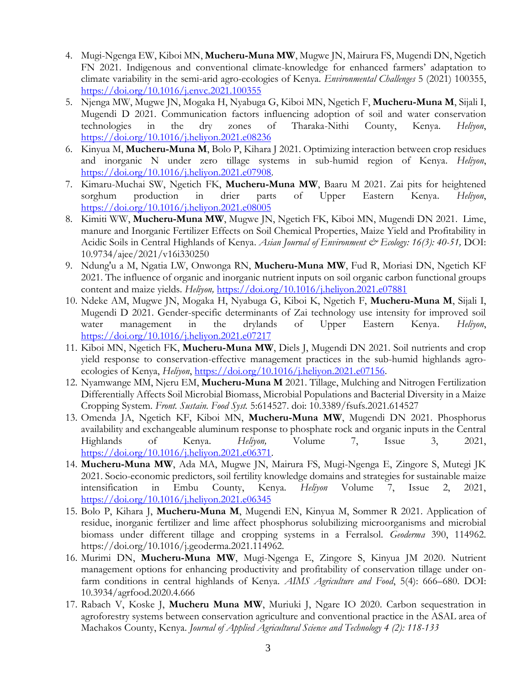- 4. Mugi-Ngenga EW, Kiboi MN, **Mucheru-Muna MW**, Mugwe JN, Mairura FS, Mugendi DN, Ngetich FN 2021. Indigenous and conventional climate-knowledge for enhanced farmers' adaptation to climate variability in the semi-arid agro-ecologies of Kenya. *Environmental Challenges* 5 (2021) 100355, <https://doi.org/10.1016/j.envc.2021.100355>
- 5. Njenga MW, Mugwe JN, Mogaka H, Nyabuga G, Kiboi MN, Ngetich F, **Mucheru-Muna M**, Sijali I, Mugendi D 2021. Communication factors influencing adoption of soil and water conservation technologies in the dry zones of Tharaka-Nithi County, Kenya. *Heliyon*, <https://doi.org/10.1016/j.heliyon.2021.e08236>
- 6. Kinyua M, **Mucheru-Muna M**, Bolo P, Kihara J 2021. Optimizing interaction between crop residues and inorganic N under zero tillage systems in sub-humid region of Kenya. *Heliyon*, [https://doi.org/10.1016/j.heliyon.2021.e07908.](https://doi.org/10.1016/j.heliyon.2021.e07908)
- 7. Kimaru-Muchai SW, Ngetich FK, **Mucheru-Muna MW**, Baaru M 2021. Zai pits for heightened sorghum production in drier parts of Upper Eastern Kenya. *Heliyon*, <https://doi.org/10.1016/j.heliyon.2021.e08005>
- 8. Kimiti WW, **Mucheru-Muna MW**, Mugwe JN, Ngetich FK, Kiboi MN, Mugendi DN 2021. Lime, manure and Inorganic Fertilizer Effects on Soil Chemical Properties, Maize Yield and Profitability in Acidic Soils in Central Highlands of Kenya. *Asian Journal of Environment & Ecology: 16(3): 40-51,* DOI: 10.9734/ajee/2021/v16i330250
- 9. Ndung'u a M, Ngatia LW, Onwonga RN, **Mucheru-Muna MW**, Fud R, Moriasi DN, Ngetich KF 2021. The influence of organic and inorganic nutrient inputs on soil organic carbon functional groups content and maize yields. *Heliyon,* <https://doi.org/10.1016/j.heliyon.2021.e07881>
- 10. Ndeke AM, Mugwe JN, Mogaka H, Nyabuga G, Kiboi K, Ngetich F, **Mucheru-Muna M**, Sijali I, Mugendi D 2021. Gender-specific determinants of Zai technology use intensity for improved soil water management in the drylands of Upper Eastern Kenya. *Heliyon*, <https://doi.org/10.1016/j.heliyon.2021.e07217>
- 11. Kiboi MN, Ngetich FK, **Mucheru-Muna MW**, Diels J, Mugendi DN 2021. Soil nutrients and crop yield response to conservation-effective management practices in the sub-humid highlands agroecologies of Kenya, *Heliyon*, [https://doi.org/10.1016/j.heliyon.2021.e07156.](https://doi.org/10.1016/j.heliyon.2021.e07156)
- 12. Nyamwange MM, Njeru EM, **Mucheru-Muna M** 2021. Tillage, Mulching and Nitrogen Fertilization Differentially Affects Soil Microbial Biomass, Microbial Populations and Bacterial Diversity in a Maize Cropping System. *Front. Sustain. Food Syst.* 5:614527. doi: 10.3389/fsufs.2021.614527
- 13. Omenda JA, Ngetich KF, Kiboi MN, **Mucheru-Muna MW**, Mugendi DN 2021. Phosphorus availability and exchangeable aluminum response to phosphate rock and organic inputs in the Central Highlands of Kenya. *Heliyon,* Volume 7, Issue 3, 2021, [https://doi.org/10.1016/j.heliyon.2021.e06371.](https://doi.org/10.1016/j.heliyon.2021.e06371)
- 14. **Mucheru-Muna MW**, Ada MA, Mugwe JN, Mairura FS, Mugi-Ngenga E, Zingore S, Mutegi JK 2021. Socio-economic predictors, soil fertility knowledge domains and strategies for sustainable maize intensification in Embu County, Kenya. *Heliyon* Volume 7, Issue 2, 2021, <https://doi.org/10.1016/j.heliyon.2021.e06345>
- 15. Bolo P, Kihara J, **Mucheru-Muna M**, Mugendi EN, Kinyua M, Sommer R 2021. Application of residue, inorganic fertilizer and lime affect phosphorus solubilizing microorganisms and microbial biomass under different tillage and cropping systems in a Ferralsol. *Geoderma* 390, 114962. https://doi.org/10.1016/j.geoderma.2021.114962.
- 16. Murimi DN, **Mucheru-Muna MW**, Mugi-Ngenga E, Zingore S, Kinyua JM 2020. Nutrient management options for enhancing productivity and profitability of conservation tillage under onfarm conditions in central highlands of Kenya. *AIMS Agriculture and Food*, 5(4): 666–680. DOI: 10.3934/agrfood.2020.4.666
- 17. Rabach V, Koske J, **Mucheru Muna MW**, Muriuki J, Ngare IO 2020. Carbon sequestration in agroforestry systems between conservation agriculture and conventional practice in the ASAL area of Machakos County, Kenya. *Journal of Applied Agricultural Science and Technology 4 (2): 118-133*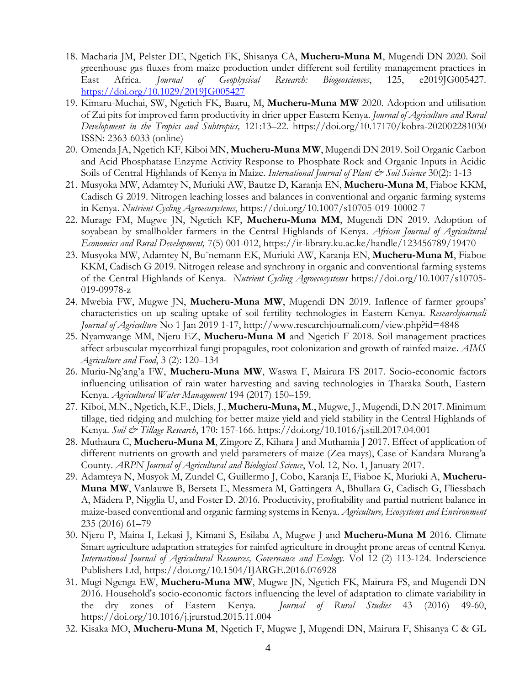- 18. Macharia JM, Pelster DE, Ngetich FK, Shisanya CA, **Mucheru‐Muna M**, Mugendi DN 2020. Soil greenhouse gas fluxes from maize production under different soil fertility management practices in East Africa. *Journal of Geophysical Research: Biogeosciences*, 125, e2019JG005427. <https://doi.org/10.1029/2019JG005427>
- 19. Kimaru-Muchai, SW, Ngetich FK, Baaru, M, **Mucheru-Muna MW** 2020. Adoption and utilisation of Zai pits for improved farm productivity in drier upper Eastern Kenya. *Journal of Agriculture and Rural Development in the Tropics and Subtropics,* 121:13–22. https://doi.org/10.17170/kobra-202002281030 ISSN: 2363-6033 (online)
- 20. Omenda JA, Ngetich KF, Kiboi MN, **Mucheru-Muna MW**, Mugendi DN 2019. Soil Organic Carbon and Acid Phosphatase Enzyme Activity Response to Phosphate Rock and Organic Inputs in Acidic Soils of Central Highlands of Kenya in Maize. *International Journal of Plant & Soil Science* 30(2): 1-13
- 21. Musyoka MW, Adamtey N, Muriuki AW, Bautze D, Karanja EN, **Mucheru-Muna M**, Fiaboe KKM, Cadisch G 2019. Nitrogen leaching losses and balances in conventional and organic farming systems in Kenya. *Nutrient Cycling Agroecosystems*,<https://doi.org/10.1007/s10705-019-10002-7>
- 22. Murage FM, Mugwe JN, Ngetich KF, **Mucheru-Muna MM**, Mugendi DN 2019. Adoption of soyabean by smallholder farmers in the Central Highlands of Kenya. *African Journal of Agricultural Economics and Rural Development,* 7(5) 001-012,<https://ir-library.ku.ac.ke/handle/123456789/19470>
- 23. Musyoka MW, Adamtey N, Bu¨nemann EK, Muriuki AW, Karanja EN, **Mucheru-Muna M**, Fiaboe KKM, Cadisch G 2019. Nitrogen release and synchrony in organic and conventional farming systems of the Central Highlands of Kenya. *Nutrient Cycling Agroecosystems* https://doi.org/10.1007/s10705- 019-09978-z
- 24. Mwebia FW, Mugwe JN, **Mucheru-Muna MW**, Mugendi DN 2019. Inflence of farmer groups' characteristics on up scaling uptake of soil fertility technologies in Eastern Kenya. *Researchjournali Journal of Agriculture* No 1 Jan 2019 1-17,<http://www.researchjournali.com/view.php?id=4848>
- 25. Nyamwange MM, Njeru EZ, **Mucheru-Muna M** and Ngetich F 2018. Soil management practices affect arbuscular mycorrhizal fungi propagules, root colonization and growth of rainfed maize. *AIMS Agriculture and Food*, 3 (2): 120–134
- 26. Muriu-Ng'ang'a FW, **Mucheru-Muna MW**, Waswa F, Mairura FS 2017. Socio-economic factors influencing utilisation of rain water harvesting and saving technologies in Tharaka South, Eastern Kenya. *Agricultural Water Management* 194 (2017) 150–159.
- 27. Kiboi, M.N., Ngetich, K.F., Diels, J., **Mucheru-Muna, M**., Mugwe, J., Mugendi, D.N 2017. Minimum tillage, tied ridging and mulching for better maize yield and yield stability in the Central Highlands of Kenya. *Soil & Tillage Research*, 170: 157-166.<https://doi.org/10.1016/j.still.2017.04.001>
- 28. Muthaura C, **Mucheru-Muna M**, Zingore Z, Kihara J and Muthamia J 2017. Effect of application of different nutrients on growth and yield parameters of maize (Zea mays), Case of Kandara Murang'a County. *ARPN Journal of Agricultural and Biological Science*, Vol. 12, No. 1, January 2017.
- 29. Adamteya N, Musyok M, Zundel C, Guillermo J, Cobo, Karanja E, Fiaboe K, Muriuki A, **Mucheru-Muna MW**, Vanlauwe B, Berseta E, Messmera M, Gattingera A, Bhullara G, Cadisch G, Fliessbach A, Mädera P, Nigglia U, and Foster D. 2016. Productivity, profitability and partial nutrient balance in maize-based conventional and organic farming systems in Kenya. *Agriculture, Ecosystems and Environment* 235 (2016) 61–79
- 30. Njeru P, Maina I, Lekasi J, Kimani S, Esilaba A, Mugwe J and **Mucheru-Muna M** 2016. Climate Smart agriculture adaptation strategies for rainfed agriculture in drought prone areas of central Kenya. *International Journal of Agricultural Resources, Governance and Ecology.* Vol 12 (2) 113-124. Inderscience Publishers Ltd, https://doi.org/10.1504/IJARGE.2016.076928
- 31. Mugi-Ngenga EW, **Mucheru-Muna MW**, Mugwe JN, Ngetich FK, Mairura FS, and Mugendi DN 2016. Household's socio-economic factors influencing the level of adaptation to climate variability in the dry zones of Eastern Kenya. *Journal of Rural Studies* 43 (2016) 49-60, https://doi.org/10.1016/j.jrurstud.2015.11.004
- 32. Kisaka MO, **Mucheru-Muna M**, Ngetich F, Mugwe J, Mugendi DN, Mairura F, Shisanya C & GL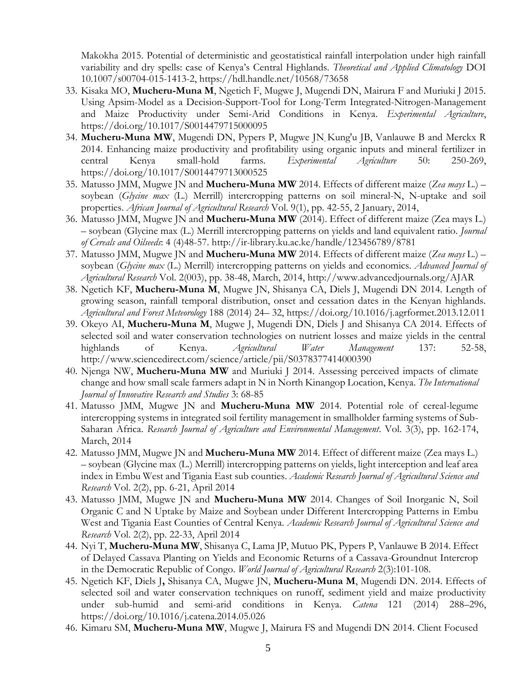Makokha 2015. Potential of deterministic and geostatistical rainfall interpolation under high rainfall variability and dry spells: case of Kenya's Central Highlands. *Theoretical and Applied Climatology* DOI 10.1007/s00704-015-1413-2, https://hdl.handle.net/10568/73658

- 33. Kisaka MO, **Mucheru-Muna M**, Ngetich F, Mugwe J, Mugendi DN, Mairura F and Muriuki J 2015. Using Apsim-Model as a Decision-Support-Tool for Long-Term Integrated-Nitrogen-Management and Maize Productivity under Semi-Arid Conditions in Kenya. *Experimental Agriculture*, https://doi.org/10.1017/S0014479715000095
- 34. **Mucheru-Muna MW**, Mugendi DN, Pypers P, Mugwe JN, Kung'u JB, Vanlauwe B and Merckx R 2014. Enhancing maize productivity and profitability using organic inputs and mineral fertilizer in central Kenya small-hold farms. *Experimental Agriculture* 50: 250-269, https://doi.org/10.1017/S0014479713000525
- 35. Matusso JMM, Mugwe JN and **Mucheru-Muna MW** 2014. Effects of different maize (*Zea mays* L.) soybean (*Glycine max* (L.) Merrill) intercropping patterns on soil mineral-N, N-uptake and soil properties. *African Journal of Agricultural Research* Vol. 9(1), pp. 42-55, 2 January, 2014,
- 36. Matusso JMM, Mugwe JN and **Mucheru-Muna MW** (2014). Effect of different maize (Zea mays L.) – soybean (Glycine max (L.) Merrill intercropping patterns on yields and land equivalent ratio. *Journal of Cereals and Oilseeds*: 4 (4)48-57. http://ir-library.ku.ac.ke/handle/123456789/8781
- 37. Matusso JMM, Mugwe JN and **Mucheru-Muna MW** 2014. Effects of different maize (*Zea mays* L.) soybean (*Glycine max* (L.) Merrill) intercropping patterns on yields and economics. *Advanced Journal of Agricultural Research* Vol. 2(003), pp. 38-48, March, 2014, http://www.advancedjournals.org/AJAR
- 38. Ngetich KF, **Mucheru-Muna M**, Mugwe JN, Shisanya CA, Diels J, Mugendi DN 2014. Length of growing season, rainfall temporal distribution, onset and cessation dates in the Kenyan highlands. *Agricultural and Forest Meteorology* 188 (2014) 24– 32, https://doi.org/10.1016/j.agrformet.2013.12.011
- 39. [Okeyo](http://www.sciencedirect.com/science/article/pii/S0378377414000390) AI, **Mucheru-Muna M**, Mugwe J, Mugendi DN, Diels J and Shisanya CA 2014. Effects of selected soil and water conservation technologies on nutrient losses and maize yields in the central highlands of Kenya. *Agricultural Water Management* 137: 52-58, http://www.sciencedirect.com/science/article/pii/S0378377414000390
- 40. Njenga NW, **Mucheru-Muna MW** and Muriuki J 2014. Assessing perceived impacts of climate change and how small scale farmers adapt in N in North Kinangop Location, Kenya. *The International Journal of Innovative Research and Studies* 3: 68-85
- 41. Matusso JMM, Mugwe JN and **Mucheru-Muna MW** 2014. Potential role of cereal-legume intercropping systems in integrated soil fertility management in smallholder farming systems of Sub-Saharan Africa. *Research Journal of Agriculture and Environmental Management*. Vol. 3(3), pp. 162-174, March, 2014
- 42. Matusso JMM, Mugwe JN and **Mucheru-Muna MW** 2014. Effect of different maize (Zea mays L.) – soybean (Glycine max (L.) Merrill) intercropping patterns on yields, light interception and leaf area index in Embu West and Tigania East sub counties. *Academic Research Journal of Agricultural Science and Research* Vol. 2(2), pp. 6-21, April 2014
- 43. Matusso JMM, Mugwe JN and **Mucheru-Muna MW** 2014. Changes of Soil Inorganic N, Soil Organic C and N Uptake by Maize and Soybean under Different Intercropping Patterns in Embu West and Tigania East Counties of Central Kenya. *Academic Research Journal of Agricultural Science and Research* Vol. 2(2), pp. 22-33, April 2014
- 44. [Nyi](https://www.researchgate.net/researcher/2048255428_Thandar_Nyi) T, **Mucheru-Muna MW**, Shisanya C, [Lama](https://www.researchgate.net/researcher/2048244745_Jean-Paul_Lodi_Lama) JP, [Mutuo](https://www.researchgate.net/researcher/2048179301_Patrick_K_Mutuo) PK, [Pypers](https://www.researchgate.net/researcher/48816976_Pieter_Pypers) P, [Vanlauwe](https://www.researchgate.net/researcher/2044454897_Bernard_Vanlauwe) B 2014. Effect of Delayed Cassava Planting on Yields and Economic Returns of a Cassava-Groundnut Intercrop in the Democratic Republic of Congo. *World Journal of Agricultural Research* 2(3):101-108.
- 45. Ngetich KF, Diels J**,** Shisanya CA, Mugwe JN, **Mucheru-Muna M**, Mugendi DN. 2014. Effects of selected soil and water conservation techniques on runoff, sediment yield and maize productivity under sub-humid and semi-arid conditions in Kenya. *Catena* 121 (2014) 288–296, https://doi.org/10.1016/j.catena.2014.05.026
- 46. Kimaru SM, **Mucheru-Muna MW**, Mugwe J, Mairura FS and Mugendi DN 2014. Client Focused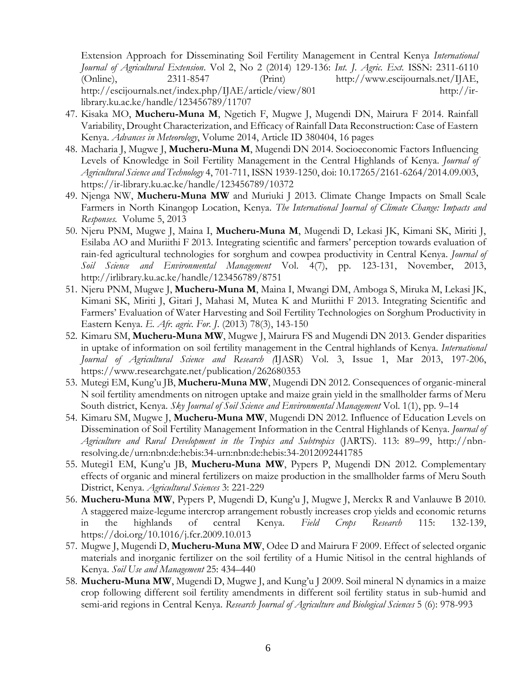Extension Approach for Disseminating Soil Fertility Management in Central Kenya *International Journal of Agricultural Extension*. Vol 2, No 2 (2014) 129-136: *Int. J. Agric. Ext.* ISSN: 2311-6110 (Online), 2311-8547 (Print) [http://www.escijournals.net/IJAE,](http://www.escijournals.net/IJAE) http://escijournals.net/index.php/IJAE/article/view/801 http://irlibrary.ku.ac.ke/handle/123456789/11707

- 47. Kisaka [MO,](http://link.springer.com/search?facet-author=%22M.+Oscar+Kisaka%22) **Mucheru-Muna M**, [Ngetich](http://link.springer.com/search?facet-author=%22F.+Ngetich%22) F, [Mugwe](http://link.springer.com/search?facet-author=%22J.+Mugwe%22) J, Mugendi DN, [Mairura](http://link.springer.com/search?facet-author=%22F.+Mairura%22) F 2014. Rainfall Variability, Drought Characterization, and Efficacy of Rainfall Data Reconstruction: Case of Eastern Kenya. *Advances in Meteorology*, Volume 2014, Article ID 380404, 16 pages
- 48. Macharia J, [Mugwe](http://link.springer.com/search?facet-author=%22J.+Mugwe%22) J, **Mucheru-Muna M**, Mugendi DN 2014. Socioeconomic Factors Influencing Levels of Knowledge in Soil Fertility Management in the Central Highlands of Kenya. *Journal of Agricultural Science and Technology* 4, 701-711, ISSN 1939-1250, doi: 10.17265/2161-6264/2014.09.003, https://ir-library.ku.ac.ke/handle/123456789/10372
- 49. Njenga NW, **Mucheru-Muna MW** and Muriuki J 2013. Climate Change Impacts on Small Scale Farmers in North Kinangop Location, Kenya. *The International Journal of Climate Change: Impacts and Responses.* Volume 5, 2013
- 50. Njeru PNM, Mugwe J, Maina I, **Mucheru-Muna M**, Mugendi D, Lekasi JK, Kimani SK, Miriti J, Esilaba AO and Muriithi F 2013. Integrating scientific and farmers' perception towards evaluation of rain-fed agricultural technologies for sorghum and cowpea productivity in Central Kenya. *Journal of Soil Science and Environmental Management* Vol. 4(7), pp. 123-131, November, 2013, http://irlibrary.ku.ac.ke/handle/123456789/8751
- 51. Njeru PNM, Mugwe J, **Mucheru-Muna M**, Maina I, Mwangi DM, Amboga S, Miruka M, Lekasi JK, Kimani SK, Miriti J, Gitari J, Mahasi M, Mutea K and Muriithi F 2013. Integrating Scientific and Farmers' Evaluation of Water Harvesting and Soil Fertility Technologies on Sorghum Productivity in Eastern Kenya. *E. Afr. agric. For. J*. (2013) 78(3), 143-150
- 52. Kimaru SM, **Mucheru-Muna MW**, Mugwe J, Mairura FS and Mugendi DN 2013. Gender disparities in uptake of information on soil fertility management in the Central highlands of Kenya. *International Journal of Agricultural Science and Research (*IJASR) Vol. 3, Issue 1, Mar 2013, 197-206, https://www.researchgate.net/publication/262680353
- 53. Mutegi EM, Kung'u JB, **Mucheru-Muna MW**, Mugendi DN 2012. Consequences of organic-mineral N soil fertility amendments on nitrogen uptake and maize grain yield in the smallholder farms of Meru South district, Kenya. *Sky Journal of Soil Science and Environmental Management* Vol. 1(1), pp. 9–14
- 54. Kimaru SM, Mugwe J, **Mucheru-Muna MW**, Mugendi DN 2012. Influence of Education Levels on Dissemination of Soil Fertility Management Information in the Central Highlands of Kenya. *Journal of Agriculture and Rural Development in the Tropics and Subtropics* (JARTS). 113: 89–99, http://nbnresolving.de/urn:nbn:de:hebis:34-urn:nbn:de:hebis:34-2012092441785
- 55. Mutegi1 EM, Kung'u JB, **Mucheru-Muna MW**, Pypers P, Mugendi DN 2012. Complementary effects of organic and mineral fertilizers on maize production in the smallholder farms of Meru South District, Kenya. *Agricultural Sciences* 3: 221-229
- 56. **Mucheru-Muna MW**, Pypers P, Mugendi D, Kung'u J, Mugwe J, Merckx R and Vanlauwe B 2010. A staggered maize-legume intercrop arrangement robustly increases crop yields and economic returns in the highlands of central Kenya. *Field Crops Research* 115: 132-139, https://doi.org/10.1016/j.fcr.2009.10.013
- 57. Mugwe J, Mugendi D, **Mucheru-Muna MW**, Odee D and Mairura F 2009. Effect of selected organic materials and inorganic fertilizer on the soil fertility of a Humic Nitisol in the central highlands of Kenya. *Soil Use and Management* 25: 434–440
- 58. **Mucheru-Muna MW**, Mugendi D, Mugwe J, and Kung'u J 2009. Soil mineral N dynamics in a maize crop following different soil fertility amendments in different soil fertility status in sub-humid and semi-arid regions in Central Kenya. *Research Journal of Agriculture and Biological Sciences* 5 (6): 978-993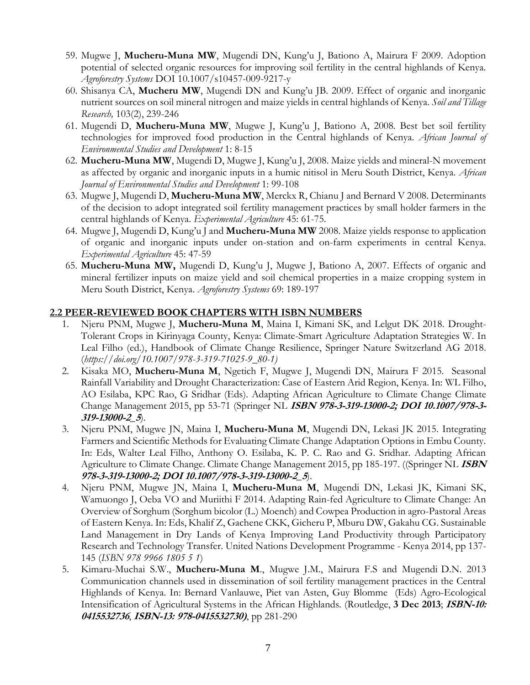- 59. Mugwe J, **Mucheru-Muna MW**, Mugendi DN, Kung'u J, Bationo A, Mairura F 2009. Adoption potential of selected organic resources for improving soil fertility in the central highlands of Kenya. *Agroforestry Systems* DOI 10.1007/s10457-009-9217-y
- 60. Shisanya CA, **Mucheru MW**, Mugendi DN and Kung'u JB. 2009. Effect of organic and inorganic nutrient sources on soil mineral nitrogen and maize yields in central highlands of Kenya. *Soil and Tillage Research,* 103(2), 239-246
- 61. Mugendi D, **Mucheru-Muna MW**, Mugwe J, Kung'u J, Bationo A, 2008. Best bet soil fertility technologies for improved food production in the Central highlands of Kenya. *African Journal of Environmental Studies and Development* 1: 8-15
- 62. **Mucheru-Muna MW**, Mugendi D, Mugwe J, Kung'u J, 2008. Maize yields and mineral-N movement as affected by organic and inorganic inputs in a humic nitisol in Meru South District, Kenya. *African Journal of Environmental Studies and Development* 1: 99-108
- 63. Mugwe J, Mugendi D, **Mucheru-Muna MW**, Merckx R, Chianu J and Bernard V 2008. Determinants of the decision to adopt integrated soil fertility management practices by small holder farmers in the central highlands of Kenya. *Experimental Agriculture* 45: 61-75.
- 64. Mugwe J, Mugendi D, Kung'u J and **Mucheru-Muna MW** 2008. Maize yields response to application of organic and inorganic inputs under on-station and on-farm experiments in central Kenya. *Experimental Agriculture* 45: 47-59
- 65. **Mucheru-Muna MW,** Mugendi D, Kung'u J, Mugwe J, Bationo A, 2007. Effects of organic and mineral fertilizer inputs on maize yield and soil chemical properties in a maize cropping system in Meru South District, Kenya. *Agroforestry Systems* 69: 189-197

## **2.2 PEER-REVIEWED BOOK CHAPTERS WITH ISBN NUMBERS**

- 1. Njeru PNM, Mugwe J, **Mucheru-Muna M**, Maina I, Kimani SK, and Lelgut DK 2018. Drought-Tolerant Crops in Kirinyaga County, Kenya: Climate-Smart Agriculture Adaptation Strategies W. In Leal Filho (ed.), Handbook of Climate Change Resilience, Springer Nature Switzerland AG 2018. (*[https://doi.org/10.1007/978-3-319-71025-9\\_80-1\)](https://doi.org/10.1007/978-3-319-71025-9_80-1)*
- 2. Kisaka [MO,](http://link.springer.com/search?facet-author=%22M.+Oscar+Kisaka%22) **Mucheru-Muna M**, [Ngetich](http://link.springer.com/search?facet-author=%22F.+Ngetich%22) F, [Mugwe](http://link.springer.com/search?facet-author=%22J.+Mugwe%22) J, Mugendi DN, [Mairura](http://link.springer.com/search?facet-author=%22F.+Mairura%22) F 2015. Seasonal Rainfall Variability and Drought Characterization: Case of Eastern Arid Region, Kenya. In: [WL Filho,](http://link.springer.com/search?facet-author=%22Walter+Leal+Filho%22) [AO Esilaba,](http://link.springer.com/search?facet-author=%22Anthony+O.+Esilaba%22) [KPC Rao,](http://link.springer.com/search?facet-author=%22Karuturi+P.C.+Rao%22) [G Sridhar](http://link.springer.com/search?facet-author=%22Gummadi+Sridhar%22) (Eds). [Adapting African Agriculture to Climate Change](http://link.springer.com/book/10.1007/978-3-319-13000-2) [Climate](http://link.springer.com/bookseries/8740)  [Change Management](http://link.springer.com/bookseries/8740) 2015, pp 53-71 (Springer NL **ISBN 978-3-319-13000-2; DOI 10.1007/978-3- 319-13000-2\_5**).
- 3. Njeru PNM, Mugwe JN, Maina I, **Mucheru-Muna M**, Mugendi DN, Lekasi JK 2015. Integrating Farmers and Scientific Methods for Evaluating Climate Change Adaptation Options in Embu County. In: Eds, Walter Leal Filho, Anthony O. Esilaba, K. P. C. Rao and G. Sridhar. Adapting African Agriculture to Climate Change. Climate Change Management 2015, pp 185-197. ((Springer NL **ISBN 978-3-319-13000-2; DOI 10.1007/978-3-319-13000-2\_5**).
- 4. Njeru PNM, Mugwe JN, Maina I, **Mucheru-Muna M**, Mugendi DN, Lekasi JK, Kimani SK, Wamuongo J, Oeba VO and Muriithi F 2014. Adapting Rain-fed Agriculture to Climate Change: An Overview of Sorghum (Sorghum bicolor (L.) Moench) and Cowpea Production in agro-Pastoral Areas of Eastern Kenya. In: Eds, Khalif Z, Gachene CKK, Gicheru P, Mburu DW, Gakahu CG. Sustainable Land Management in Dry Lands of Kenya Improving Land Productivity through Participatory Research and Technology Transfer. United Nations Development Programme - Kenya 2014, pp 137- 145 (*ISBN 978 9966 1805 5 1*)
- 5. Kimaru-Muchai S.W., **Mucheru-Muna M**., Mugwe J.M., Mairura F.S and Mugendi D.N. 2013 Communication channels used in dissemination of soil fertility management practices in the Central Highlands of Kenya. In: [Bernard Vanlauwe,](http://www.routledge.com/books/search/author/bernard_vanlauwe/) [Piet van Asten,](http://www.routledge.com/books/search/author/piet_van_asten/) [Guy Blomme](http://www.routledge.com/books/search/author/guy_blomme/) (Eds) Agro-Ecological Intensification of Agricultural Systems in the African Highlands. (Routledge, **3 Dec 2013**; **ISBN-10: <sup>0415532736</sup>**, **ISBN-13: 978-0415532730)**, pp 281-290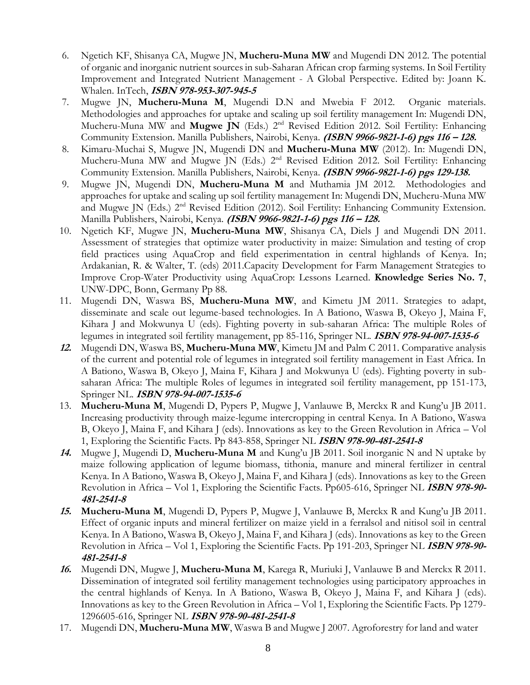- 6. Ngetich KF, Shisanya CA, Mugwe JN, **Mucheru-Muna MW** and Mugendi DN 2012. The potential of organic and inorganic nutrient sources in sub-Saharan African crop farming systems. In [Soil Fertility](http://www.intechopen.com/books/show/title/soil-fertility-improvement-and-integrated-nutrient-management-a-global-perspective)  [Improvement and Integrated Nutrient Management -](http://www.intechopen.com/books/show/title/soil-fertility-improvement-and-integrated-nutrient-management-a-global-perspective) A Global Perspective. Edited by: Joann K. Whalen. [InTech,](http://www.intechweb.org/) **ISBN 978-953-307-945-5**
- 7. Mugwe JN, **Mucheru-Muna M**, Mugendi D.N and Mwebia F 2012. Organic materials. Methodologies and approaches for uptake and scaling up soil fertility management In: Mugendi DN, Mucheru-Muna MW and Mugwe JN (Eds.) 2<sup>nd</sup> Revised Edition 2012. Soil Fertility: Enhancing Community Extension. Manilla Publishers, Nairobi, Kenya. **(ISBN 9966-9821-1-6) pgs 116 – 128.**
- 8. Kimaru-Muchai S, Mugwe JN, Mugendi DN and **Mucheru-Muna MW** (2012). In: Mugendi DN, Mucheru-Muna MW and Mugwe JN (Eds.) 2<sup>nd</sup> Revised Edition 2012. Soil Fertility: Enhancing Community Extension. Manilla Publishers, Nairobi, Kenya. **(ISBN 9966-9821-1-6) pgs 129-138.**
- 9. Mugwe JN, Mugendi DN, **Mucheru-Muna M** and Muthamia JM 2012. Methodologies and approaches for uptake and scaling up soil fertility management In: Mugendi DN, Mucheru-Muna MW and Mugwe JN (Eds.) 2<sup>nd</sup> Revised Edition (2012). Soil Fertility: Enhancing Community Extension. Manilla Publishers, Nairobi, Kenya. **(ISBN 9966-9821-1-6) pgs 116 – 128.**
- 10. Ngetich KF, Mugwe JN, **Mucheru-Muna MW**, Shisanya CA, Diels J and Mugendi DN 2011. Assessment of strategies that optimize water productivity in maize: Simulation and testing of crop field practices using AquaCrop and field experimentation in central highlands of Kenya. In; Ardakanian, R. & Walter, T. (eds) 2011.Capacity Development for Farm Management Strategies to Improve Crop-Water Productivity using AquaCrop: Lessons Learned. **Knowledge Series No. 7**, UNW-DPC, Bonn, Germany Pp 88.
- 11. Mugendi DN, Waswa BS, **Mucheru-Muna MW**, and Kimetu JM 2011. Strategies to adapt, disseminate and scale out legume-based technologies. In A Bationo, Waswa B, Okeyo J, Maina F, Kihara J and Mokwunya U (eds). Fighting poverty in sub-saharan Africa: The multiple Roles of legumes in integrated soil fertility management, pp 85-116, Springer NL. **ISBN 978-94-007-1535-6**
- **12.** Mugendi DN, Waswa BS, **Mucheru-Muna MW**, Kimetu JM and Palm C 2011. Comparative analysis of the current and potential role of legumes in integrated soil fertility management in East Africa. In A Bationo, Waswa B, Okeyo J, Maina F, Kihara J and Mokwunya U (eds). Fighting poverty in subsaharan Africa: The multiple Roles of legumes in integrated soil fertility management, pp 151-173, Springer NL. **ISBN 978-94-007-1535-6**
- 13. **Mucheru-Muna M**, Mugendi D, Pypers P, Mugwe J, Vanlauwe B, Merckx R and Kung'u JB 2011. Increasing productivity through maize-legume intercropping in central Kenya. In A Bationo, Waswa B, Okeyo J, Maina F, and Kihara J (eds). Innovations as key to the Green Revolution in Africa – Vol 1, Exploring the Scientific Facts. Pp 843-858, Springer NL **ISBN 978-90-481-2541-8**
- **14.** Mugwe J, Mugendi D, **Mucheru-Muna M** and Kung'u JB 2011. Soil inorganic N and N uptake by maize following application of legume biomass, tithonia, manure and mineral fertilizer in central Kenya. In A Bationo, Waswa B, Okeyo J, Maina F, and Kihara J (eds). Innovations as key to the Green Revolution in Africa – Vol 1, Exploring the Scientific Facts. Pp605-616, Springer NL **ISBN 978-90- 481-2541-8**
- **15. Mucheru-Muna M**, Mugendi D, Pypers P, Mugwe J, Vanlauwe B, Merckx R and Kung'u JB 2011. Effect of organic inputs and mineral fertilizer on maize yield in a ferralsol and nitisol soil in central Kenya. In A Bationo, Waswa B, Okeyo J, Maina F, and Kihara J (eds). Innovations as key to the Green Revolution in Africa – Vol 1, Exploring the Scientific Facts. Pp 191-203, Springer NL **ISBN 978-90- 481-2541-8**
- **16.** Mugendi DN, Mugwe J, **Mucheru-Muna M**, Karega R, Muriuki J, Vanlauwe B and Merckx R 2011. Dissemination of integrated soil fertility management technologies using participatory approaches in the central highlands of Kenya. In A Bationo, Waswa B, Okeyo J, Maina F, and Kihara J (eds). Innovations as key to the Green Revolution in Africa – Vol 1, Exploring the Scientific Facts. Pp 1279- 1296605-616, Springer NL **ISBN 978-90-481-2541-8**
- 17. Mugendi DN, **Mucheru-Muna MW**, Waswa B and Mugwe J 2007. Agroforestry for land and water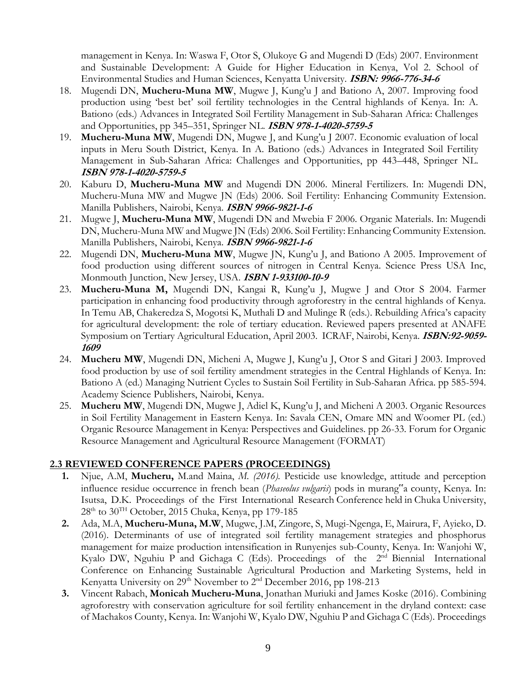management in Kenya. In: Waswa F, Otor S, Olukoye G and Mugendi D (Eds) 2007. Environment and Sustainable Development: A Guide for Higher Education in Kenya, Vol 2. School of Environmental Studies and Human Sciences, Kenyatta University. **ISBN: 9966-776-34-6**

- 18. Mugendi DN, **Mucheru-Muna MW**, Mugwe J, Kung'u J and Bationo A, 2007. Improving food production using 'best bet' soil fertility technologies in the Central highlands of Kenya. In: A. Bationo (eds.) Advances in Integrated Soil Fertility Management in Sub-Saharan Africa: Challenges and Opportunities, pp 345–351, Springer NL. **ISBN 978-1-4020-5759-5**
- 19. **Mucheru-Muna MW**, Mugendi DN, Mugwe J, and Kung'u J 2007. Economic evaluation of local inputs in Meru South District, Kenya. In A. Bationo (eds.) Advances in Integrated Soil Fertility Management in Sub-Saharan Africa: Challenges and Opportunities, pp 443–448, Springer NL. **ISBN 978-1-4020-5759-5**
- 20. Kaburu D, **Mucheru-Muna MW** and Mugendi DN 2006. Mineral Fertilizers. In: Mugendi DN, Mucheru-Muna MW and Mugwe JN (Eds) 2006. Soil Fertility: Enhancing Community Extension. Manilla Publishers, Nairobi, Kenya. **ISBN 9966-9821-1-6**
- 21. Mugwe J, **Mucheru-Muna MW**, Mugendi DN and Mwebia F 2006. Organic Materials. In: Mugendi DN, Mucheru-Muna MW and Mugwe JN (Eds) 2006. Soil Fertility: Enhancing Community Extension. Manilla Publishers, Nairobi, Kenya. **ISBN 9966-9821-1-6**
- 22. Mugendi DN, **Mucheru-Muna MW**, Mugwe JN, Kung'u J, and Bationo A 2005. Improvement of food production using different sources of nitrogen in Central Kenya. Science Press USA Inc, Monmouth Junction, New Jersey, USA. **ISBN 1-933100-10-9**
- 23. **Mucheru-Muna M,** Mugendi DN, Kangai R, Kung'u J, Mugwe J and Otor S 2004. Farmer participation in enhancing food productivity through agroforestry in the central highlands of Kenya. In Temu AB, Chakeredza S, Mogotsi K, Muthali D and Mulinge R (eds.). Rebuilding Africa's capacity for agricultural development: the role of tertiary education. Reviewed papers presented at ANAFE Symposium on Tertiary Agricultural Education, April 2003. ICRAF, Nairobi, Kenya. **ISBN:92-9059- 1609**
- 24. **Mucheru MW**, Mugendi DN, Micheni A, Mugwe J, Kung'u J, Otor S and Gitari J 2003. Improved food production by use of soil fertility amendment strategies in the Central Highlands of Kenya. In: Bationo A (ed.) Managing Nutrient Cycles to Sustain Soil Fertility in Sub-Saharan Africa. pp 585-594. Academy Science Publishers, Nairobi, Kenya.
- 25. **Mucheru MW**, Mugendi DN, Mugwe J, Adiel K, Kung'u J, and Micheni A 2003. Organic Resources in Soil Fertility Management in Eastern Kenya. In: Savala CEN, Omare MN and Woomer PL (ed.) Organic Resource Management in Kenya: Perspectives and Guidelines. pp 26-33. Forum for Organic Resource Management and Agricultural Resource Management (FORMAT)

## **2.3 REVIEWED CONFERENCE PAPERS (PROCEEDINGS)**

- **1.** Njue, A.M, **Mucheru,** M.and Maina, *M. (2016).* Pesticide use knowledge, attitude and perception influence residue occurrence in french bean (*Phaseolus vulgaris*) pods in murang"a county, Kenya. In: Isutsa, D.K. Proceedings of the First International Research Conference held in Chuka University,  $28<sup>th</sup>$  to  $30<sup>TH</sup>$  October, 2015 Chuka, Kenya, pp 179-185
- **2.** Ada, M.A, **Mucheru-Muna, M.W**, Mugwe, J.M, Zingore, S, Mugi-Ngenga, E, Mairura, F, Ayieko, D. (2016). Determinants of use of integrated soil fertility management strategies and phosphorus management for maize production intensification in Runyenjes sub-County, Kenya. In: Wanjohi W, Kyalo DW, Nguhiu P and Gichaga C (Eds). Proceedings of the 2<sup>nd</sup> Biennial International Conference on Enhancing Sustainable Agricultural Production and Marketing Systems, held in Kenyatta University on  $29<sup>th</sup>$  November to  $2<sup>nd</sup>$  December 2016, pp 198-213
- **3.** Vincent Rabach, **Monicah Mucheru-Muna**, Jonathan Muriuki and James Koske (2016). Combining agroforestry with conservation agriculture for soil fertility enhancement in the dryland context: case of Machakos County, Kenya. In: Wanjohi W, Kyalo DW, Nguhiu P and Gichaga C (Eds). Proceedings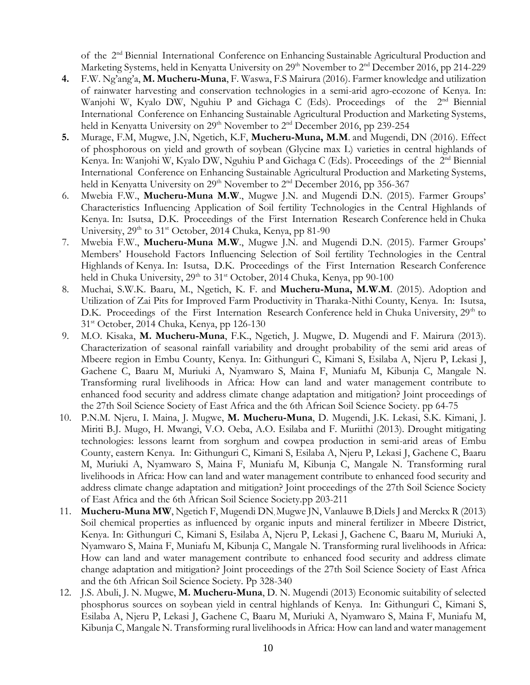of the 2nd Biennial International Conference on Enhancing Sustainable Agricultural Production and Marketing Systems, held in Kenyatta University on  $29<sup>th</sup>$  November to  $2<sup>nd</sup>$  December 2016, pp 214-229

- **4.** F.W. Ng'ang'a, **M. Mucheru-Muna**, F. Waswa, F.S Mairura (2016). Farmer knowledge and utilization of rainwater harvesting and conservation technologies in a semi-arid agro-ecozone of Kenya. In: Wanjohi W, Kyalo DW, Nguhiu P and Gichaga C (Eds). Proceedings of the 2<sup>nd</sup> Biennial International Conference on Enhancing Sustainable Agricultural Production and Marketing Systems, held in Kenyatta University on  $29<sup>th</sup>$  November to  $2<sup>nd</sup>$  December 2016, pp 239-254
- **5.** Murage, F.M, Mugwe, J.N, Ngetich, K.F, **Mucheru-Muna, M.M**. and Mugendi, DN (2016). Effect of phosphorous on yield and growth of soybean (Glycine max L) varieties in central highlands of Kenya. In: Wanjohi W, Kyalo DW, Nguhiu P and Gichaga C (Eds). Proceedings of the 2<sup>nd</sup> Biennial International Conference on Enhancing Sustainable Agricultural Production and Marketing Systems, held in Kenyatta University on  $29<sup>th</sup>$  November to  $2<sup>nd</sup>$  December 2016, pp 356-367
- 6. Mwebia F.W., **Mucheru-Muna M.W**., Mugwe J.N. and Mugendi D.N. (2015). Farmer Groups' Characteristics Influencing Application of Soil fertility Technologies in the Central Highlands of Kenya. In: Isutsa, D.K. Proceedings of the First Internation Research Conference held in Chuka University,  $29<sup>th</sup>$  to  $31<sup>st</sup>$  October, 2014 Chuka, Kenya, pp 81-90
- 7. Mwebia F.W., **Mucheru-Muna M.W**., Mugwe J.N. and Mugendi D.N. (2015). Farmer Groups' Members' Household Factors Influencing Selection of Soil fertility Technologies in the Central Highlands of Kenya. In: Isutsa, D.K. Proceedings of the First Internation Research Conference held in Chuka University, 29<sup>th</sup> to 31<sup>st</sup> October, 2014 Chuka, Kenya, pp 90-100
- 8. Muchai, S.W.K. Baaru, M., Ngetich, K. F. and **Mucheru-Muna, M.W.M**. (2015). Adoption and Utilization of Zai Pits for Improved Farm Productivity in Tharaka-Nithi County, Kenya. In: Isutsa, D.K. Proceedings of the First Internation Research Conference held in Chuka University, 29<sup>th</sup> to 31st October, 2014 Chuka, Kenya, pp 126-130
- 9. M.O. Kisaka, **M. Mucheru-Muna**, F.K., Ngetich, J. Mugwe, D. Mugendi and F. Mairura (2013). Characterization of seasonal rainfall variability and drought probability of the semi arid areas of Mbeere region in Embu County, Kenya. In: Githunguri C, Kimani S, Esilaba A, Njeru P, Lekasi J, Gachene C, Baaru M, Muriuki A, Nyamwaro S, Maina F, Muniafu M, Kibunja C, Mangale N. Transforming rural livelihoods in Africa: How can land and water management contribute to enhanced food security and address climate change adaptation and mitigation? Joint proceedings of the 27th Soil Science Society of East Africa and the 6th African Soil Science Society. pp 64-75
- 10. P.N.M. Njeru, I. Maina, J. Mugwe, **M. Mucheru-Muna**, D. Mugendi, J.K. Lekasi, S.K. Kimani, J. Miriti B.J. Mugo, H. Mwangi, V.O. Oeba, A.O. Esilaba and F. Muriithi (2013). Drought mitigating technologies: lessons learnt from sorghum and cowpea production in semi-arid areas of Embu County, eastern Kenya. In: Githunguri C, Kimani S, Esilaba A, Njeru P, Lekasi J, Gachene C, Baaru M, Muriuki A, Nyamwaro S, Maina F, Muniafu M, Kibunja C, Mangale N. Transforming rural livelihoods in Africa: How can land and water management contribute to enhanced food security and address climate change adaptation and mitigation? Joint proceedings of the 27th Soil Science Society of East Africa and the 6th African Soil Science Society.pp 203-211
- 11. **Mucheru-Muna MW**, Ngetich F, Mugendi DN, Mugwe JN, Vanlauwe B,Diels J and Merckx R (2013) Soil chemical properties as influenced by organic inputs and mineral fertilizer in Mbeere District, Kenya. In: Githunguri C, Kimani S, Esilaba A, Njeru P, Lekasi J, Gachene C, Baaru M, Muriuki A, Nyamwaro S, Maina F, Muniafu M, Kibunja C, Mangale N. Transforming rural livelihoods in Africa: How can land and water management contribute to enhanced food security and address climate change adaptation and mitigation? Joint proceedings of the 27th Soil Science Society of East Africa and the 6th African Soil Science Society. Pp 328-340
- 12. J.S. Abuli, J. N. Mugwe, **M. Mucheru-Muna**, D. N. Mugendi (2013) Economic suitability of selected phosphorus sources on soybean yield in central highlands of Kenya. In: Githunguri C, Kimani S, Esilaba A, Njeru P, Lekasi J, Gachene C, Baaru M, Muriuki A, Nyamwaro S, Maina F, Muniafu M, Kibunja C, Mangale N. Transforming rural livelihoods in Africa: How can land and water management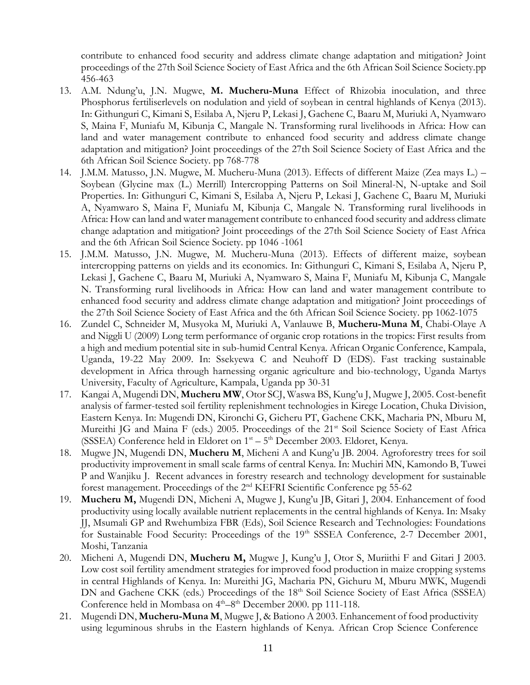contribute to enhanced food security and address climate change adaptation and mitigation? Joint proceedings of the 27th Soil Science Society of East Africa and the 6th African Soil Science Society.pp 456-463

- 13. A.M. Ndung'u, J.N. Mugwe, **M. Mucheru-Muna** Effect of Rhizobia inoculation, and three Phosphorus fertiliserlevels on nodulation and yield of soybean in central highlands of Kenya (2013). In: Githunguri C, Kimani S, Esilaba A, Njeru P, Lekasi J, Gachene C, Baaru M, Muriuki A, Nyamwaro S, Maina F, Muniafu M, Kibunja C, Mangale N. Transforming rural livelihoods in Africa: How can land and water management contribute to enhanced food security and address climate change adaptation and mitigation? Joint proceedings of the 27th Soil Science Society of East Africa and the 6th African Soil Science Society. pp 768-778
- 14. J.M.M. Matusso, J.N. Mugwe, M. Mucheru-Muna (2013). Effects of different Maize (Zea mays L.) Soybean (Glycine max (L.) Merrill) Intercropping Patterns on Soil Mineral-N, N-uptake and Soil Properties. In: Githunguri C, Kimani S, Esilaba A, Njeru P, Lekasi J, Gachene C, Baaru M, Muriuki A, Nyamwaro S, Maina F, Muniafu M, Kibunja C, Mangale N. Transforming rural livelihoods in Africa: How can land and water management contribute to enhanced food security and address climate change adaptation and mitigation? Joint proceedings of the 27th Soil Science Society of East Africa and the 6th African Soil Science Society. pp 1046 -1061
- 15. J.M.M. Matusso, J.N. Mugwe, M. Mucheru-Muna (2013). Effects of different maize, soybean intercropping patterns on yields and its economics. In: Githunguri C, Kimani S, Esilaba A, Njeru P, Lekasi J, Gachene C, Baaru M, Muriuki A, Nyamwaro S, Maina F, Muniafu M, Kibunja C, Mangale N. Transforming rural livelihoods in Africa: How can land and water management contribute to enhanced food security and address climate change adaptation and mitigation? Joint proceedings of the 27th Soil Science Society of East Africa and the 6th African Soil Science Society. pp 1062-1075
- 16. Zundel C, Schneider M, Musyoka M, Muriuki A, Vanlauwe B, **Mucheru-Muna M**, Chabi-Olaye A and Niggli U (2009) Long term performance of organic crop rotations in the tropics: First results from a high and medium potential site in sub-humid Central Kenya. African Organic Conference, Kampala, Uganda, 19-22 May 2009. In: Ssekyewa C and Neuhoff D (EDS). Fast tracking sustainable development in Africa through harnessing organic agriculture and bio-technology, Uganda Martys University, Faculty of Agriculture, Kampala, Uganda pp 30-31
- 17. Kangai A, Mugendi DN, **Mucheru MW**, Otor SCJ, Waswa BS, Kung'u J, Mugwe J, 2005. Cost-benefit analysis of farmer-tested soil fertility replenishment technologies in Kirege Location, Chuka Division, Eastern Kenya. In: Mugendi DN, Kironchi G, Gicheru PT, Gachene CKK, Macharia PN, Mburu M, Mureithi JG and Maina F (eds.) 2005. Proceedings of the 21<sup>st</sup> Soil Science Society of East Africa (SSSEA) Conference held in Eldoret on  $1<sup>st</sup> - 5<sup>th</sup>$  December 2003. Eldoret, Kenya.
- 18. Mugwe JN, Mugendi DN, **Mucheru M**, Micheni A and Kung'u JB. 2004. Agroforestry trees for soil productivity improvement in small scale farms of central Kenya. In: Muchiri MN, Kamondo B, Tuwei P and Wanjiku J. Recent advances in forestry research and technology development for sustainable forest management. Proceedings of the 2nd KEFRI Scientific Conference pg 55-62
- 19. **Mucheru M,** Mugendi DN, Micheni A, Mugwe J, Kung'u JB, Gitari J, 2004. Enhancement of food productivity using locally available nutrient replacements in the central highlands of Kenya. In: Msaky JJ, Msumali GP and Rwehumbiza FBR (Eds), Soil Science Research and Technologies: Foundations for Sustainable Food Security: Proceedings of the 19<sup>th</sup> SSSEA Conference, 2-7 December 2001, Moshi, Tanzania
- 20. Micheni A, Mugendi DN, **Mucheru M,** Mugwe J, Kung'u J, Otor S, Muriithi F and Gitari J 2003. Low cost soil fertility amendment strategies for improved food production in maize cropping systems in central Highlands of Kenya. In: Mureithi JG, Macharia PN, Gichuru M, Mburu MWK, Mugendi DN and Gachene CKK (eds.) Proceedings of the 18<sup>th</sup> Soil Science Society of East Africa (SSSEA) Conference held in Mombasa on 4<sup>th</sup>-8<sup>th</sup> December 2000. pp 111-118.
- 21. Mugendi DN, **Mucheru-Muna M**, Mugwe J, & Bationo A 2003. Enhancement of food productivity using leguminous shrubs in the Eastern highlands of Kenya. African Crop Science Conference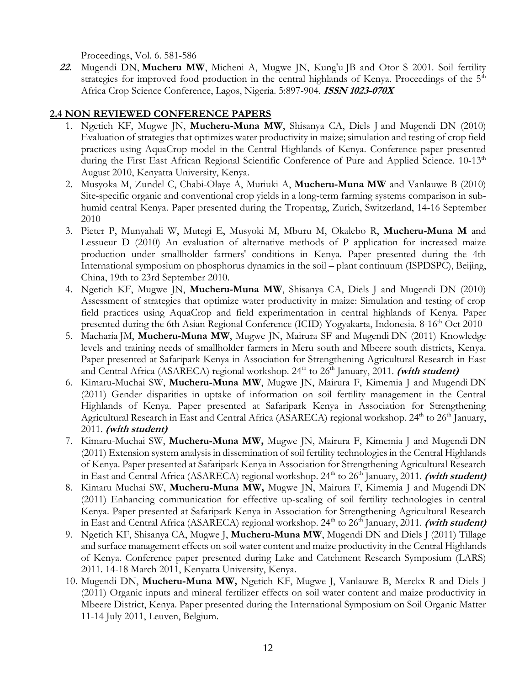Proceedings, Vol. 6. 581-586

**22.** Mugendi DN, **Mucheru MW**, Micheni A, Mugwe JN, Kung'u JB and Otor S 2001. Soil fertility strategies for improved food production in the central highlands of Kenya. Proceedings of the  $5<sup>th</sup>$ Africa Crop Science Conference, Lagos, Nigeria. 5:897-904. **ISSN 1023-070X**

#### **2.4 NON REVIEWED CONFERENCE PAPERS**

- 1. Ngetich KF, Mugwe JN, **Mucheru-Muna MW**, Shisanya CA, Diels J and Mugendi DN (2010) Evaluation of strategies that optimizes water productivity in maize; simulation and testing of crop field practices using AquaCrop model in the Central Highlands of Kenya. Conference paper presented during the First East African Regional Scientific Conference of Pure and Applied Science. 10-13<sup>th</sup> August 2010, Kenyatta University, Kenya.
- 2. Musyoka M, Zundel C, Chabi-Olaye A, Muriuki A, **Mucheru-Muna MW** and Vanlauwe B (2010) Site-specific organic and conventional crop yields in a long-term farming systems comparison in subhumid central Kenya. Paper presented during the Tropentag, Zurich, Switzerland, 14-16 September 2010
- 3. Pieter P, Munyahali W, Mutegi E, Musyoki M, Mburu M, Okalebo R, **Mucheru-Muna M** and Lessueur D (2010) An evaluation of alternative methods of P application for increased maize production under smallholder farmers' conditions in Kenya. Paper presented during the 4th International symposium on phosphorus dynamics in the soil – plant continuum (ISPDSPC), Beijing, China, 19th to 23rd September 2010.
- 4. Ngetich KF, Mugwe JN, **Mucheru-Muna MW**, Shisanya CA, Diels J and Mugendi DN (2010) Assessment of strategies that optimize water productivity in maize: Simulation and testing of crop field practices using AquaCrop and field experimentation in central highlands of Kenya. Paper presented during the 6th Asian Regional Conference (ICID) Yogyakarta, Indonesia. 8-16th Oct 2010
- 5. Macharia JM, **Mucheru-Muna MW**, Mugwe JN, Mairura SF and Mugendi DN (2011) Knowledge levels and training needs of smallholder farmers in Meru south and Mbeere south districts, Kenya. Paper presented at Safaripark Kenya in Association for Strengthening Agricultural Research in East and Central Africa (ASARECA) regional workshop. 24<sup>th</sup> to 26<sup>th</sup> January, 2011. (with student)
- 6. Kimaru-Muchai SW, **Mucheru-Muna MW**, Mugwe JN, Mairura F, Kimemia J and Mugendi DN (2011) Gender disparities in uptake of information on soil fertility management in the Central Highlands of Kenya. Paper presented at Safaripark Kenya in Association for Strengthening Agricultural Research in East and Central Africa (ASARECA) regional workshop. 24<sup>th</sup> to 26<sup>th</sup> January, 2011. **(with student)**
- 7. Kimaru-Muchai SW, **Mucheru-Muna MW,** Mugwe JN, Mairura F, Kimemia J and Mugendi DN (2011) Extension system analysis in dissemination of soil fertility technologies in the Central Highlands of Kenya. Paper presented at Safaripark Kenya in Association for Strengthening Agricultural Research in East and Central Africa (ASARECA) regional workshop. 24<sup>th</sup> to 26<sup>th</sup> January, 2011. *(with student)*
- 8. Kimaru Muchai SW, **Mucheru-Muna MW,** Mugwe JN, Mairura F, Kimemia J and Mugendi DN (2011) Enhancing communication for effective up-scaling of soil fertility technologies in central Kenya. Paper presented at Safaripark Kenya in Association for Strengthening Agricultural Research in East and Central Africa (ASARECA) regional workshop. 24<sup>th</sup> to 26<sup>th</sup> January, 2011. (with student)
- 9. Ngetich KF, Shisanya CA, Mugwe J, **Mucheru-Muna MW**, Mugendi DN and Diels J (2011) Tillage and surface management effects on soil water content and maize productivity in the Central Highlands of Kenya. Conference paper presented during Lake and Catchment Research Symposium (LARS) 2011. 14-18 March 2011, Kenyatta University, Kenya.
- 10. Mugendi DN, **Mucheru-Muna MW,** Ngetich KF, Mugwe J, Vanlauwe B, Merckx R and Diels J (2011) Organic inputs and mineral fertilizer effects on soil water content and maize productivity in Mbeere District, Kenya. Paper presented during the International Symposium on Soil Organic Matter 11-14 July 2011, Leuven, Belgium.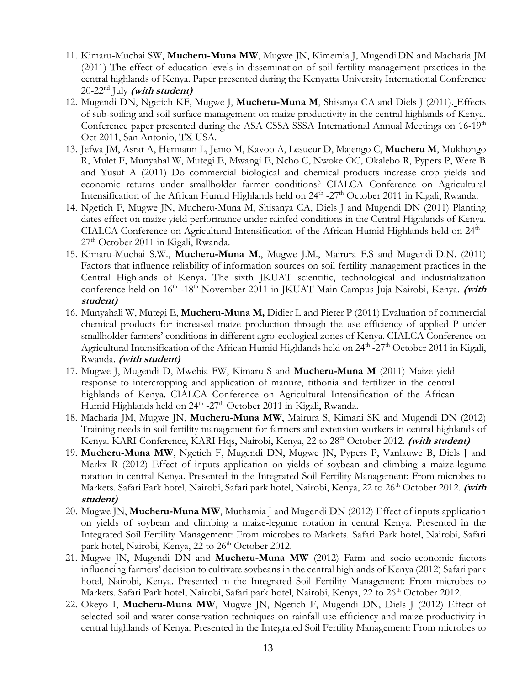- 11. Kimaru-Muchai SW, **Mucheru-Muna MW**, Mugwe JN, Kimemia J, Mugendi DN and Macharia JM (2011) The effect of education levels in dissemination of soil fertility management practices in the central highlands of Kenya. Paper presented during the Kenyatta University International Conference 20-22nd July **(with student)**
- 12. Mugendi DN, Ngetich KF, Mugwe J, **Mucheru-Muna M**, Shisanya CA and Diels J (2011). Effects of sub-soiling and soil surface management on maize productivity in the central highlands of Kenya. Conference paper presented during the ASA CSSA SSSA International Annual Meetings on 16-19<sup>th</sup> Oct 2011, San Antonio, TX USA.
- 13. Jefwa JM, Asrat A, Hermann L, Jemo M, Kavoo A, Lesueur D, Majengo C, **Mucheru M**, Mukhongo R, Mulet F, Munyahal W, Mutegi E, Mwangi E, Ncho C, Nwoke OC, Okalebo R, Pypers P, Were B and Yusuf A (2011) Do commercial biological and chemical products increase crop yields and economic returns under smallholder farmer conditions? CIALCA Conference on Agricultural Intensification of the African Humid Highlands held on 24<sup>th</sup> -27<sup>th</sup> October 2011 in Kigali, Rwanda.
- 14. Ngetich F, Mugwe JN, Mucheru-Muna M, Shisanya CA, Diels J and Mugendi DN (2011) Planting dates effect on maize yield performance under rainfed conditions in the Central Highlands of Kenya. CIALCA Conference on Agricultural Intensification of the African Humid Highlands held on 24<sup>th</sup> -27<sup>th</sup> October 2011 in Kigali, Rwanda.
- 15. Kimaru-Muchai S.W., **Mucheru-Muna M**., Mugwe J.M., Mairura F.S and Mugendi D.N. (2011) Factors that influence reliability of information sources on soil fertility management practices in the Central Highlands of Kenya. The sixth JKUAT scientific, technological and industrialization conference held on 16<sup>th</sup> -18<sup>th</sup> November 2011 in JKUAT Main Campus Juja Nairobi, Kenya. (with **student)**
- 16. Munyahali W, Mutegi E, **Mucheru-Muna M,** Didier L and Pieter P (2011) Evaluation of commercial chemical products for increased maize production through the use efficiency of applied P under smallholder farmers' conditions in different agro-ecological zones of Kenya. CIALCA Conference on Agricultural Intensification of the African Humid Highlands held on 24<sup>th</sup> -27<sup>th</sup> October 2011 in Kigali, Rwanda. **(with student)**
- 17. Mugwe J, Mugendi D, Mwebia FW, Kimaru S and **Mucheru-Muna M** (2011) Maize yield response to intercropping and application of manure, tithonia and fertilizer in the central highlands of Kenya. CIALCA Conference on Agricultural Intensification of the African Humid Highlands held on 24<sup>th</sup> -27<sup>th</sup> October 2011 in Kigali, Rwanda.
- 18. Macharia JM, Mugwe JN, **Mucheru-Muna MW**, Mairura S, Kimani SK and Mugendi DN (2012) Training needs in soil fertility management for farmers and extension workers in central highlands of Kenya. KARI Conference, KARI Hqs, Nairobi, Kenya, 22 to 28th October 2012. **(with student)**
- 19. **Mucheru-Muna MW**, Ngetich F, Mugendi DN, Mugwe JN, Pypers P, Vanlauwe B, Diels J and Merkx R (2012) Effect of inputs application on yields of soybean and climbing a maize-legume rotation in central Kenya. Presented in the Integrated Soil Fertility Management: From microbes to Markets. Safari Park hotel, Nairobi, Safari park hotel, Nairobi, Kenya, 22 to 26<sup>th</sup> October 2012. (with **student)**
- 20. Mugwe JN, **Mucheru-Muna MW**, Muthamia J and Mugendi DN (2012) Effect of inputs application on yields of soybean and climbing a maize-legume rotation in central Kenya. Presented in the Integrated Soil Fertility Management: From microbes to Markets. Safari Park hotel, Nairobi, Safari park hotel, Nairobi, Kenya, 22 to 26<sup>th</sup> October 2012.
- 21. Mugwe JN, Mugendi DN and **Mucheru-Muna MW** (2012) Farm and socio-economic factors influencing farmers' decision to cultivate soybeans in the central highlands of Kenya (2012) Safari park hotel, Nairobi, Kenya. Presented in the Integrated Soil Fertility Management: From microbes to Markets. Safari Park hotel, Nairobi, Safari park hotel, Nairobi, Kenya, 22 to 26<sup>th</sup> October 2012.
- 22. Okeyo I, **Mucheru-Muna MW**, Mugwe JN, Ngetich F, Mugendi DN, Diels J (2012) Effect of selected soil and water conservation techniques on rainfall use efficiency and maize productivity in central highlands of Kenya. Presented in the Integrated Soil Fertility Management: From microbes to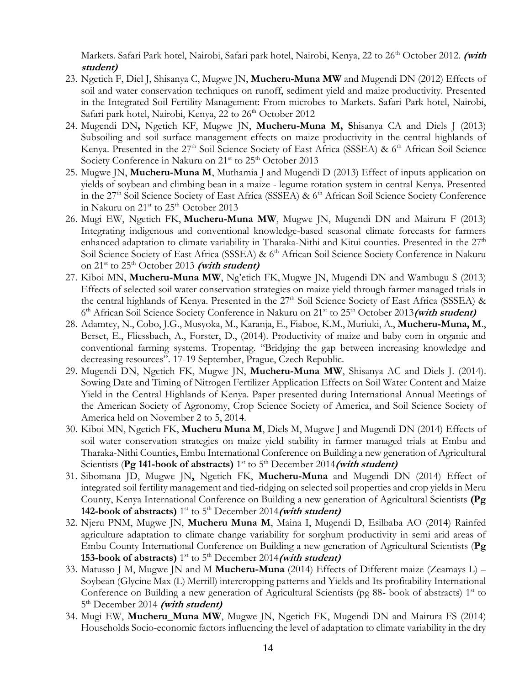Markets. Safari Park hotel, Nairobi, Safari park hotel, Nairobi, Kenya, 22 to 26<sup>th</sup> October 2012. (with **student)**

- 23. Ngetich F, Diel J, Shisanya C, Mugwe JN, **Mucheru-Muna MW** and Mugendi DN (2012) Effects of soil and water conservation techniques on runoff, sediment yield and maize productivity. Presented in the Integrated Soil Fertility Management: From microbes to Markets. Safari Park hotel, Nairobi, Safari park hotel, Nairobi, Kenya, 22 to 26<sup>th</sup> October 2012
- 24. Mugendi DN**,** Ngetich KF, Mugwe JN, **Mucheru-Muna M, S**hisanya CA and Diels J (2013) Subsoiling and soil surface management effects on maize productivity in the central highlands of Kenya. Presented in the  $27<sup>th</sup>$  Soil Science Society of East Africa (SSSEA) & 6<sup>th</sup> African Soil Science Society Conference in Nakuru on 21<sup>st</sup> to 25<sup>th</sup> October 2013
- 25. Mugwe JN, **Mucheru-Muna M**, Muthamia J and Mugendi D (2013) Effect of inputs application on yields of soybean and climbing bean in a maize - legume rotation system in central Kenya. Presented in the 27<sup>th</sup> Soil Science Society of East Africa (SSSEA) & 6<sup>th</sup> African Soil Science Society Conference in Nakuru on 21<sup>st</sup> to 25<sup>th</sup> October 2013
- 26. Mugi EW, Ngetich FK, **Mucheru-Muna MW**, Mugwe JN, Mugendi DN and Mairura F (2013) Integrating indigenous and conventional knowledge-based seasonal climate forecasts for farmers enhanced adaptation to climate variability in Tharaka-Nithi and Kitui counties. Presented in the  $27<sup>th</sup>$ Soil Science Society of East Africa (SSSEA) & 6<sup>th</sup> African Soil Science Society Conference in Nakuru on  $21^{st}$  to  $25^{th}$  October 2013 (with student)
- 27. Kiboi MN, **Mucheru-Muna MW**, Ng'etich FK, Mugwe JN, Mugendi DN and Wambugu S (2013) Effects of selected soil water conservation strategies on maize yield through farmer managed trials in the central highlands of Kenya. Presented in the 27<sup>th</sup> Soil Science Society of East Africa (SSSEA) & 6<sup>th</sup> African Soil Science Society Conference in Nakuru on 21<sup>st</sup> to 25<sup>th</sup> October 2013 (with student)
- 28. Adamtey, N., Cobo, J.G., Musyoka, M., Karanja, E., Fiaboe, K.M., Muriuki, A., **Mucheru-Muna, M**., Berset, E., Fliessbach, A., Forster, D., (2014). Productivity of maize and baby corn in organic and conventional farming systems. Tropentag. "Bridging the gap between increasing knowledge and decreasing resources". 17-19 September, Prague, Czech Republic.
- 29. Mugendi DN, Ngetich FK, Mugwe JN, **Mucheru-Muna MW**, Shisanya AC and Diels J. (2014). Sowing Date and Timing of Nitrogen Fertilizer Application Effects on Soil Water Content and Maize Yield in the Central Highlands of Kenya. Paper presented during International Annual Meetings of the American Society of Agronomy, Crop Science Society of America, and Soil Science Society of America held on November 2 to 5, 2014.
- 30. Kiboi MN, Ngetich FK, **Mucheru Muna M**, Diels M, Mugwe J and Mugendi DN (2014) Effects of soil water conservation strategies on maize yield stability in farmer managed trials at Embu and Tharaka-Nithi Counties, Embu International Conference on Building a new generation of Agricultural Scientists (Pg 141-book of abstracts) 1<sup>st</sup> to 5<sup>th</sup> December 2014 (with student)
- 31. Sibomana JD, Mugwe JN**,** Ngetich FK, **Mucheru-Muna** and Mugendi DN (2014) Effect of integrated soil fertility management and tied-ridging on selected soil properties and crop yields in Meru County, Kenya International Conference on Building a new generation of Agricultural Scientists **(Pg 142-book of abstracts)** 1<sup>st</sup> to 5<sup>th</sup> December 2014 *(with student)*
- 32. Njeru PNM, Mugwe JN, **Mucheru Muna M**, Maina I, Mugendi D, Esilbaba AO (2014) Rainfed agriculture adaptation to climate change variability for sorghum productivity in semi arid areas of Embu County International Conference on Building a new generation of Agricultural Scientists (**Pg 153-book of abstracts)** 1<sup>st</sup> to 5<sup>th</sup> December 2014 *(with student)*
- 33. Matusso J M, Mugwe JN and M **Mucheru-Muna** (2014) Effects of Different maize (Zeamays L) Soybean (Glycine Max (L) Merrill) intercropping patterns and Yields and Its profitability International Conference on Building a new generation of Agricultural Scientists (pg 88- book of abstracts)  $1<sup>st</sup>$  to 5<sup>th</sup> December 2014 (with student)
- 34. Mugi EW, **Mucheru\_Muna MW**, Mugwe JN, Ngetich FK, Mugendi DN and Mairura FS (2014) Households Socio-economic factors influencing the level of adaptation to climate variability in the dry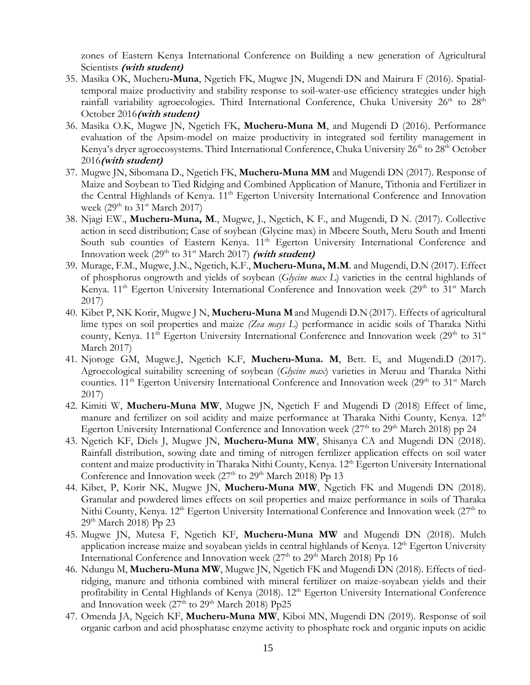zones of Eastern Kenya International Conference on Building a new generation of Agricultural Scientists **(with student)**

- 35. Masika OK, Mucheru**-Muna**, Ngetich FK, Mugwe JN, Mugendi DN and Mairura F (2016). Spatialtemporal maize productivity and stability response to soil-water-use efficiency strategies under high rainfall variability agroecologies. Third International Conference, Chuka University  $26<sup>th</sup>$  to  $28<sup>th</sup>$ October 2016**(with student)**
- 36. Masika O.K, Mugwe JN, Ngetich FK, **Mucheru-Muna M**, and Mugendi D (2016). Performance evaluation of the Apsim-model on maize productivity in integrated soil fertility management in Kenya's dryer agroecosystems. Third International Conference, Chuka University 26<sup>th</sup> to 28<sup>th</sup> October 2016**(with student)**
- 37. Mugwe JN, Sibomana D., Ngetich FK, **Mucheru-Muna MM** and Mugendi DN (2017). Response of Maize and Soybean to Tied Ridging and Combined Application of Manure, Tithonia and Fertilizer in the Central Highlands of Kenya. 11<sup>th</sup> Egerton University International Conference and Innovation week (29<sup>th</sup> to 31<sup>st</sup> March 2017)
- 38. Njagi EW., **Mucheru-Muna, M**., Mugwe, J., Ngetich, K F., and Mugendi, D N. (2017). Collective action in seed distribution; Case of soybean (Glycine max) in Mbeere South, Meru South and Imenti South sub counties of Eastern Kenya. 11<sup>th</sup> Egerton University International Conference and Innovation week  $(29<sup>th</sup>$  to  $31<sup>st</sup>$  March 2017) (with student)
- 39. Murage, F.M., Mugwe, J.N., Ngetich, K.F., **Mucheru-Muna, M.M**. and Mugendi, D.N (2017). Effect of phosphorus ongrowth and yields of soybean (*Glycine max L*) varieties in the central highlands of Kenya.  $11<sup>th</sup>$  Egerton University International Conference and Innovation week ( $29<sup>th</sup>$  to  $31<sup>st</sup>$  March 2017)
- 40. Kibet P, NK Korir, Mugwe J N, **Mucheru-Muna M**and Mugendi D.N(2017). Effects of agricultural lime types on soil properties and maize *(Zea mays L*) performance in acidic soils of Tharaka Nithi county, Kenya.  $11<sup>th</sup>$  Egerton University International Conference and Innovation week (29<sup>th</sup> to 31<sup>st</sup>) March 2017)
- 41. Njoroge GM, Mugwe.J, Ngetich K.F, **Mucheru-Muna. M**, Bett. E, and Mugendi.D (2017). Agroecological suitability screening of soybean (*Glycine max*) varieties in Meruu and Tharaka Nithi counties.  $11<sup>th</sup>$  Egerton University International Conference and Innovation week ( $29<sup>th</sup>$  to  $31<sup>st</sup>$  March 2017)
- 42. Kimiti W, **Mucheru-Muna MW**, Mugwe JN, Ngetich F and Mugendi D (2018) Effect of lime, manure and fertilizer on soil acidity and maize performance at Tharaka Nithi County, Kenya. 12<sup>th</sup> Egerton University International Conference and Innovation week (27<sup>th</sup> to 29<sup>th</sup> March 2018) pp 24
- 43. Ngetich KF, Diels J, Mugwe JN, **Mucheru-Muna MW**, Shisanya CA and Mugendi DN (2018). Rainfall distribution, sowing date and timing of nitrogen fertilizer application effects on soil water content and maize productivity in Tharaka Nithi County, Kenya. 12<sup>th</sup> Egerton University International Conference and Innovation week (27<sup>th</sup> to 29<sup>th</sup> March 2018) Pp 13
- 44. Kibet, P, Korir NK, Mugwe JN, **Mucheru-Muna MW**, Ngetich FK and Mugendi DN (2018). Granular and powdered limes effects on soil properties and maize performance in soils of Tharaka Nithi County, Kenya. 12<sup>th</sup> Egerton University International Conference and Innovation week (27<sup>th</sup> to 29<sup>th</sup> March 2018) Pp 23
- 45. Mugwe JN, Mutesa F, Ngetich KF, **Mucheru-Muna MW** and Mugendi DN (2018). Mulch application increase maize and soyabean yields in central highlands of Kenya. 12<sup>th</sup> Egerton University International Conference and Innovation week (27<sup>th</sup> to 29<sup>th</sup> March 2018) Pp 16
- 46. Ndungu M, **Mucheru-Muna MW**, Mugwe JN, Ngetich FK and Mugendi DN (2018). Effects of tiedridging, manure and tithonia combined with mineral fertilizer on maize-soyabean yields and their profitability in Cental Highlands of Kenya (2018). 12<sup>th</sup> Egerton University International Conference and Innovation week (27<sup>th</sup> to 29<sup>th</sup> March 2018) Pp25
- 47. Omenda JA, Ngeich KF, **Mucheru-Muna MW**, Kiboi MN, Mugendi DN (2019). Response of soil organic carbon and acid phosphatase enzyme activity to phosphate rock and organic inputs on acidic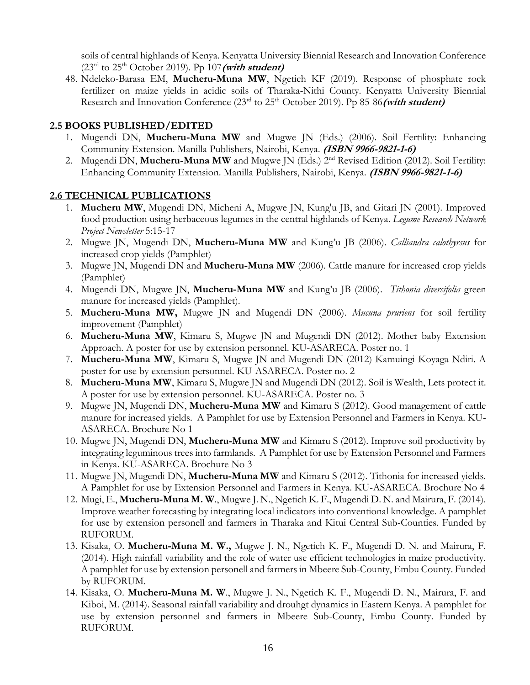soils of central highlands of Kenya. Kenyatta University Biennial Research and Innovation Conference  $(23<sup>rd</sup>$  to  $25<sup>th</sup>$  October 2019). Pp 107 (with student)

48. Ndeleko-Barasa EM, **Mucheru-Muna MW**, Ngetich KF (2019). Response of phosphate rock fertilizer on maize yields in acidic soils of Tharaka-Nithi County. Kenyatta University Biennial Research and Innovation Conference (23<sup>rd</sup> to 25<sup>th</sup> October 2019). Pp 85-86 (with student)

#### **2.5 BOOKS PUBLISHED/EDITED**

- 1. Mugendi DN, **Mucheru-Muna MW** and Mugwe JN (Eds.) (2006). Soil Fertility: Enhancing Community Extension. Manilla Publishers, Nairobi, Kenya. **(ISBN 9966-9821-1-6)**
- 2. Mugendi DN, Mucheru-Muna MW and Mugwe JN (Eds.) 2<sup>nd</sup> Revised Edition (2012). Soil Fertility: Enhancing Community Extension. Manilla Publishers, Nairobi, Kenya. **(ISBN 9966-9821-1-6)**

#### **2.6 TECHNICAL PUBLICATIONS**

- 1. **Mucheru MW**, Mugendi DN, Micheni A, Mugwe JN, Kung'u JB, and Gitari JN (2001). Improved food production using herbaceous legumes in the central highlands of Kenya. *Legume Research Network Project Newsletter* 5:15-17
- 2. Mugwe JN, Mugendi DN, **Mucheru-Muna MW** and Kung'u JB (2006). *Calliandra calothyrsus* for increased crop yields (Pamphlet)
- 3. Mugwe JN, Mugendi DN and **Mucheru-Muna MW** (2006). Cattle manure for increased crop yields (Pamphlet)
- 4. Mugendi DN, Mugwe JN, **Mucheru-Muna MW** and Kung'u JB (2006). *Tithonia diversifolia* green manure for increased yields (Pamphlet).
- 5. **Mucheru-Muna MW,** Mugwe JN and Mugendi DN (2006). *Mucuna pruriens* for soil fertility improvement (Pamphlet)
- 6. **Mucheru-Muna MW**, Kimaru S, Mugwe JN and Mugendi DN (2012). Mother baby Extension Approach. A poster for use by extension personnel. KU-ASARECA. Poster no. 1
- 7. **Mucheru-Muna MW**, Kimaru S, Mugwe JN and Mugendi DN (2012) Kamuingi Koyaga Ndiri. A poster for use by extension personnel. KU-ASARECA. Poster no. 2
- 8. **Mucheru-Muna MW**, Kimaru S, Mugwe JN and Mugendi DN (2012). Soil is Wealth, Lets protect it. A poster for use by extension personnel. KU-ASARECA. Poster no. 3
- 9. Mugwe JN, Mugendi DN, **Mucheru-Muna MW** and Kimaru S (2012). Good management of cattle manure for increased yields. A Pamphlet for use by Extension Personnel and Farmers in Kenya. KU-ASARECA. Brochure No 1
- 10. Mugwe JN, Mugendi DN, **Mucheru-Muna MW** and Kimaru S (2012). Improve soil productivity by integrating leguminous trees into farmlands. A Pamphlet for use by Extension Personnel and Farmers in Kenya. KU-ASARECA. Brochure No 3
- 11. Mugwe JN, Mugendi DN, **Mucheru-Muna MW** and Kimaru S (2012). Tithonia for increased yields. A Pamphlet for use by Extension Personnel and Farmers in Kenya. KU-ASARECA. Brochure No 4
- 12. Mugi, E., **Mucheru-Muna M. W**., Mugwe J. N., Ngetich K. F., Mugendi D. N. and Mairura, F. (2014). Improve weather forecasting by integrating local indicators into conventional knowledge. A pamphlet for use by extension personell and farmers in Tharaka and Kitui Central Sub-Counties. Funded by RUFORUM.
- 13. Kisaka, O. **Mucheru-Muna M. W.,** Mugwe J. N., Ngetich K. F., Mugendi D. N. and Mairura, F. (2014). High rainfall variability and the role of water use efficient technologies in maize productivity. A pamphlet for use by extension personell and farmers in Mbeere Sub-County, Embu County. Funded by RUFORUM.
- 14. Kisaka, O. **Mucheru-Muna M. W**., Mugwe J. N., Ngetich K. F., Mugendi D. N., Mairura, F. and Kiboi, M. (2014). Seasonal rainfall variability and drouhgt dynamics in Eastern Kenya. A pamphlet for use by extension personnel and farmers in Mbeere Sub-County, Embu County. Funded by RUFORUM.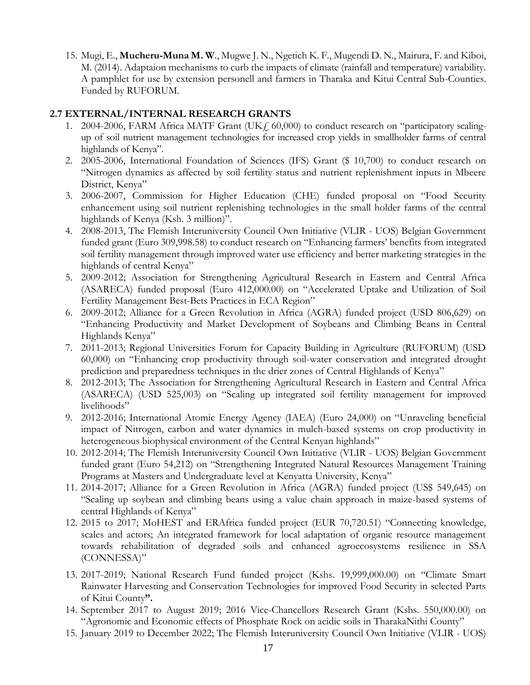15. Mugi, E., **Mucheru-Muna M. W**., Mugwe J. N., Ngetich K. F., Mugendi D. N., Mairura, F. and Kiboi, M. (2014). Adaptaion mechanisms to curb the impacts of climate (rainfall and temperature) variability. A pamphlet for use by extension personell and farmers in Tharaka and Kitui Central Sub-Counties. Funded by RUFORUM.

#### **2.7 EXTERNAL/INTERNAL RESEARCH GRANTS**

- 1. 2004-2006, FARM Africa MATF Grant (UK<sub>f</sub>, 60,000) to conduct research on "participatory scalingup of soil nutrient management technologies for increased crop yields in smallholder farms of central highlands of Kenya".
- 2. 2005-2006, International Foundation of Sciences (IFS) Grant (\$ 10,700) to conduct research on "Nitrogen dynamics as affected by soil fertility status and nutrient replenishment inputs in Mbeere District, Kenya"
- 3. 2006-2007, Commission for Higher Education (CHE) funded proposal on "Food Security enhancement using soil nutrient replenishing technologies in the small holder farms of the central highlands of Kenya (Ksh. 3 million)".
- 4. 2008-2013, The Flemish Interuniversity Council Own Initiative (VLIR UOS) Belgian Government funded grant (Euro 309,998.58) to conduct research on "Enhancing farmers' benefits from integrated soil fertility management through improved water use efficiency and better marketing strategies in the highlands of central Kenya"
- 5. 2009-2012; Association for Strengthening Agricultural Research in Eastern and Central Africa (ASARECA) funded proposal (Euro 412,000.00) on "Accelerated Uptake and Utilization of Soil Fertility Management Best-Bets Practices in ECA Region"
- 6. 2009-2012; Alliance for a Green Revolution in Africa (AGRA) funded project (USD 806,629) on "Enhancing Productivity and Market Development of Soybeans and Climbing Beans in Central Highlands Kenya"
- 7. 2011-2013; Regional Universities Forum for Capacity Building in Agriculture (RUFORUM) (USD 60,000) on "Enhancing crop productivity through soil-water conservation and integrated drought prediction and preparedness techniques in the drier zones of Central Highlands of Kenya"
- 8. 2012-2013; The Association for Strengthening Agricultural Research in Eastern and Central Africa (ASARECA) (USD 525,003) on "Scaling up integrated soil fertility management for improved livelihoods"
- 9. 2012-2016; International Atomic Energy Agency (IAEA) (Euro 24,000) on "Unraveling beneficial impact of Nitrogen, carbon and water dynamics in mulch-based systems on crop productivity in heterogeneous biophysical environment of the Central Kenyan highlands"
- 10. 2012-2014; The Flemish Interuniversity Council Own Initiative (VLIR UOS) Belgian Government funded grant (Euro 54,212) on "Strengthening Integrated Natural Resources Management Training Programs at Masters and Undergraduate level at Kenyatta University, Kenya"
- 11. 2014-2017; Alliance for a Green Revolution in Africa (AGRA) funded project (US\$ 549,645) on "Scaling up soybean and climbing beans using a value chain approach in maize-based systems of central Highlands of Kenya"
- 12. 2015 to 2017; MoHEST and ERAfrica funded project (EUR 70,720.51) "Connecting knowledge, scales and actors; An integrated framework for local adaptation of organic resource management towards rehabilitation of degraded soils and enhanced agroecosystems resilience in SSA (CONNESSA)"
- 13. 2017-2019; National Research Fund funded project (Kshs. 19,999,000.00) on "Climate Smart Rainwater Harvesting and Conservation Technologies for improved Food Security in selected Parts of Kitui County**".**
- 14. September 2017 to August 2019; 2016 Vice-Chancellors Research Grant (Kshs. 550,000.00) on "Agronomic and Economic effects of Phosphate Rock on acidic soils in TharakaNithi County"
- 15. January 2019 to December 2022; The Flemish Interuniversity Council Own Initiative (VLIR UOS)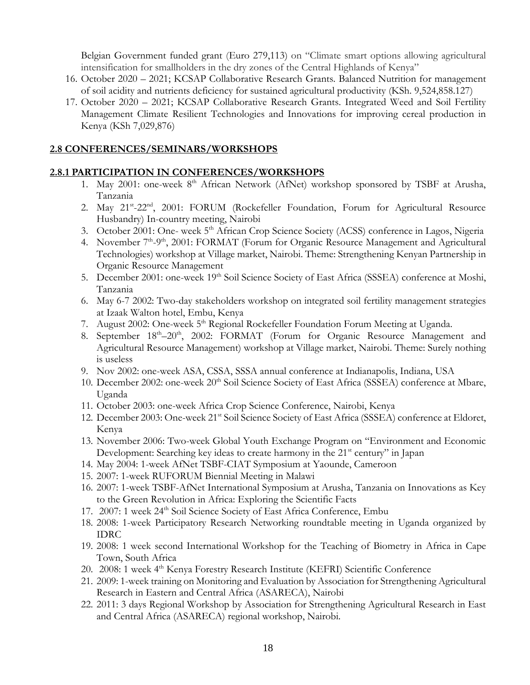Belgian Government funded grant (Euro 279,113) on "Climate smart options allowing agricultural intensification for smallholders in the dry zones of the Central Highlands of Kenya"

- 16. October 2020 2021; KCSAP Collaborative Research Grants. Balanced Nutrition for management of soil acidity and nutrients deficiency for sustained agricultural productivity (KSh. 9,524,858.127)
- 17. October 2020 2021; KCSAP Collaborative Research Grants. Integrated Weed and Soil Fertility Management Climate Resilient Technologies and Innovations for improving cereal production in Kenya (KSh 7,029,876)

#### **2.8 CONFERENCES/SEMINARS/WORKSHOPS**

#### **2.8.1 PARTICIPATION IN CONFERENCES/WORKSHOPS**

- 1. May 2001: one-week 8<sup>th</sup> African Network (AfNet) workshop sponsored by TSBF at Arusha, Tanzania
- 2. May 21<sup>st</sup>-22<sup>nd</sup>, 2001: FORUM (Rockefeller Foundation, Forum for Agricultural Resource Husbandry) In-country meeting, Nairobi
- 3. October 2001: One- week 5<sup>th</sup> African Crop Science Society (ACSS) conference in Lagos, Nigeria
- 4. November 7<sup>th</sup>-9<sup>th</sup>, 2001: FORMAT (Forum for Organic Resource Management and Agricultural Technologies) workshop at Village market, Nairobi. Theme: Strengthening Kenyan Partnership in Organic Resource Management
- 5. December 2001: one-week 19<sup>th</sup> Soil Science Society of East Africa (SSSEA) conference at Moshi, Tanzania
- 6. May 6-7 2002: Two-day stakeholders workshop on integrated soil fertility management strategies at Izaak Walton hotel, Embu, Kenya
- 7. August 2002: One-week 5<sup>th</sup> Regional Rockefeller Foundation Forum Meeting at Uganda.
- 8. September 18<sup>th</sup>-20<sup>th</sup>, 2002: FORMAT (Forum for Organic Resource Management and Agricultural Resource Management) workshop at Village market, Nairobi. Theme: Surely nothing is useless
- 9. Nov 2002: one-week ASA, CSSA, SSSA annual conference at Indianapolis, Indiana, USA
- 10. December 2002: one-week 20<sup>th</sup> Soil Science Society of East Africa (SSSEA) conference at Mbare, Uganda
- 11. October 2003: one-week Africa Crop Science Conference, Nairobi, Kenya
- 12. December 2003: One-week 21<sup>st</sup> Soil Science Society of East Africa (SSSEA) conference at Eldoret, Kenya
- 13. November 2006: Two-week Global Youth Exchange Program on "Environment and Economic Development: Searching key ideas to create harmony in the  $21<sup>st</sup>$  century" in Japan
- 14. May 2004: 1-week AfNet TSBF-CIAT Symposium at Yaounde, Cameroon
- 15. 2007: 1-week RUFORUM Biennial Meeting in Malawi
- 16. 2007: 1-week TSBF-AfNet International Symposium at Arusha, Tanzania on Innovations as Key to the Green Revolution in Africa: Exploring the Scientific Facts
- 17. 2007: 1 week 24<sup>th</sup> Soil Science Society of East Africa Conference, Embu
- 18. 2008: 1-week Participatory Research Networking roundtable meeting in Uganda organized by IDRC
- 19. 2008: 1 week second International Workshop for the Teaching of Biometry in Africa in Cape Town, South Africa
- 20. 2008: 1 week 4<sup>th</sup> Kenya Forestry Research Institute (KEFRI) Scientific Conference
- 21. 2009: 1-week training on Monitoring and Evaluation by Association for Strengthening Agricultural Research in Eastern and Central Africa (ASARECA), Nairobi
- 22. 2011: 3 days Regional Workshop by Association for Strengthening Agricultural Research in East and Central Africa (ASARECA) regional workshop, Nairobi.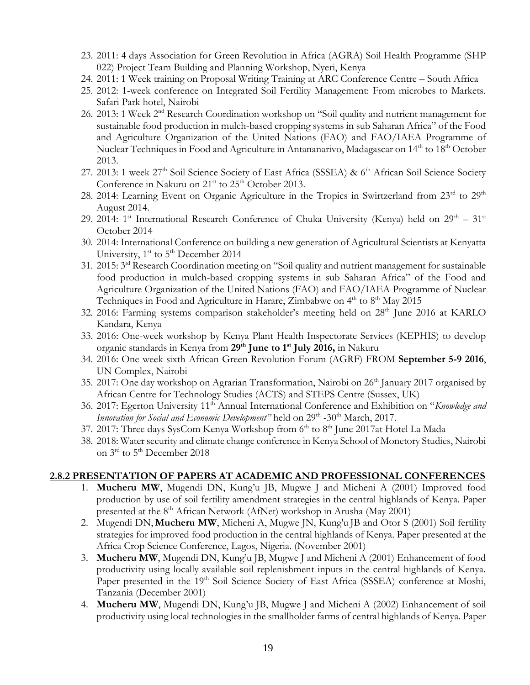- 23. 2011: 4 days Association for Green Revolution in Africa (AGRA) Soil Health Programme (SHP 022) Project Team Building and Planning Workshop, Nyeri, Kenya
- 24. 2011: 1 Week training on Proposal Writing Training at ARC Conference Centre South Africa
- 25. 2012: 1-week conference on Integrated Soil Fertility Management: From microbes to Markets. Safari Park hotel, Nairobi
- 26. 2013: 1 Week 2nd Research Coordination workshop on "Soil quality and nutrient management for sustainable food production in mulch-based cropping systems in sub Saharan Africa" of the Food and Agriculture Organization of the United Nations (FAO) and FAO/IAEA Programme of Nuclear Techniques in Food and Agriculture in Antananarivo, Madagascar on 14<sup>th</sup> to 18<sup>th</sup> October 2013.
- 27. 2013: 1 week 27<sup>th</sup> Soil Science Society of East Africa (SSSEA) & 6<sup>th</sup> African Soil Science Society Conference in Nakuru on  $21<sup>st</sup>$  to  $25<sup>th</sup>$  October 2013.
- 28. 2014: Learning Event on Organic Agriculture in the Tropics in Swirtzerland from 23<sup>rd</sup> to 29<sup>th</sup> August 2014.
- 29. 2014: 1<sup>st</sup> International Research Conference of Chuka University (Kenya) held on  $29<sup>th</sup> 31<sup>st</sup>$ October 2014
- 30. 2014: International Conference on building a new generation of Agricultural Scientists at Kenyatta University,  $1<sup>st</sup>$  to  $5<sup>th</sup>$  December 2014
- 31. 2015: 3rd Research Coordination meeting on "Soil quality and nutrient management for sustainable food production in mulch-based cropping systems in sub Saharan Africa" of the Food and Agriculture Organization of the United Nations (FAO) and FAO/IAEA Programme of Nuclear Techniques in Food and Agriculture in Harare, Zimbabwe on  $4<sup>th</sup>$  to  $8<sup>th</sup>$  May 2015
- 32. 2016: Farming systems comparison stakeholder's meeting held on 28<sup>th</sup> June 2016 at KARLO Kandara, Kenya
- 33. 2016: One-week workshop by Kenya Plant Health Inspectorate Services (KEPHIS) to develop organic standards in Kenya from **29th June to 1st July 2016,** in Nakuru
- 34. 2016: One week sixth African Green Revolution Forum (AGRF) FROM **September 5-9 2016**, UN Complex, Nairobi
- 35. 2017: One day workshop on Agrarian Transformation, Nairobi on 26<sup>th</sup> January 2017 organised by African Centre for Technology Studies (ACTS) and STEPS Centre (Sussex, UK)
- 36. 2017: Egerton University 11th Annual International Conference and Exhibition on "*Knowledge and*  Innovation for Social and Economic Development" held on 29<sup>th</sup> -30<sup>th</sup> March, 2017.
- 37. 2017: Three days SysCom Kenya Workshop from  $6<sup>th</sup>$  to  $8<sup>th</sup>$  June 2017at Hotel La Mada
- 38. 2018: Water security and climate change conference in Kenya School of Monetory Studies, Nairobi on 3<sup>rd</sup> to 5<sup>th</sup> December 2018

#### **2.8.2 PRESENTATION OF PAPERS AT ACADEMIC AND PROFESSIONAL CONFERENCES**

- 1. **Mucheru MW**, Mugendi DN, Kung'u JB, Mugwe J and Micheni A (2001) Improved food production by use of soil fertility amendment strategies in the central highlands of Kenya. Paper presented at the  $8<sup>th</sup>$  African Network (AfNet) workshop in Arusha (May 2001)
- 2. Mugendi DN, **Mucheru MW**, Micheni A, Mugwe JN, Kung'u JB and Otor S (2001) Soil fertility strategies for improved food production in the central highlands of Kenya. Paper presented at the Africa Crop Science Conference, Lagos, Nigeria. (November 2001)
- 3. **Mucheru MW**, Mugendi DN, Kung'u JB, Mugwe J and Micheni A (2001) Enhancement of food productivity using locally available soil replenishment inputs in the central highlands of Kenya. Paper presented in the 19<sup>th</sup> Soil Science Society of East Africa (SSSEA) conference at Moshi, Tanzania (December 2001)
- 4. **Mucheru MW**, Mugendi DN, Kung'u JB, Mugwe J and Micheni A (2002) Enhancement of soil productivity using local technologies in the smallholder farms of central highlands of Kenya. Paper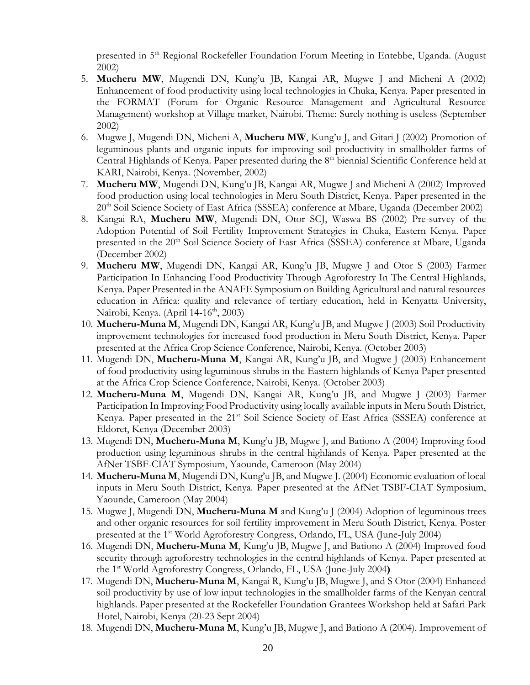presented in 5<sup>th</sup> Regional Rockefeller Foundation Forum Meeting in Entebbe, Uganda. (August 2002)

- 5. **Mucheru MW**, Mugendi DN, Kung'u JB, Kangai AR, Mugwe J and Micheni A (2002) Enhancement of food productivity using local technologies in Chuka, Kenya. Paper presented in the FORMAT (Forum for Organic Resource Management and Agricultural Resource Management) workshop at Village market, Nairobi. Theme: Surely nothing is useless (September 2002)
- 6. Mugwe J, Mugendi DN, Micheni A, **Mucheru MW**, Kung'u J, and Gitari J (2002) Promotion of leguminous plants and organic inputs for improving soil productivity in smallholder farms of Central Highlands of Kenya. Paper presented during the 8<sup>th</sup> biennial Scientific Conference held at KARI, Nairobi, Kenya. (November, 2002)
- 7. **Mucheru MW**, Mugendi DN, Kung'u JB, Kangai AR, Mugwe J and Micheni A (2002) Improved food production using local technologies in Meru South District, Kenya. Paper presented in the 20<sup>th</sup> Soil Science Society of East Africa (SSSEA) conference at Mbare, Uganda (December 2002)
- 8. Kangai RA, **Mucheru MW**, Mugendi DN, Otor SCJ, Waswa BS (2002) Pre-survey of the Adoption Potential of Soil Fertility Improvement Strategies in Chuka, Eastern Kenya. Paper presented in the 20<sup>th</sup> Soil Science Society of East Africa (SSSEA) conference at Mbare, Uganda (December 2002)
- 9. **Mucheru MW**, Mugendi DN, Kangai AR, Kung'u JB, Mugwe J and Otor S (2003) Farmer Participation In Enhancing Food Productivity Through Agroforestry In The Central Highlands, Kenya. Paper Presented in the ANAFE Symposium on Building Agricultural and natural resources education in Africa: quality and relevance of tertiary education, held in Kenyatta University, Nairobi, Kenya. (April 14-16<sup>th</sup>, 2003)
- 10. **Mucheru-Muna M**, Mugendi DN, Kangai AR, Kung'u JB, and Mugwe J (2003) Soil Productivity improvement technologies for increased food production in Meru South District, Kenya. Paper presented at the Africa Crop Science Conference, Nairobi, Kenya. (October 2003)
- 11. Mugendi DN, **Mucheru-Muna M**, Kangai AR, Kung'u JB, and Mugwe J (2003) Enhancement of food productivity using leguminous shrubs in the Eastern highlands of Kenya Paper presented at the Africa Crop Science Conference, Nairobi, Kenya. (October 2003)
- 12. **Mucheru-Muna M**, Mugendi DN, Kangai AR, Kung'u JB, and Mugwe J (2003) Farmer Participation In Improving Food Productivity using locally available inputs in Meru South District, Kenya. Paper presented in the 21<sup>st</sup> Soil Science Society of East Africa (SSSEA) conference at Eldoret, Kenya (December 2003)
- 13. Mugendi DN, **Mucheru-Muna M**, Kung'u JB, Mugwe J, and Bationo A (2004) Improving food production using leguminous shrubs in the central highlands of Kenya. Paper presented at the AfNet TSBF-CIAT Symposium, Yaounde, Cameroon (May 2004)
- 14. **Mucheru-Muna M**, Mugendi DN, Kung'u JB, and Mugwe J. (2004) Economic evaluation of local inputs in Meru South District, Kenya. Paper presented at the AfNet TSBF-CIAT Symposium, Yaounde, Cameroon (May 2004)
- 15. Mugwe J, Mugendi DN, **Mucheru-Muna M** and Kung'u J (2004) Adoption of leguminous trees and other organic resources for soil fertility improvement in Meru South District, Kenya. Poster presented at the 1<sup>st</sup> World Agroforestry Congress, Orlando, FL, USA (June-July 2004)
- 16. Mugendi DN, **Mucheru-Muna M**, Kung'u JB, Mugwe J, and Bationo A (2004) Improved food security through agroforestry technologies in the central highlands of Kenya. Paper presented at the 1st World Agroforestry Congress, Orlando, FL, USA (June-July 2004**)**
- 17. Mugendi DN, **Mucheru-Muna M**, Kangai R, Kung'u JB, Mugwe J, and S Otor (2004) Enhanced soil productivity by use of low input technologies in the smallholder farms of the Kenyan central highlands. Paper presented at the Rockefeller Foundation Grantees Workshop held at Safari Park Hotel, Nairobi, Kenya (20-23 Sept 2004)
- 18. Mugendi DN, **Mucheru-Muna M**, Kung'u JB, Mugwe J, and Bationo A (2004). Improvement of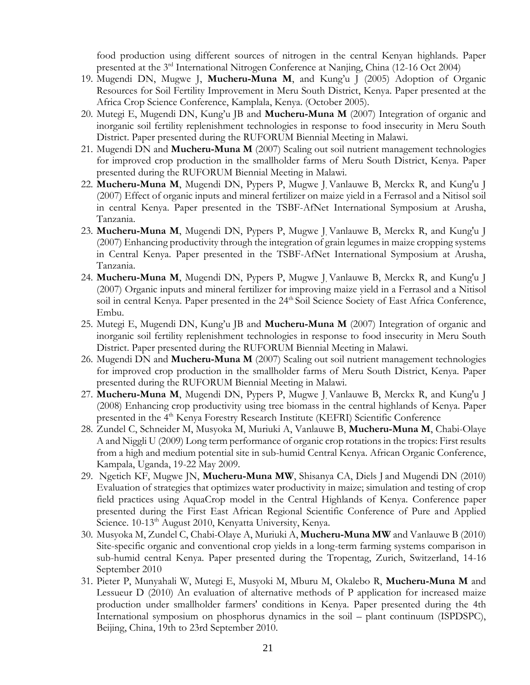food production using different sources of nitrogen in the central Kenyan highlands. Paper presented at the 3rd International Nitrogen Conference at Nanjing, China (12-16 Oct 2004)

- 19. Mugendi DN, Mugwe J, **Mucheru-Muna M**, and Kung'u J (2005) Adoption of Organic Resources for Soil Fertility Improvement in Meru South District, Kenya. Paper presented at the Africa Crop Science Conference, Kamplala, Kenya. (October 2005).
- 20. Mutegi E, Mugendi DN, Kung'u JB and **Mucheru-Muna M** (2007) Integration of organic and inorganic soil fertility replenishment technologies in response to food insecurity in Meru South District. Paper presented during the RUFORUM Biennial Meeting in Malawi.
- 21. Mugendi DN and **Mucheru-Muna M** (2007) Scaling out soil nutrient management technologies for improved crop production in the smallholder farms of Meru South District, Kenya. Paper presented during the RUFORUM Biennial Meeting in Malawi.
- 22. **Mucheru-Muna M**, Mugendi DN, Pypers P, Mugwe J, Vanlauwe B, Merckx R, and Kung'u J (2007) Effect of organic inputs and mineral fertilizer on maize yield in a Ferrasol and a Nitisol soil in central Kenya. Paper presented in the TSBF-AfNet International Symposium at Arusha, Tanzania.
- 23. **Mucheru-Muna M**, Mugendi DN, Pypers P, Mugwe J, Vanlauwe B, Merckx R, and Kung'u J (2007) Enhancing productivity through the integration of grain legumes in maize cropping systems in Central Kenya. Paper presented in the TSBF-AfNet International Symposium at Arusha, Tanzania.
- 24. **Mucheru-Muna M**, Mugendi DN, Pypers P, Mugwe J, Vanlauwe B, Merckx R, and Kung'u J (2007) Organic inputs and mineral fertilizer for improving maize yield in a Ferrasol and a Nitisol soil in central Kenya. Paper presented in the 24<sup>th</sup> Soil Science Society of East Africa Conference, Embu.
- 25. Mutegi E, Mugendi DN, Kung'u JB and **Mucheru-Muna M** (2007) Integration of organic and inorganic soil fertility replenishment technologies in response to food insecurity in Meru South District. Paper presented during the RUFORUM Biennial Meeting in Malawi.
- 26. Mugendi DN and **Mucheru-Muna M** (2007) Scaling out soil nutrient management technologies for improved crop production in the smallholder farms of Meru South District, Kenya. Paper presented during the RUFORUM Biennial Meeting in Malawi.
- 27. **Mucheru-Muna M**, Mugendi DN, Pypers P, Mugwe J, Vanlauwe B, Merckx R, and Kung'u J (2008) Enhancing crop productivity using tree biomass in the central highlands of Kenya. Paper presented in the 4<sup>th</sup> Kenya Forestry Research Institute (KEFRI) Scientific Conference
- 28. Zundel C, Schneider M, Musyoka M, Muriuki A, Vanlauwe B, **Mucheru-Muna M**, Chabi-Olaye A and Niggli U (2009) Long term performance of organic crop rotations in the tropics: First results from a high and medium potential site in sub-humid Central Kenya. African Organic Conference, Kampala, Uganda, 19-22 May 2009.
- 29. Ngetich KF, Mugwe JN, **Mucheru-Muna MW**, Shisanya CA, Diels J and Mugendi DN (2010) Evaluation of strategies that optimizes water productivity in maize; simulation and testing of crop field practices using AquaCrop model in the Central Highlands of Kenya. Conference paper presented during the First East African Regional Scientific Conference of Pure and Applied Science. 10-13<sup>th</sup> August 2010, Kenyatta University, Kenya.
- 30. Musyoka M, Zundel C, Chabi-Olaye A, Muriuki A, **Mucheru-Muna MW** and Vanlauwe B (2010) Site-specific organic and conventional crop yields in a long-term farming systems comparison in sub-humid central Kenya. Paper presented during the Tropentag, Zurich, Switzerland, 14-16 September 2010
- 31. Pieter P, Munyahali W, Mutegi E, Musyoki M, Mburu M, Okalebo R, **Mucheru-Muna M** and Lessueur D (2010) An evaluation of alternative methods of P application for increased maize production under smallholder farmers' conditions in Kenya. Paper presented during the 4th International symposium on phosphorus dynamics in the soil – plant continuum (ISPDSPC), Beijing, China, 19th to 23rd September 2010.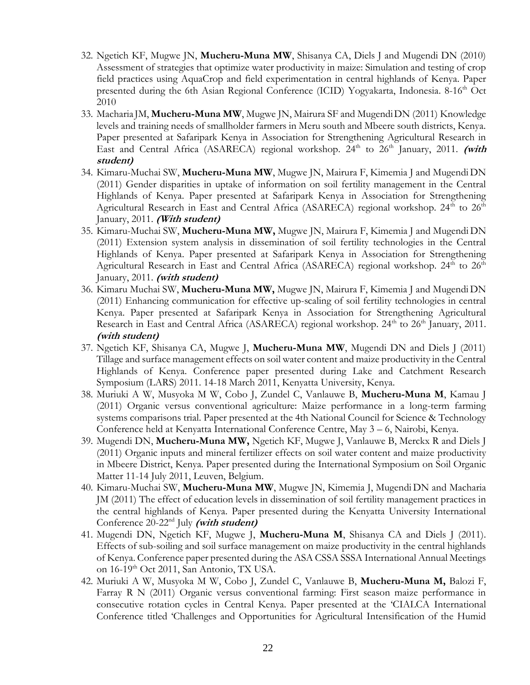- 32. Ngetich KF, Mugwe JN, **Mucheru-Muna MW**, Shisanya CA, Diels J and Mugendi DN (2010) Assessment of strategies that optimize water productivity in maize: Simulation and testing of crop field practices using AquaCrop and field experimentation in central highlands of Kenya. Paper presented during the 6th Asian Regional Conference (ICID) Yogyakarta, Indonesia. 8-16th Oct 2010
- 33. Macharia JM, **Mucheru-Muna MW**, Mugwe JN, Mairura SF and MugendiDN (2011) Knowledge levels and training needs of smallholder farmers in Meru south and Mbeere south districts, Kenya. Paper presented at Safaripark Kenya in Association for Strengthening Agricultural Research in East and Central Africa (ASARECA) regional workshop. 24<sup>th</sup> to 26<sup>th</sup> January, 2011. (with **student)**
- 34. Kimaru-Muchai SW, **Mucheru-Muna MW**, Mugwe JN, Mairura F, Kimemia J and MugendiDN (2011) Gender disparities in uptake of information on soil fertility management in the Central Highlands of Kenya. Paper presented at Safaripark Kenya in Association for Strengthening Agricultural Research in East and Central Africa (ASARECA) regional workshop. 24<sup>th</sup> to 26<sup>th</sup> January, 2011. **(With student)**
- 35. Kimaru-Muchai SW, **Mucheru-Muna MW,** Mugwe JN, Mairura F, Kimemia J and MugendiDN (2011) Extension system analysis in dissemination of soil fertility technologies in the Central Highlands of Kenya. Paper presented at Safaripark Kenya in Association for Strengthening Agricultural Research in East and Central Africa (ASARECA) regional workshop. 24<sup>th</sup> to 26<sup>th</sup> January, 2011. **(with student)**
- 36. Kimaru Muchai SW, **Mucheru-Muna MW,** Mugwe JN, Mairura F, Kimemia J and MugendiDN (2011) Enhancing communication for effective up-scaling of soil fertility technologies in central Kenya. Paper presented at Safaripark Kenya in Association for Strengthening Agricultural Research in East and Central Africa (ASARECA) regional workshop. 24<sup>th</sup> to 26<sup>th</sup> January, 2011. **(with student)**
- 37. Ngetich KF, Shisanya CA, Mugwe J, **Mucheru-Muna MW**, Mugendi DN and Diels J (2011) Tillage and surface management effects on soil water content and maize productivity in the Central Highlands of Kenya. Conference paper presented during Lake and Catchment Research Symposium (LARS) 2011. 14-18 March 2011, Kenyatta University, Kenya.
- 38. Muriuki A W, Musyoka M W, Cobo J, Zundel C, Vanlauwe B, **Mucheru-Muna M**, Kamau J (2011) Organic versus conventional agriculture: Maize performance in a long-term farming systems comparisons trial. Paper presented at the 4th National Council for Science & Technology Conference held at Kenyatta International Conference Centre, May 3 – 6, Nairobi, Kenya.
- 39. Mugendi DN, **Mucheru-Muna MW,** Ngetich KF, Mugwe J, Vanlauwe B, Merckx R and Diels J (2011) Organic inputs and mineral fertilizer effects on soil water content and maize productivity in Mbeere District, Kenya. Paper presented during the International Symposium on Soil Organic Matter 11-14 July 2011, Leuven, Belgium.
- 40. Kimaru-Muchai SW, **Mucheru-Muna MW**, Mugwe JN, Kimemia J, MugendiDN and Macharia JM (2011) The effect of education levels in dissemination of soil fertility management practices in the central highlands of Kenya. Paper presented during the Kenyatta University International Conference 20-22nd July **(with student)**
- 41. Mugendi DN, Ngetich KF, Mugwe J, **Mucheru-Muna M**, Shisanya CA and Diels J (2011). Effects of sub-soiling and soil surface management on maize productivity in the central highlands of Kenya. Conference paper presented during the ASA CSSA SSSA International Annual Meetings on 16-19th Oct 2011, San Antonio, TX USA.
- 42. Muriuki A W, Musyoka M W, Cobo J, Zundel C, Vanlauwe B, **Mucheru-Muna M,** Balozi F, Farray R N (2011) Organic versus conventional farming: First season maize performance in consecutive rotation cycles in Central Kenya. Paper presented at the 'CIALCA International Conference titled 'Challenges and Opportunities for Agricultural Intensification of the Humid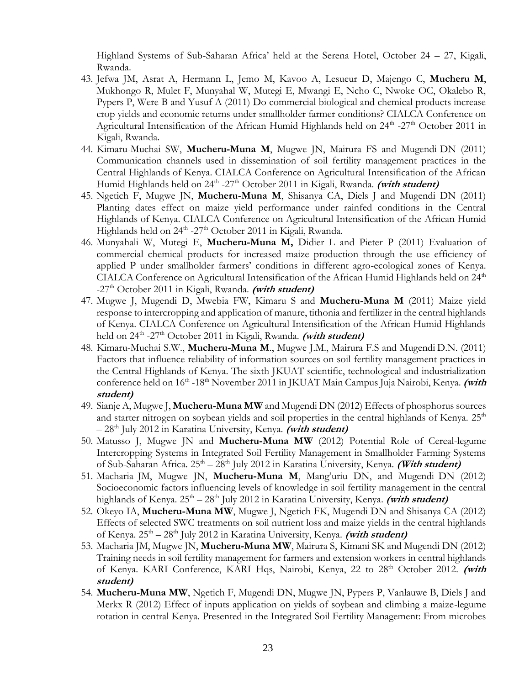Highland Systems of Sub-Saharan Africa' held at the Serena Hotel, October 24 – 27, Kigali, Rwanda.

- 43. Jefwa JM, Asrat A, Hermann L, Jemo M, Kavoo A, Lesueur D, Majengo C, **Mucheru M**, Mukhongo R, Mulet F, Munyahal W, Mutegi E, Mwangi E, Ncho C, Nwoke OC, Okalebo R, Pypers P, Were B and Yusuf A (2011) Do commercial biological and chemical products increase crop yields and economic returns under smallholder farmer conditions? CIALCA Conference on Agricultural Intensification of the African Humid Highlands held on 24<sup>th</sup> -27<sup>th</sup> October 2011 in Kigali, Rwanda.
- 44. Kimaru-Muchai SW, **Mucheru-Muna M**, Mugwe JN, Mairura FS and Mugendi DN (2011) Communication channels used in dissemination of soil fertility management practices in the Central Highlands of Kenya. CIALCA Conference on Agricultural Intensification of the African Humid Highlands held on 24<sup>th</sup> -27<sup>th</sup> October 2011 in Kigali, Rwanda. (with student)
- 45. Ngetich F, Mugwe JN, **Mucheru-Muna M**, Shisanya CA, Diels J and Mugendi DN (2011) Planting dates effect on maize yield performance under rainfed conditions in the Central Highlands of Kenya. CIALCA Conference on Agricultural Intensification of the African Humid Highlands held on 24<sup>th</sup> -27<sup>th</sup> October 2011 in Kigali, Rwanda.
- 46. Munyahali W, Mutegi E, **Mucheru-Muna M,** Didier L and Pieter P (2011) Evaluation of commercial chemical products for increased maize production through the use efficiency of applied P under smallholder farmers' conditions in different agro-ecological zones of Kenya. CIALCA Conference on Agricultural Intensification of the African Humid Highlands held on  $24<sup>th</sup>$ -27<sup>th</sup> October 2011 in Kigali, Rwanda. (with student)
- 47. Mugwe J, Mugendi D, Mwebia FW, Kimaru S and **Mucheru-Muna M** (2011) Maize yield response to intercropping and application of manure, tithonia and fertilizer in the central highlands of Kenya. CIALCA Conference on Agricultural Intensification of the African Humid Highlands held on 24<sup>th</sup> -27<sup>th</sup> October 2011 in Kigali, Rwanda. *(with student)*
- 48. Kimaru-Muchai S.W., **Mucheru-Muna M**., Mugwe J.M., Mairura F.S and Mugendi D.N. (2011) Factors that influence reliability of information sources on soil fertility management practices in the Central Highlands of Kenya. The sixth JKUAT scientific, technological and industrialization conference held on 16<sup>th</sup> -18<sup>th</sup> November 2011 in JKUAT Main Campus Juja Nairobi, Kenya. (with **student)**
- 49. Sianje A, Mugwe J, **Mucheru-Muna MW** and Mugendi DN (2012) Effects of phosphorus sources and starter nitrogen on soybean yields and soil properties in the central highlands of Kenya.  $25<sup>th</sup>$ – 28th July 2012 in Karatina University, Kenya. **(with student)**
- 50. Matusso J, Mugwe JN and **Mucheru-Muna MW** (2012) Potential Role of Cereal-legume Intercropping Systems in Integrated Soil Fertility Management in Smallholder Farming Systems of Sub-Saharan Africa. 25<sup>th</sup> – 28<sup>th</sup> July 2012 in Karatina University, Kenya. (With student)
- 51. Macharia JM, Mugwe JN, **Mucheru-Muna M**, Mang'uriu DN, and Mugendi DN (2012) Socioeconomic factors influencing levels of knowledge in soil fertility management in the central highlands of Kenya. 25<sup>th</sup> – 28<sup>th</sup> July 2012 in Karatina University, Kenya. *(with student)*
- 52. Okeyo IA, **Mucheru-Muna MW**, Mugwe J, Ngetich FK, Mugendi DN and Shisanya CA (2012) Effects of selected SWC treatments on soil nutrient loss and maize yields in the central highlands of Kenya. 25<sup>th</sup> – 28<sup>th</sup> July 2012 in Karatina University, Kenya. (with student)
- 53. Macharia JM, Mugwe JN, **Mucheru-Muna MW**, Mairura S, Kimani SK and Mugendi DN (2012) Training needs in soil fertility management for farmers and extension workers in central highlands of Kenya. KARI Conference, KARI Hqs, Nairobi, Kenya, 22 to 28<sup>th</sup> October 2012. (with **student)**
- 54. **Mucheru-Muna MW**, Ngetich F, Mugendi DN, Mugwe JN, Pypers P, Vanlauwe B, Diels J and Merkx R (2012) Effect of inputs application on yields of soybean and climbing a maize-legume rotation in central Kenya. Presented in the Integrated Soil Fertility Management: From microbes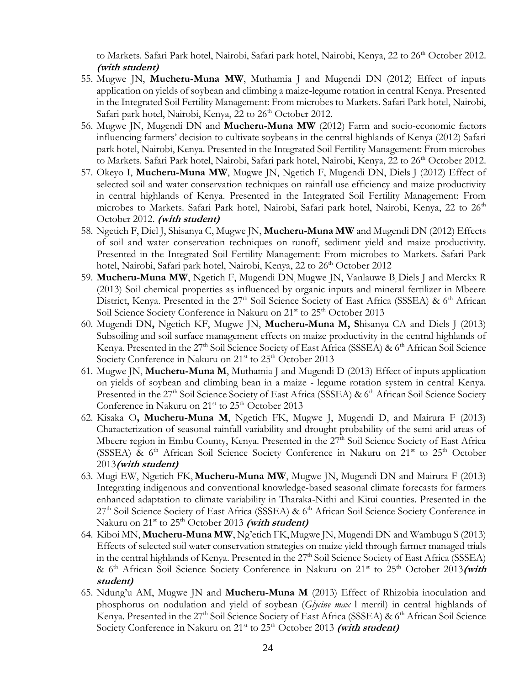to Markets. Safari Park hotel, Nairobi, Safari park hotel, Nairobi, Kenya, 22 to 26<sup>th</sup> October 2012. **(with student)**

- 55. Mugwe JN, **Mucheru-Muna MW**, Muthamia J and Mugendi DN (2012) Effect of inputs application on yields of soybean and climbing a maize-legume rotation in central Kenya. Presented in the Integrated Soil Fertility Management: From microbes to Markets. Safari Park hotel, Nairobi, Safari park hotel, Nairobi, Kenya, 22 to 26<sup>th</sup> October 2012.
- 56. Mugwe JN, Mugendi DN and **Mucheru-Muna MW** (2012) Farm and socio-economic factors influencing farmers' decision to cultivate soybeans in the central highlands of Kenya (2012) Safari park hotel, Nairobi, Kenya. Presented in the Integrated Soil Fertility Management: From microbes to Markets. Safari Park hotel, Nairobi, Safari park hotel, Nairobi, Kenya, 22 to 26<sup>th</sup> October 2012.
- 57. Okeyo I, **Mucheru-Muna MW**, Mugwe JN, Ngetich F, Mugendi DN, Diels J (2012) Effect of selected soil and water conservation techniques on rainfall use efficiency and maize productivity in central highlands of Kenya. Presented in the Integrated Soil Fertility Management: From microbes to Markets. Safari Park hotel, Nairobi, Safari park hotel, Nairobi, Kenya, 22 to 26<sup>th</sup> October 2012. **(with student)**
- 58. Ngetich F, Diel J, Shisanya C, Mugwe JN, **Mucheru-Muna MW** and Mugendi DN (2012) Effects of soil and water conservation techniques on runoff, sediment yield and maize productivity. Presented in the Integrated Soil Fertility Management: From microbes to Markets. Safari Park hotel, Nairobi, Safari park hotel, Nairobi, Kenya, 22 to 26<sup>th</sup> October 2012
- 59. **Mucheru-Muna MW**, Ngetich F, Mugendi DN, Mugwe JN, Vanlauwe B, Diels J and Merckx R (2013) Soil chemical properties as influenced by organic inputs and mineral fertilizer in Mbeere District, Kenya. Presented in the 27<sup>th</sup> Soil Science Society of East Africa (SSSEA) & 6<sup>th</sup> African Soil Science Society Conference in Nakuru on 21<sup>st</sup> to 25<sup>th</sup> October 2013
- 60. Mugendi DN**,** Ngetich KF, Mugwe JN, **Mucheru-Muna M, S**hisanya CA and Diels J (2013) Subsoiling and soil surface management effects on maize productivity in the central highlands of Kenya. Presented in the 27<sup>th</sup> Soil Science Society of East Africa (SSSEA) & 6<sup>th</sup> African Soil Science Society Conference in Nakuru on  $21<sup>st</sup>$  to  $25<sup>th</sup>$  October 2013
- 61. Mugwe JN, **Mucheru-Muna M**, Muthamia J and Mugendi D (2013) Effect of inputs application on yields of soybean and climbing bean in a maize - legume rotation system in central Kenya. Presented in the 27<sup>th</sup> Soil Science Society of East Africa (SSSEA) & 6<sup>th</sup> African Soil Science Society Conference in Nakuru on 21<sup>st</sup> to 25<sup>th</sup> October 2013
- 62. Kisaka O**, Mucheru-Muna M**, Ngetich FK, Mugwe J, Mugendi D, and Mairura F (2013) Characterization of seasonal rainfall variability and drought probability of the semi arid areas of Mbeere region in Embu County, Kenya. Presented in the 27<sup>th</sup> Soil Science Society of East Africa (SSSEA) &  $6<sup>th</sup>$  African Soil Science Society Conference in Nakuru on  $21<sup>st</sup>$  to  $25<sup>th</sup>$  October 2013**(with student)**
- 63. Mugi EW, Ngetich FK, **Mucheru-Muna MW**, Mugwe JN, Mugendi DN and Mairura F (2013) Integrating indigenous and conventional knowledge-based seasonal climate forecasts for farmers enhanced adaptation to climate variability in Tharaka-Nithi and Kitui counties. Presented in the  $27<sup>th</sup>$  Soil Science Society of East Africa (SSSEA) &  $6<sup>th</sup>$  African Soil Science Society Conference in Nakuru on 21<sup>st</sup> to 25<sup>th</sup> October 2013 (with student)
- 64. Kiboi MN, **Mucheru-Muna MW**, Ng'etich FK,Mugwe JN, Mugendi DN and Wambugu S (2013) Effects of selected soil water conservation strategies on maize yield through farmer managed trials in the central highlands of Kenya. Presented in the  $27<sup>th</sup>$  Soil Science Society of East Africa (SSSEA) & 6<sup>th</sup> African Soil Science Society Conference in Nakuru on 21<sup>st</sup> to 25<sup>th</sup> October 2013(with **student)**
- 65. Ndung'u AM, Mugwe JN and **Mucheru-Muna M** (2013) Effect of Rhizobia inoculation and phosphorus on nodulation and yield of soybean (*Glycine max* l merril) in central highlands of Kenya. Presented in the  $27<sup>th</sup>$  Soil Science Society of East Africa (SSSEA) &  $6<sup>th</sup>$  African Soil Science Society Conference in Nakuru on 21<sup>st</sup> to 25<sup>th</sup> October 2013 (with student)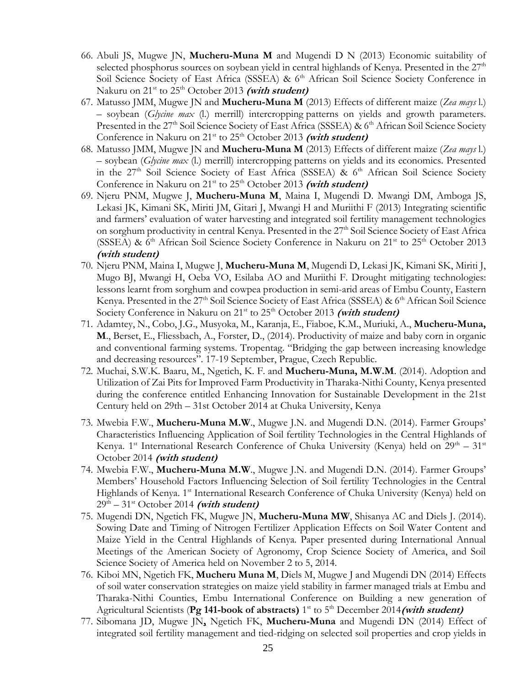- 66. Abuli JS, Mugwe JN, **Mucheru-Muna M** and Mugendi D N (2013) Economic suitability of selected phosphorus sources on soybean yield in central highlands of Kenya. Presented in the  $27<sup>th</sup>$ Soil Science Society of East Africa (SSSEA) & 6<sup>th</sup> African Soil Science Society Conference in Nakuru on 21<sup>st</sup> to 25<sup>th</sup> October 2013 (with student)
- 67. Matusso JMM, Mugwe JN and **Mucheru-Muna M** (2013) Effects of different maize (*Zea mays* l.) – soybean (*Glycine max* (l.) merrill) intercropping patterns on yields and growth parameters. Presented in the 27<sup>th</sup> Soil Science Society of East Africa (SSSEA) & 6<sup>th</sup> African Soil Science Society Conference in Nakuru on  $21^{st}$  to  $25^{th}$  October 2013 (with student)
- 68. Matusso JMM, Mugwe JN and **Mucheru-Muna M** (2013) Effects of different maize (*Zea mays* l.) – soybean (*Glycine max* (l.) merrill) intercropping patterns on yields and its economics. Presented in the  $27<sup>th</sup>$  Soil Science Society of East Africa (SSSEA) &  $6<sup>th</sup>$  African Soil Science Society Conference in Nakuru on  $21^{st}$  to  $25^{th}$  October 2013 (with student)
- 69. Njeru PNM, Mugwe J, **Mucheru-Muna M**, Maina I, Mugendi D. Mwangi DM, Amboga JS, Lekasi JK, Kimani SK, Miriti JM, Gitari J, Mwangi H and Muriithi F (2013) Integrating scientific and farmers' evaluation of water harvesting and integrated soil fertility management technologies on sorghum productivity in central Kenya. Presented in the 27<sup>th</sup> Soil Science Society of East Africa (SSSEA) & 6<sup>th</sup> African Soil Science Society Conference in Nakuru on 21<sup>st</sup> to 25<sup>th</sup> October 2013 **(with student)**
- 70. Njeru PNM, Maina I, Mugwe J, **Mucheru-Muna M**, Mugendi D, Lekasi JK, Kimani SK, Miriti J, Mugo BJ, Mwangi H, Oeba VO, Esilaba AO and Muriithi F. Drought mitigating technologies: lessons learnt from sorghum and cowpea production in semi-arid areas of Embu County, Eastern Kenya. Presented in the 27<sup>th</sup> Soil Science Society of East Africa (SSSEA) & 6<sup>th</sup> African Soil Science Society Conference in Nakuru on 21<sup>st</sup> to 25<sup>th</sup> October 2013 (with student)
- 71. Adamtey, N., Cobo, J.G., Musyoka, M., Karanja, E., Fiaboe, K.M., Muriuki, A., **Mucheru-Muna, M**., Berset, E., Fliessbach, A., Forster, D., (2014). Productivity of maize and baby corn in organic and conventional farming systems. Tropentag. "Bridging the gap between increasing knowledge and decreasing resources". 17-19 September, Prague, Czech Republic.
- 72. Muchai, S.W.K. Baaru, M., Ngetich, K. F. and **Mucheru-Muna, M.W.M**. (2014). Adoption and Utilization of Zai Pits for Improved Farm Productivity in Tharaka-Nithi County, Kenya presented during the conference entitled Enhancing Innovation for Sustainable Development in the 21st Century held on 29th – 31st October 2014 at Chuka University, Kenya
- 73. Mwebia F.W., **Mucheru-Muna M.W**., Mugwe J.N. and Mugendi D.N. (2014). Farmer Groups' Characteristics Influencing Application of Soil fertility Technologies in the Central Highlands of Kenya. 1<sup>st</sup> International Research Conference of Chuka University (Kenya) held on  $29^{th} - 31^{st}$ October 2014 **(with student)**
- 74. Mwebia F.W., **Mucheru-Muna M.W**., Mugwe J.N. and Mugendi D.N. (2014). Farmer Groups' Members' Household Factors Influencing Selection of Soil fertility Technologies in the Central Highlands of Kenya. 1<sup>st</sup> International Research Conference of Chuka University (Kenya) held on 29th – 31st October 2014 **(with student)**
- 75. Mugendi DN, Ngetich FK, Mugwe JN, **Mucheru-Muna MW**, Shisanya AC and Diels J. (2014). Sowing Date and Timing of Nitrogen Fertilizer Application Effects on Soil Water Content and Maize Yield in the Central Highlands of Kenya. Paper presented during International Annual Meetings of the American Society of Agronomy, Crop Science Society of America, and Soil Science Society of America held on November 2 to 5, 2014.
- 76. Kiboi MN, Ngetich FK, **Mucheru Muna M**, Diels M, Mugwe J and Mugendi DN (2014) Effects of soil water conservation strategies on maize yield stability in farmer managed trials at Embu and Tharaka-Nithi Counties, Embu International Conference on Building a new generation of Agricultural Scientists (Pg 141-book of abstracts) 1<sup>st</sup> to 5<sup>th</sup> December 2014 (with student)
- 77. Sibomana JD, Mugwe JN**,** Ngetich FK, **Mucheru-Muna** and Mugendi DN (2014) Effect of integrated soil fertility management and tied-ridging on selected soil properties and crop yields in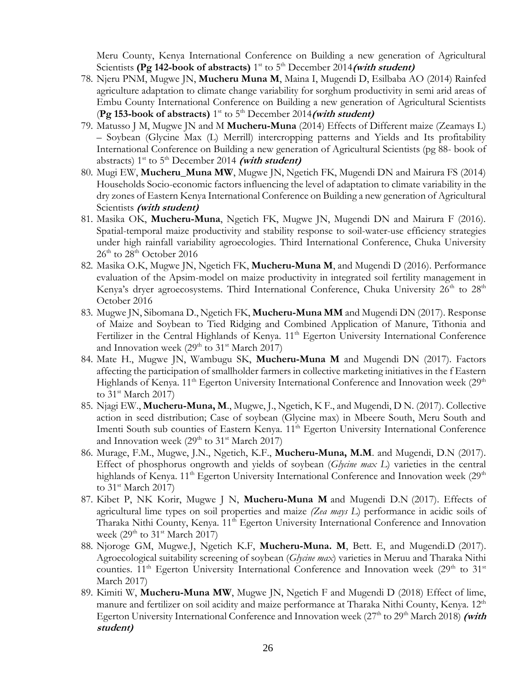Meru County, Kenya International Conference on Building a new generation of Agricultural Scientists (Pg 142-book of abstracts) 1<sup>st</sup> to 5<sup>th</sup> December 2014 (with student)

- 78. Njeru PNM, Mugwe JN, **Mucheru Muna M**, Maina I, Mugendi D, Esilbaba AO (2014) Rainfed agriculture adaptation to climate change variability for sorghum productivity in semi arid areas of Embu County International Conference on Building a new generation of Agricultural Scientists (**Pg 153-book of abstracts)** 1 st to 5th December 2014**(with student)**
- 79. Matusso J M, Mugwe JN and M **Mucheru-Muna** (2014) Effects of Different maize (Zeamays L) – Soybean (Glycine Max (L) Merrill) intercropping patterns and Yields and Its profitability International Conference on Building a new generation of Agricultural Scientists (pg 88- book of abstracts)  $1^{st}$  to  $5^{th}$  December 2014 *(with student)*
- 80. Mugi EW, **Mucheru\_Muna MW**, Mugwe JN, Ngetich FK, Mugendi DN and Mairura FS (2014) Households Socio-economic factors influencing the level of adaptation to climate variability in the dry zones of Eastern Kenya International Conference on Building a new generation of Agricultural Scientists **(with student)**
- 81. Masika OK, **Mucheru-Muna**, Ngetich FK, Mugwe JN, Mugendi DN and Mairura F (2016). Spatial-temporal maize productivity and stability response to soil-water-use efficiency strategies under high rainfall variability agroecologies. Third International Conference, Chuka University  $26<sup>th</sup>$  to  $28<sup>th</sup>$  October 2016
- 82. Masika O.K, Mugwe JN, Ngetich FK, **Mucheru-Muna M**, and Mugendi D (2016). Performance evaluation of the Apsim-model on maize productivity in integrated soil fertility management in Kenya's dryer agroecosystems. Third International Conference, Chuka University  $26<sup>th</sup>$  to  $28<sup>th</sup>$ October 2016
- 83. Mugwe JN, Sibomana D., Ngetich FK, **Mucheru-Muna MM** and Mugendi DN (2017). Response of Maize and Soybean to Tied Ridging and Combined Application of Manure, Tithonia and Fertilizer in the Central Highlands of Kenya. 11<sup>th</sup> Egerton University International Conference and Innovation week  $(29<sup>th</sup>$  to  $31<sup>st</sup>$  March 2017)
- 84. Mate H., Mugwe JN, Wambugu SK, **Mucheru-Muna M** and Mugendi DN (2017). Factors affecting the participation of smallholder farmers in collective marketing initiatives in the f Eastern Highlands of Kenya.  $11<sup>th</sup>$  Egerton University International Conference and Innovation week ( $29<sup>th</sup>$ to 31<sup>st</sup> March 2017)
- 85. Njagi EW., **Mucheru-Muna, M**., Mugwe, J., Ngetich, K F., and Mugendi, D N. (2017). Collective action in seed distribution; Case of soybean (Glycine max) in Mbeere South, Meru South and Imenti South sub counties of Eastern Kenya. 11<sup>th</sup> Egerton University International Conference and Innovation week  $(29<sup>th</sup>$  to  $31<sup>st</sup>$  March 2017)
- 86. Murage, F.M., Mugwe, J.N., Ngetich, K.F., **Mucheru-Muna, M.M**. and Mugendi, D.N (2017). Effect of phosphorus ongrowth and yields of soybean (*Glycine max L*) varieties in the central highlands of Kenya.  $11<sup>th</sup>$  Egerton University International Conference and Innovation week (29<sup>th</sup>) to  $31^{\text{st}}$  March 2017)
- 87. Kibet P, NK Korir, Mugwe J N, **Mucheru-Muna M** and Mugendi D.N (2017). Effects of agricultural lime types on soil properties and maize *(Zea mays L*) performance in acidic soils of Tharaka Nithi County, Kenya. 11<sup>th</sup> Egerton University International Conference and Innovation week (29<sup>th</sup> to 31<sup>st</sup> March 2017)
- 88. Njoroge GM, Mugwe.J, Ngetich K.F, **Mucheru-Muna. M**, Bett. E, and Mugendi.D (2017). Agroecological suitability screening of soybean (*Glycine max*) varieties in Meruu and Tharaka Nithi counties.  $11<sup>th</sup>$  Egerton University International Conference and Innovation week (29<sup>th</sup> to 31<sup>st</sup> March 2017)
- 89. Kimiti W, **Mucheru-Muna MW**, Mugwe JN, Ngetich F and Mugendi D (2018) Effect of lime, manure and fertilizer on soil acidity and maize performance at Tharaka Nithi County, Kenya. 12<sup>th</sup> Egerton University International Conference and Innovation week (27<sup>th</sup> to 29<sup>th</sup> March 2018) (with **student)**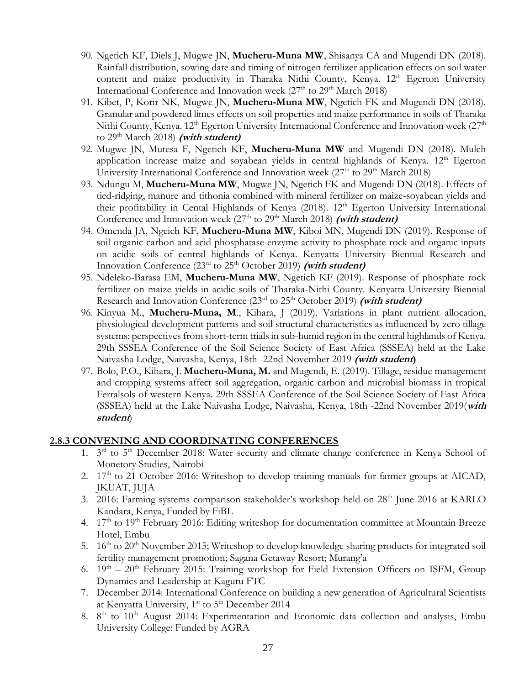- 90. Ngetich KF, Diels J, Mugwe JN, **Mucheru-Muna MW**, Shisanya CA and Mugendi DN (2018). Rainfall distribution, sowing date and timing of nitrogen fertilizer application effects on soil water content and maize productivity in Tharaka Nithi County, Kenya. 12<sup>th</sup> Egerton University International Conference and Innovation week (27<sup>th</sup> to 29<sup>th</sup> March 2018)
- 91. Kibet, P, Korir NK, Mugwe JN, **Mucheru-Muna MW**, Ngetich FK and Mugendi DN (2018). Granular and powdered limes effects on soil properties and maize performance in soils of Tharaka Nithi County, Kenya. 12<sup>th</sup> Egerton University International Conference and Innovation week (27<sup>th</sup> to 29<sup>th</sup> March 2018) *(with student)*
- 92. Mugwe JN, Mutesa F, Ngetich KF, **Mucheru-Muna MW** and Mugendi DN (2018). Mulch application increase maize and soyabean yields in central highlands of Kenya. 12<sup>th</sup> Egerton University International Conference and Innovation week (27<sup>th</sup> to 29<sup>th</sup> March 2018)
- 93. Ndungu M, **Mucheru-Muna MW**, Mugwe JN, Ngetich FK and Mugendi DN (2018). Effects of tied-ridging, manure and tithonia combined with mineral fertilizer on maize-soyabean yields and their profitability in Cental Highlands of Kenya (2018). 12<sup>th</sup> Egerton University International Conference and Innovation week (27<sup>th</sup> to 29<sup>th</sup> March 2018) (with student)
- 94. Omenda JA, Ngeich KF, **Mucheru-Muna MW**, Kiboi MN, Mugendi DN (2019). Response of soil organic carbon and acid phosphatase enzyme activity to phosphate rock and organic inputs on acidic soils of central highlands of Kenya. Kenyatta University Biennial Research and Innovation Conference  $(23<sup>rd</sup>$  to  $25<sup>th</sup>$  October 2019) (with student)
- 95. Ndeleko-Barasa EM, **Mucheru-Muna MW**, Ngetich KF (2019). Response of phosphate rock fertilizer on maize yields in acidic soils of Tharaka-Nithi County. Kenyatta University Biennial Research and Innovation Conference  $(23<sup>rd</sup>$  to  $25<sup>th</sup>$  October 2019) (with student)
- 96. Kinyua M., **Mucheru-Muna, M**., Kihara, J (2019). Variations in plant nutrient allocation, physiological development patterns and soil structural characteristics as influenced by zero tillage systems: perspectives from short-term trials in sub-humid region in the central highlands of Kenya. 29th SSSEA Conference of the Soil Science Society of East Africa (SSSEA) held at the Lake Naivasha Lodge, Naivasha, Kenya, 18th -22nd November 2019 **(with student)**
- 97. Bolo, P.O., Kihara, J. **Mucheru-Muna, M.** and Mugendi, E. (2019). Tillage, residue management and cropping systems affect soil aggregation, organic carbon and microbial biomass in tropical Ferralsols of western Kenya. 29th SSSEA Conference of the Soil Science Society of East Africa (SSSEA) held at the Lake Naivasha Lodge, Naivasha, Kenya, 18th -22nd November 2019(**with student**)

## **2.8.3 CONVENING AND COORDINATING CONFERENCES**

- 1. 3<sup>rd</sup> to 5<sup>th</sup> December 2018: Water security and climate change conference in Kenya School of Monetory Studies, Nairobi
- 2.  $17<sup>th</sup>$  to 21 October 2016: Writeshop to develop training manuals for farmer groups at AICAD, JKUAT, JUJA
- 3. 2016: Farming systems comparison stakeholder's workshop held on 28<sup>th</sup> June 2016 at KARLO Kandara, Kenya, Funded by FiBL
- 4. 17<sup>th</sup> to 19<sup>th</sup> February 2016: Editing writeshop for documentation committee at Mountain Breeze Hotel, Embu
- 5.  $16<sup>th</sup>$  to  $20<sup>th</sup>$  November 2015; Writeshop to develop knowledge sharing products for integrated soil fertility management promotion; Sagana Getaway Resort; Murang'a
- 6.  $19<sup>th</sup> 20<sup>th</sup>$  February 2015: Training workshop for Field Extension Officers on ISFM, Group Dynamics and Leadership at Kaguru FTC
- 7. December 2014: International Conference on building a new generation of Agricultural Scientists at Kenyatta University,  $1^{st}$  to  $5^{th}$  December 2014
- 8. 8<sup>th</sup> to 10<sup>th</sup> August 2014: Experimentation and Economic data collection and analysis, Embu University College: Funded by AGRA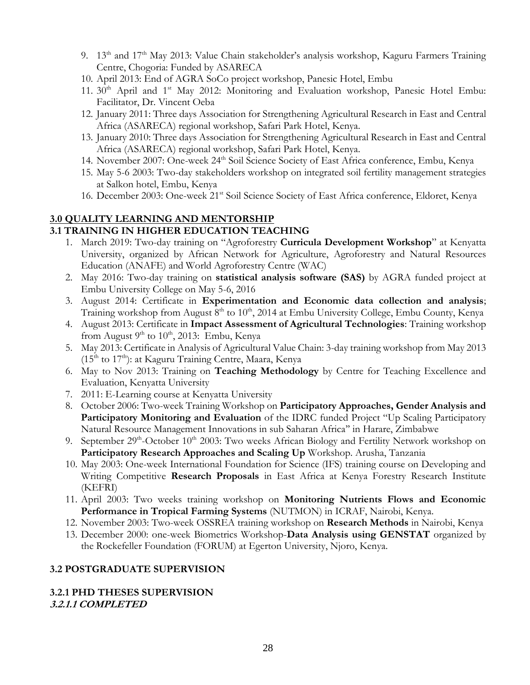- 9. 13<sup>th</sup> and 17<sup>th</sup> May 2013: Value Chain stakeholder's analysis workshop, Kaguru Farmers Training Centre, Chogoria: Funded by ASARECA
- 10. April 2013: End of AGRA SoCo project workshop, Panesic Hotel, Embu
- 11.  $30<sup>th</sup>$  April and  $1<sup>st</sup>$  May 2012: Monitoring and Evaluation workshop, Panesic Hotel Embu: Facilitator, Dr. Vincent Oeba
- 12. January 2011: Three days Association for Strengthening Agricultural Research in East and Central Africa (ASARECA) regional workshop, Safari Park Hotel, Kenya.
- 13. January 2010: Three days Association for Strengthening Agricultural Research in East and Central Africa (ASARECA) regional workshop, Safari Park Hotel, Kenya.
- 14. November 2007: One-week 24<sup>th</sup> Soil Science Society of East Africa conference, Embu, Kenya
- 15. May 5-6 2003: Two-day stakeholders workshop on integrated soil fertility management strategies at Salkon hotel, Embu, Kenya
- 16. December 2003: One-week 21<sup>st</sup> Soil Science Society of East Africa conference, Eldoret, Kenya

## **3.0 QUALITY LEARNING AND MENTORSHIP**

## **3.1 TRAINING IN HIGHER EDUCATION TEACHING**

- 1. March 2019: Two-day training on "Agroforestry **Curricula Development Workshop**" at Kenyatta University, organized by African Network for Agriculture, Agroforestry and Natural Resources Education (ANAFE) and World Agroforestry Centre (WAC)
- 2. May 2016: Two-day training on **statistical analysis software (SAS)** by AGRA funded project at Embu University College on May 5-6, 2016
- 3. August 2014: Certificate in **Experimentation and Economic data collection and analysis**; Training workshop from August 8<sup>th</sup> to 10<sup>th</sup>, 2014 at Embu University College, Embu County, Kenya
- 4. August 2013: Certificate in **Impact Assessment of Agricultural Technologies**: Training workshop from August 9<sup>th</sup> to  $10^{th}$ , 2013: Embu, Kenya
- 5. May 2013: Certificate in Analysis of Agricultural Value Chain: 3-day training workshop from May 2013  $(15<sup>th</sup>$  to  $17<sup>th</sup>)$ : at Kaguru Training Centre, Maara, Kenya
- 6. May to Nov 2013: Training on **Teaching Methodology** by Centre for Teaching Excellence and Evaluation, Kenyatta University
- 7. 2011: E-Learning course at Kenyatta University
- 8. October 2006: Two-week Training Workshop on **Participatory Approaches, Gender Analysis and Participatory Monitoring and Evaluation** of the IDRC funded Project "Up Scaling Participatory Natural Resource Management Innovations in sub Saharan Africa'' in Harare, Zimbabwe
- 9. September 29<sup>th</sup>-October 10<sup>th</sup> 2003: Two weeks African Biology and Fertility Network workshop on **Participatory Research Approaches and Scaling Up** Workshop. Arusha, Tanzania
- 10. May 2003: One-week International Foundation for Science (IFS) training course on Developing and Writing Competitive **Research Proposals** in East Africa at Kenya Forestry Research Institute (KEFRI)
- 11. April 2003: Two weeks training workshop on **Monitoring Nutrients Flows and Economic Performance in Tropical Farming Systems** (NUTMON) in ICRAF, Nairobi, Kenya.
- 12. November 2003: Two-week OSSREA training workshop on **Research Methods** in Nairobi, Kenya
- 13. December 2000: one-week Biometrics Workshop-**Data Analysis using GENSTAT** organized by the Rockefeller Foundation (FORUM) at Egerton University, Njoro, Kenya.

## **3.2 POSTGRADUATE SUPERVISION**

#### **3.2.1 PHD THESES SUPERVISION 3.2.1.1 COMPLETED**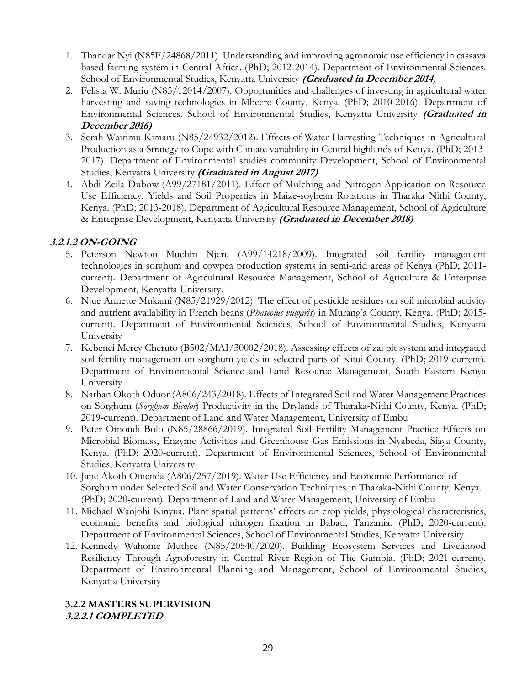- 1. Thandar Nyi (N85F/24868/2011). Understanding and improving agronomic use efficiency in cassava based farming system in Central Africa. (PhD; 2012-2014). Department of Environmental Sciences. School of Environmental Studies, Kenyatta University **(Graduated in December 2014***)*
- 2. Felista W. Muriu (N85/12014/2007). Opportunities and challenges of investing in agricultural water harvesting and saving technologies in Mbeere County, Kenya. (PhD; 2010-2016). Department of Environmental Sciences. School of Environmental Studies, Kenyatta University **(Graduated in December 2016)**
- 3. Serah Wairimu Kimaru (N85/24932/2012). Effects of Water Harvesting Techniques in Agricultural Production as a Strategy to Cope with Climate variability in Central highlands of Kenya. (PhD; 2013- 2017). Department of Environmental studies community Development, School of Environmental Studies, Kenyatta University **(Graduated in August 2017)**
- 4. Abdi Zeila Dubow (A99/27181/2011). Effect of Mulching and Nitrogen Application on Resource Use Efficiency, Yields and Soil Properties in Maize-soybean Rotations in Tharaka Nithi County, Kenya. (PhD; 2013-2018). Department of Agricultural Resource Management, School of Agriculture & Enterprise Development, Kenyatta University **(Graduated in December 2018)**

## **3.2.1.2 ON-GOING**

- 5. Peterson Newton Muchiri Njeru (A99/14218/2009). Integrated soil fertility management technologies in sorghum and cowpea production systems in semi-arid areas of Kenya (PhD; 2011 current). Department of Agricultural Resource Management, School of Agriculture & Enterprise Development, Kenyatta University.
- 6. Njue Annette Mukami (N85/21929/2012). The effect of pesticide residues on soil microbial activity and nutrient availability in French beans (*Phaseolus vulgaris*) in Murang'a County, Kenya. (PhD; 2015 current). Department of Environmental Sciences, School of Environmental Studies, Kenyatta University
- 7. Kebenei Mercy Cheruto (B502/MAI/30002/2018). Assessing effects of zai pit system and integrated soil fertility management on sorghum yields in selected parts of Kitui County. (PhD; 2019-current). Department of Environmental Science and Land Resource Management, South Eastern Kenya University
- 8. Nathan Okoth Oduor (A806/243/2018). Effects of Integrated Soil and Water Management Practices on Sorghum (*Sorghum Bicolor*) Productivity in the Drylands of Tharaka-Nithi County, Kenya. (PhD; 2019-current). Department of Land and Water Management, University of Embu
- 9. Peter Omondi Bolo (N85/28866/2019). Integrated Soil Fertility Management Practice Effects on Microbial Biomass, Enzyme Activities and Greenhouse Gas Emissions in Nyabeda, Siaya County, Kenya. (PhD; 2020-current). Department of Environmental Sciences, School of Environmental Studies, Kenyatta University
- 10. Jane Akoth Omenda (A806/257/2019). Water Use Efficiency and Economic Performance of Sorghum under Selected Soil and Water Conservation Techniques in Tharaka-Nithi County, Kenya. (PhD; 2020-current). Department of Land and Water Management, University of Embu
- 11. Michael Wanjohi Kinyua. Plant spatial patterns' effects on crop yields, physiological characteristics, economic benefits and biological nitrogen fixation in Babati, Tanzania. (PhD; 2020-current). Department of Environmental Sciences, School of Environmental Studies, Kenyatta University
- 12. Kennedy Wahome Muthee (N85/20540/2020). Building Ecosystem Services and Livelihood Resiliency Through Agroforestry in Central River Region of The Gambia. (PhD; 2021-current). Department of Environmental Planning and Management, School of Environmental Studies, Kenyatta University

#### **3.2.2 MASTERS SUPERVISION 3.2.2.1 COMPLETED**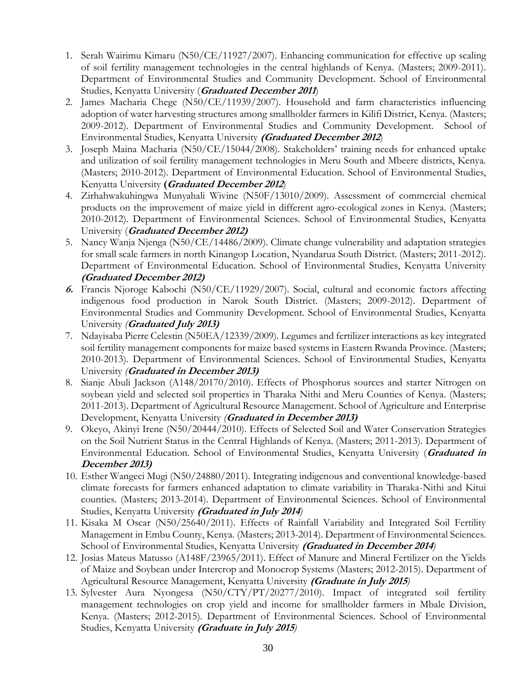- 1. Serah Wairimu Kimaru (N50/CE/11927/2007). Enhancing communication for effective up scaling of soil fertility management technologies in the central highlands of Kenya. (Masters; 2009-2011). Department of Environmental Studies and Community Development. School of Environmental Studies, Kenyatta University (**Graduated December 2011**)
- 2. James Macharia Chege (N50/CE/11939/2007). Household and farm characteristics influencing adoption of water harvesting structures among smallholder farmers in Kilifi District, Kenya. (Masters; 2009-2012). Department of Environmental Studies and Community Development. School of Environmental Studies, Kenyatta University **(Graduated December 2012**)
- 3. Joseph Maina Macharia (N50/CE/15044/2008). Stakeholders' training needs for enhanced uptake and utilization of soil fertility management technologies in Meru South and Mbeere districts, Kenya. (Masters; 2010-2012). Department of Environmental Education. School of Environmental Studies, Kenyatta University **(Graduated December 2012**)
- 4. Zirhahwakuhingwa Munyahali Wivine (N50F/13010/2009). Assessment of commercial chemical products on the improvement of maize yield in different agro-ecological zones in Kenya. (Masters; 2010-2012). Department of Environmental Sciences. School of Environmental Studies, Kenyatta University (**Graduated December 2012)**
- 5. Nancy Wanja Njenga (N50/CE/14486/2009). Climate change vulnerability and adaptation strategies for small scale farmers in north Kinangop Location, Nyandarua South District. (Masters; 2011-2012). Department of Environmental Education. School of Environmental Studies, Kenyatta University **(Graduated December 2012)**
- **6.** Francis Njoroge Kabochi (N50/CE/11929/2007). Social, cultural and economic factors affecting indigenous food production in Narok South District. (Masters; 2009-2012). Department of Environmental Studies and Community Development. School of Environmental Studies, Kenyatta University *(***Graduated July 2013)**
- 7. Ndayisaba Pierre Celestin (N50EA/12339/2009). Legumes and fertilizer interactions as key integrated soil fertility management components for maize based systems in Eastern Rwanda Province. (Masters; 2010-2013). Department of Environmental Sciences. School of Environmental Studies, Kenyatta University *(***Graduated in December 2013)**
- 8. Sianje Abuli Jackson (A148/20170/2010). Effects of Phosphorus sources and starter Nitrogen on soybean yield and selected soil properties in Tharaka Nithi and Meru Counties of Kenya. (Masters; 2011-2013). Department of Agricultural Resource Management. School of Agriculture and Enterprise Development, Kenyatta University *(***Graduated in December 2013)**
- 9. Okeyo, Akinyi Irene (N50/20444/2010). Effects of Selected Soil and Water Conservation Strategies on the Soil Nutrient Status in the Central Highlands of Kenya. (Masters; 2011-2013). Department of Environmental Education. School of Environmental Studies, Kenyatta University (**Graduated in December 2013)**
- 10. Esther Wangeci Mugi (N50/24880/2011). Integrating indigenous and conventional knowledge-based climate forecasts for farmers enhanced adaptation to climate variability in Tharaka-Nithi and Kitui counties. (Masters; 2013-2014). Department of Environmental Sciences. School of Environmental Studies, Kenyatta University **(Graduated in July 2014***)*
- 11. Kisaka M Oscar (N50/25640/2011). Effects of Rainfall Variability and Integrated Soil Fertility Management in Embu County, Kenya. (Masters; 2013-2014). Department of Environmental Sciences. School of Environmental Studies, Kenyatta University **(Graduated in December 2014***)*
- 12. Josias Mateus Matusso (A148F/23965/2011). Effect of Manure and Mineral Fertilizer on the Yields of Maize and Soybean under Intercrop and Monocrop Systems (Masters; 2012-2015). Department of Agricultural Resource Management, Kenyatta University **(Graduate in July 2015***)*
- 13. Sylvester Aura Nyongesa (N50/CTY/PT/20277/2010). Impact of integrated soil fertility management technologies on crop yield and income for smallholder farmers in Mbale Division, Kenya. (Masters; 2012-2015). Department of Environmental Sciences. School of Environmental Studies, Kenyatta University **(Graduate in July 2015***)*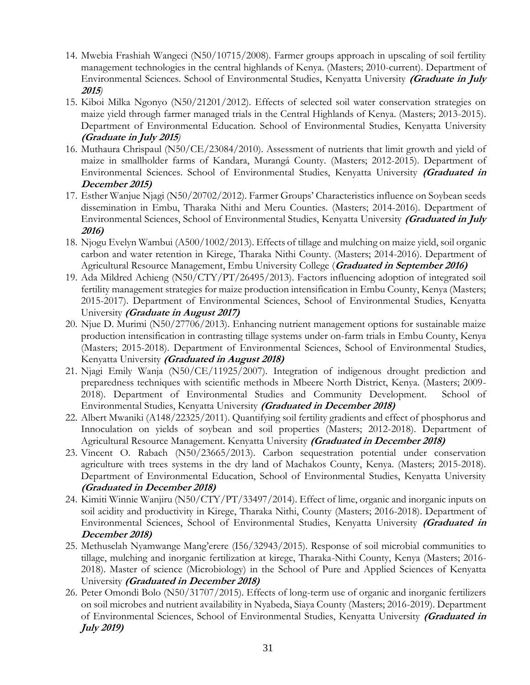- 14. Mwebia Frashiah Wangeci (N50/10715/2008). Farmer groups approach in upscaling of soil fertility management technologies in the central highlands of Kenya. (Masters; 2010-current). Department of Environmental Sciences. School of Environmental Studies, Kenyatta University **(Graduate in July <sup>2015</sup>***)*
- 15. Kiboi Milka Ngonyo (N50/21201/2012). Effects of selected soil water conservation strategies on maize yield through farmer managed trials in the Central Highlands of Kenya. (Masters; 2013-2015). Department of Environmental Education. School of Environmental Studies, Kenyatta University **(Graduate in July 2015***)*
- 16. Muthaura Chrispaul (N50/CE/23084/2010). Assessment of nutrients that limit growth and yield of maize in smallholder farms of Kandara, Murangá County. (Masters; 2012-2015). Department of Environmental Sciences. School of Environmental Studies, Kenyatta University **(Graduated in December 2015)**
- 17. Esther Wanjue Njagi (N50/20702/2012). Farmer Groups' Characteristics influence on Soybean seeds dissemination in Embu, Tharaka Nithi and Meru Counties. (Masters; 2014-2016). Department of Environmental Sciences, School of Environmental Studies, Kenyatta University **(Graduated in July 2016)**
- 18. Njogu Evelyn Wambui (A500/1002/2013). Effects of tillage and mulching on maize yield, soil organic carbon and water retention in Kirege, Tharaka Nithi County. (Masters; 2014-2016). Department of Agricultural Resource Management, Embu University College (**Graduated in September 2016)**
- 19. Ada Mildred Achieng (N50/CTY/PT/26495/2013). Factors influencing adoption of integrated soil fertility management strategies for maize production intensification in Embu County, Kenya (Masters; 2015-2017). Department of Environmental Sciences, School of Environmental Studies, Kenyatta University **(Graduate in August 2017)**
- 20. Njue D. Murimi (N50/27706/2013). Enhancing nutrient management options for sustainable maize production intensification in contrasting tillage systems under on-farm trials in Embu County, Kenya (Masters; 2015-2018). Department of Environmental Sciences, School of Environmental Studies, Kenyatta University **(Graduated in August 2018)**
- 21. Njagi Emily Wanja (N50/CE/11925/2007). Integration of indigenous drought prediction and preparedness techniques with scientific methods in Mbeere North District, Kenya. (Masters; 2009- 2018). Department of Environmental Studies and Community Development. School of Environmental Studies, Kenyatta University **(Graduated in December 2018)**
- 22. Albert Mwaniki (A148/22325/2011). Quantifying soil fertility gradients and effect of phosphorus and Innoculation on yields of soybean and soil properties (Masters; 2012-2018). Department of Agricultural Resource Management. Kenyatta University **(Graduated in December 2018)**
- 23. Vincent O. Rabach (N50/23665/2013). Carbon sequestration potential under conservation agriculture with trees systems in the dry land of Machakos County, Kenya. (Masters; 2015-2018). Department of Environmental Education, School of Environmental Studies, Kenyatta University **(Graduated in December 2018)**
- 24. Kimiti Winnie Wanjiru (N50/CTY/PT/33497/2014). Effect of lime, organic and inorganic inputs on soil acidity and productivity in Kirege, Tharaka Nithi, County (Masters; 2016-2018). Department of Environmental Sciences, School of Environmental Studies, Kenyatta University **(Graduated in December 2018)**
- 25. Methuselah Nyamwange Mang'erere (I56/32943/2015). Response of soil microbial communities to tillage, mulching and inorganic fertilization at kirege, Tharaka-Nithi County, Kenya (Masters; 2016- 2018). Master of science (Microbiology) in the School of Pure and Applied Sciences of Kenyatta University **(Graduated in December 2018)**
- 26. Peter Omondi Bolo (N50/31707/2015). Effects of long-term use of organic and inorganic fertilizers on soil microbes and nutrient availability in Nyabeda, Siaya County (Masters; 2016-2019). Department of Environmental Sciences, School of Environmental Studies, Kenyatta University **(Graduated in July 2019)**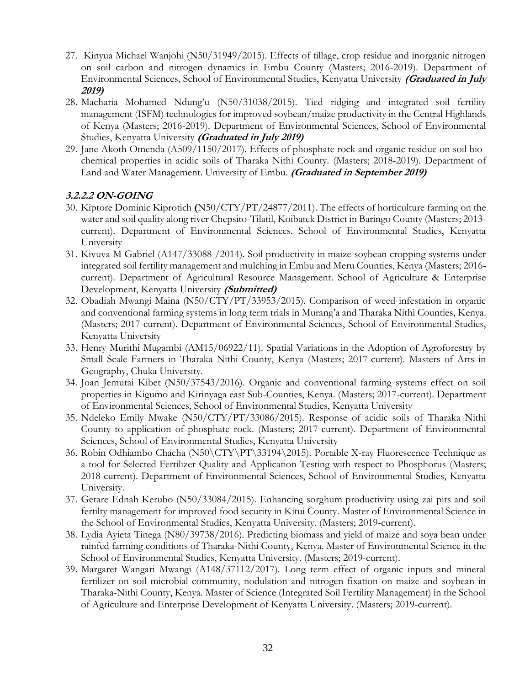- 27. Kinyua Michael Wanjohi (N50/31949/2015). Effects of tillage, crop residue and inorganic nitrogen on soil carbon and nitrogen dynamics in Embu County (Masters; 2016-2019). Department of Environmental Sciences, School of Environmental Studies, Kenyatta University **(Graduated in July 2019)**
- 28. Macharia Mohamed Ndung'u (N50/31038/2015). Tied ridging and integrated soil fertility management (ISFM) technologies for improved soybean/maize productivity in the Central Highlands of Kenya (Masters; 2016-2019). Department of Environmental Sciences, School of Environmental Studies, Kenyatta University **(Graduated in July 2019)**
- 29. Jane Akoth Omenda (A509/1150/2017). Effects of phosphate rock and organic residue on soil biochemical properties in acidic soils of Tharaka Nithi County. (Masters; 2018-2019). Department of Land and Water Management. University of Embu. **(Graduated in September 2019)**

## **3.2.2.2 ON-GOING**

- 30. Kiptore Dominic Kiprotich **(**N50/CTY/PT/24877/2011). The effects of horticulture farming on the water and soil quality along river Chepsito-Tilatil, Koibatek District in Baringo County (Masters; 2013 current). Department of Environmental Sciences. School of Environmental Studies, Kenyatta University
- 31. Kivuva M Gabriel (A147/33088 /2014). Soil productivity in maize soybean cropping systems under integrated soil fertility management and mulching in Embu and Meru Counties, Kenya (Masters; 2016 current). Department of Agricultural Resource Management. School of Agriculture & Enterprise Development, Kenyatta University **(Submitted)**
- 32. Obadiah Mwangi Maina (N50/CTY/PT/33953/2015). Comparison of weed infestation in organic and conventional farming systems in long term trials in Murang'a and Tharaka Nithi Counties, Kenya. (Masters; 2017-current). Department of Environmental Sciences, School of Environmental Studies, Kenyatta University
- 33. Henry Murithi Mugambi (AM15/06922/11). Spatial Variations in the Adoption of Agroforestry by Small Scale Farmers in Tharaka Nithi County, Kenya (Masters; 2017-current). Masters of Arts in Geography, Chuka University.
- 34. Joan Jemutai Kibet (N50/37543/2016). Organic and conventional farming systems effect on soil properties in Kigumo and Kirinyaga east Sub-Counties, Kenya. (Masters; 2017-current). Department of Environmental Sciences, School of Environmental Studies, Kenyatta University
- 35. Ndeleko Emily Mwake (N50/CTY/PT/33086/2015). Response of acidic soils of Tharaka Nithi County to application of phosphate rock. (Masters; 2017-current). Department of Environmental Sciences, School of Environmental Studies, Kenyatta University
- 36. Robin Odhiambo Chacha (N50\CTY\PT\33194\2015). Portable X-ray Fluorescence Technique as a tool for Selected Fertilizer Quality and Application Testing with respect to Phosphorus (Masters; 2018-current). Department of Environmental Sciences, School of Environmental Studies, Kenyatta University.
- 37. Getare Ednah Kerubo (N50/33084/2015). Enhancing sorghum productivity using zai pits and soil fertilty management for improved food security in Kitui County. Master of Environmental Science in the School of Environmental Studies, Kenyatta University. (Masters; 2019-current).
- 38. Lydia Ayieta Tinega (N80/39738/2016). Predicting biomass and yield of maize and soya bean under rainfed farming conditions of Tharaka-Nithi County, Kenya. Master of Environmental Science in the School of Environmental Studies, Kenyatta University. (Masters; 2019-current).
- 39. Margaret Wangari Mwangi (A148/37112/2017). Long term effect of organic inputs and mineral fertilizer on soil microbial community, nodulation and nitrogen fixation on maize and soybean in Tharaka-Nithi County, Kenya. Master of Science (Integrated Soil Fertility Management) in the School of Agriculture and Enterprise Development of Kenyatta University. (Masters; 2019-current).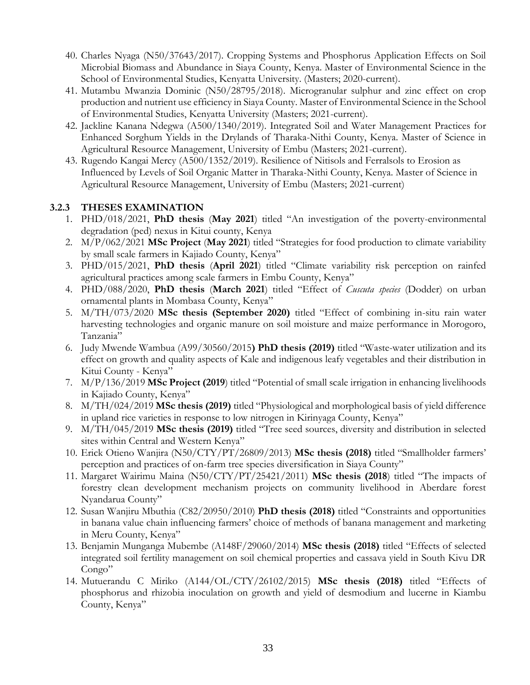- 40. Charles Nyaga (N50/37643/2017). Cropping Systems and Phosphorus Application Effects on Soil Microbial Biomass and Abundance in Siaya County, Kenya. Master of Environmental Science in the School of Environmental Studies, Kenyatta University. (Masters; 2020-current).
- 41. Mutambu Mwanzia Dominic (N50/28795/2018). Microgranular sulphur and zinc effect on crop production and nutrient use efficiency in Siaya County. Master of Environmental Science in the School of Environmental Studies, Kenyatta University (Masters; 2021-current).
- 42. Jackline Kanana Ndegwa (A500/1340/2019). Integrated Soil and Water Management Practices for Enhanced Sorghum Yields in the Drylands of Tharaka-Nithi County, Kenya. Master of Science in Agricultural Resource Management, University of Embu (Masters; 2021-current).
- 43. Rugendo Kangai Mercy (A500/1352/2019). Resilience of Nitisols and Ferralsols to Erosion as Influenced by Levels of Soil Organic Matter in Tharaka-Nithi County, Kenya. Master of Science in Agricultural Resource Management, University of Embu (Masters; 2021-current)

## **3.2.3 THESES EXAMINATION**

- 1. PHD/018/2021, **PhD thesis** (**May 2021**) titled "An investigation of the poverty-environmental degradation (ped) nexus in Kitui county, Kenya
- 2. M/P/062/2021 **MSc Project** (**May 2021**) titled "Strategies for food production to climate variability by small scale farmers in Kajiado County, Kenya"
- 3. PHD/015/2021, **PhD thesis** (**April 2021**) titled "Climate variability risk perception on rainfed agricultural practices among scale farmers in Embu County, Kenya"
- 4. PHD/088/2020, **PhD thesis** (**March 2021**) titled "Effect of *Cuscuta species* (Dodder) on urban ornamental plants in Mombasa County, Kenya"
- 5. M/TH/073/2020 **MSc thesis (September 2020)** titled "Effect of combining in-situ rain water harvesting technologies and organic manure on soil moisture and maize performance in Morogoro, Tanzania"
- 6. Judy Mwende Wambua (A99/30560/2015**) PhD thesis (2019)** titled "Waste-water utilization and its effect on growth and quality aspects of Kale and indigenous leafy vegetables and their distribution in Kitui County - Kenya"
- 7. M/P/136/2019 **MSc Project (2019**) titled "Potential of small scale irrigation in enhancing livelihoods in Kajiado County, Kenya"
- 8. M/TH/024/2019 **MSc thesis (2019)** titled "Physiological and morphological basis of yield difference in upland rice varieties in response to low nitrogen in Kirinyaga County, Kenya"
- 9. M/TH/045/2019 **MSc thesis (2019)** titled "Tree seed sources, diversity and distribution in selected sites within Central and Western Kenya"
- 10. Erick Otieno Wanjira (N50/CTY/PT/26809/2013) **MSc thesis (2018)** titled "Smallholder farmers' perception and practices of on-farm tree species diversification in Siaya County"
- 11. Margaret Wairimu Maina (N50/CTY/PT/25421/2011) **MSc thesis (2018**) titled "The impacts of forestry clean development mechanism projects on community livelihood in Aberdare forest Nyandarua County"
- 12. Susan Wanjiru Mbuthia (C82/20950/2010) **PhD thesis (2018)** titled "Constraints and opportunities in banana value chain influencing farmers' choice of methods of banana management and marketing in Meru County, Kenya"
- 13. Benjamin Munganga Mubembe (A148F/29060/2014) **MSc thesis (2018)** titled "Effects of selected integrated soil fertility management on soil chemical properties and cassava yield in South Kivu DR Congo"
- 14. Mutuerandu C Miriko (A144/OL/CTY/26102/2015) **MSc thesis (2018)** titled "Effects of phosphorus and rhizobia inoculation on growth and yield of desmodium and lucerne in Kiambu County, Kenya"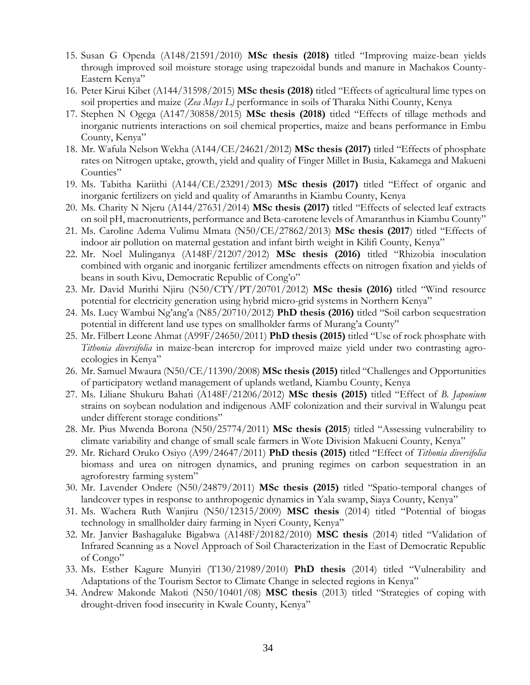- 15. Susan G Openda (A148/21591/2010) **MSc thesis (2018)** titled "Improving maize-bean yields through improved soil moisture storage using trapezoidal bunds and manure in Machakos County-Eastern Kenya"
- 16. Peter Kirui Kibet (A144/31598/2015) **MSc thesis (2018)** titled "Effects of agricultural lime types on soil properties and maize (*Zea Mays L)* performance in soils of Tharaka Nithi County, Kenya
- 17. Stephen N Ogega (A147/30858/2015) **MSc thesis (2018)** titled "Effects of tillage methods and inorganic nutrients interactions on soil chemical properties, maize and beans performance in Embu County, Kenya"
- 18. Mr. Wafula Nelson Wekha (A144/CE/24621/2012) **MSc thesis (2017)** titled "Effects of phosphate rates on Nitrogen uptake, growth, yield and quality of Finger Millet in Busia, Kakamega and Makueni Counties"
- 19. Ms. Tabitha Kariithi (A144/CE/23291/2013) **MSc thesis (2017)** titled "Effect of organic and inorganic fertilizers on yield and quality of Amaranths in Kiambu County, Kenya
- 20. Ms. Charity N Njeru (A144/27631/2014) **MSc thesis (2017)** titled "Effects of selected leaf extracts on soil pH, macronutrients, performance and Beta-carotene levels of Amaranthus in Kiambu County"
- 21. Ms. Caroline Adema Vulimu Mmata (N50/CE/27862/2013) **MSc thesis (2017**) titled "Effects of indoor air pollution on maternal gestation and infant birth weight in Kilifi County, Kenya"
- 22. Mr. Noel Mulinganya (A148F/21207/2012) **MSc thesis (2016)** titled "Rhizobia inoculation combined with organic and inorganic fertilizer amendments effects on nitrogen fixation and yields of beans in south Kivu, Democratic Republic of Cong'o"
- 23. Mr. David Murithi Njiru (N50/CTY/PT/20701/2012) **MSc thesis (2016)** titled "Wind resource potential for electricity generation using hybrid micro-grid systems in Northern Kenya"
- 24. Ms. Lucy Wambui Ng'ang'a (N85/20710/2012) **PhD thesis (2016)** titled "Soil carbon sequestration potential in different land use types on smallholder farms of Murang'a County"
- 25. Mr. Filbert Leone Ahmat (A99F/24650/2011) **PhD thesis (2015)** titled "Use of rock phosphate with *Tithonia diversifolia* in maize-bean intercrop for improved maize yield under two contrasting agroecologies in Kenya"
- 26. Mr. Samuel Mwaura (N50/CE/11390/2008) **MSc thesis (2015)** titled "Challenges and Opportunities of participatory wetland management of uplands wetland, Kiambu County, Kenya
- 27. Ms. Liliane Shukuru Bahati (A148F/21206/2012) **MSc thesis (2015)** titled "Effect of *B. Japonium* strains on soybean nodulation and indigenous AMF colonization and their survival in Walungu peat under different storage conditions"
- 28. Mr. Pius Mwenda Borona (N50/25774/2011) **MSc thesis (2015**) titled "Assessing vulnerability to climate variability and change of small scale farmers in Wote Division Makueni County, Kenya"
- 29. Mr. Richard Oruko Osiyo (A99/24647/2011) **PhD thesis (2015)** titled "Effect of *Tithonia diversifolia* biomass and urea on nitrogen dynamics, and pruning regimes on carbon sequestration in an agroforestry farming system"
- 30. Mr. Lavender Ondere (N50/24879/2011) **MSc thesis (2015)** titled "Spatio-temporal changes of landcover types in response to anthropogenic dynamics in Yala swamp, Siaya County, Kenya"
- 31. Ms. Wachera Ruth Wanjiru (N50/12315/2009) **MSC thesis** (2014) titled "Potential of biogas technology in smallholder dairy farming in Nyeri County, Kenya"
- 32. Mr. Janvier Bashagaluke Bigabwa (A148F/20182/2010) **MSC thesis** (2014) titled "Validation of Infrared Scanning as a Novel Approach of Soil Characterization in the East of Democratic Republic of Congo"
- 33. Ms. Esther Kagure Munyiri (T130/21989/2010) **PhD thesis** (2014) titled "Vulnerability and Adaptations of the Tourism Sector to Climate Change in selected regions in Kenya"
- 34. Andrew Makonde Makoti (N50/10401/08) **MSC thesis** (2013) titled "Strategies of coping with drought-driven food insecurity in Kwale County, Kenya"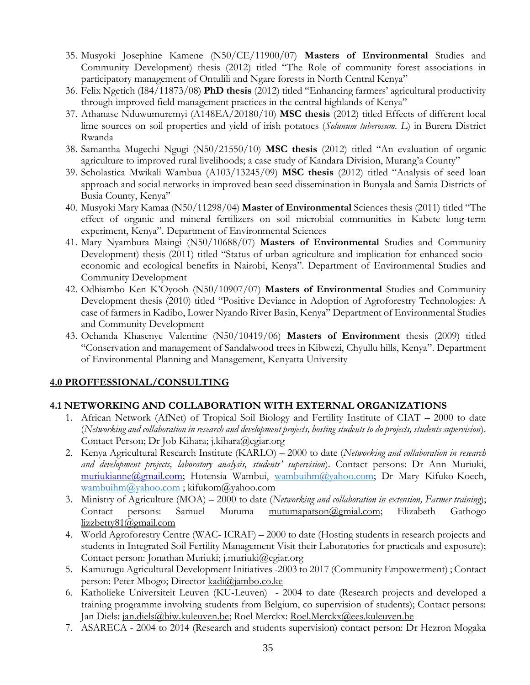- 35. Musyoki Josephine Kamene (N50/CE/11900/07) **Masters of Environmental** Studies and Community Development) thesis (2012) titled "The Role of community forest associations in participatory management of Ontulili and Ngare forests in North Central Kenya"
- 36. Felix Ngetich (I84/11873/08) **PhD thesis** (2012) titled "Enhancing farmers' agricultural productivity through improved field management practices in the central highlands of Kenya"
- 37. Athanase Nduwumuremyi (A148EA/20180/10) **MSC thesis** (2012) titled Effects of different local lime sources on soil properties and yield of irish potatoes (*Solunum tuberosum. L*) in Burera District Rwanda
- 38. Samantha Mugechi Ngugi (N50/21550/10) **MSC thesis** (2012) titled "An evaluation of organic agriculture to improved rural livelihoods; a case study of Kandara Division, Murang'a County"
- 39. Scholastica Mwikali Wambua (A103/13245/09) **MSC thesis** (2012) titled "Analysis of seed loan approach and social networks in improved bean seed dissemination in Bunyala and Samia Districts of Busia County, Kenya"
- 40. Musyoki Mary Kamaa (N50/11298/04) **Master of Environmental** Sciences thesis (2011) titled "The effect of organic and mineral fertilizers on soil microbial communities in Kabete long-term experiment, Kenya". Department of Environmental Sciences
- 41. Mary Nyambura Maingi (N50/10688/07) **Masters of Environmental** Studies and Community Development) thesis (2011) titled "Status of urban agriculture and implication for enhanced socioeconomic and ecological benefits in Nairobi, Kenya". Department of Environmental Studies and Community Development
- 42. Odhiambo Ken K'Oyooh (N50/10907/07) **Masters of Environmental** Studies and Community Development thesis (2010) titled "Positive Deviance in Adoption of Agroforestry Technologies: A case of farmers in Kadibo, Lower Nyando River Basin, Kenya" Department of Environmental Studies and Community Development
- 43. Ochanda Khasenye Valentine (N50/10419/06) **Masters of Environment** thesis (2009) titled "Conservation and management of Sandalwood trees in Kibwezi, Chyullu hills, Kenya". Department of Environmental Planning and Management, Kenyatta University

## **4.0 PROFFESSIONAL/CONSULTING**

## **4.1 NETWORKING AND COLLABORATION WITH EXTERNAL ORGANIZATIONS**

- 1. African Network (AfNet) of Tropical Soil Biology and Fertility Institute of CIAT 2000 to date (*Networking and collaboration in research and development projects, hosting students to do projects, students supervision*). Contact Person; Dr Job Kihara; j.kihara@cgiar.org
- 2. Kenya Agricultural Research Institute (KARLO) 2000 to date (*Networking and collaboration in research and development projects, laboratory analysis, students' supervision*). Contact persons: Dr Ann Muriuki, [muriukianne@gmail.com;](mailto:muriukianne@gmail.com) Hotensia Wambui, [wambuihm@yahoo.com;](mailto:wambuihm@yahoo.com) Dr Mary Kifuko-Koech, wambuihm@yahoo.com ; kifukom@yahoo.com
- 3. Ministry of Agriculture (MOA) 2000 to date (*Networking and collaboration in extension, Farmer training*); Contact persons: Samuel Mutuma [mutumapatson@gmial.com;](mailto:mutumapatson@gmial.com) Elizabeth Gathogo [lizzbetty81@gmail.com](mailto:lizzbetty81@gmail.com)
- 4. World Agroforestry Centre (WAC- ICRAF) 2000 to date (Hosting students in research projects and students in Integrated Soil Fertility Management Visit their Laboratories for practicals and exposure); Contact person: Jonathan Muriuki; j.muriuki@cgiar.org
- 5. Kamurugu Agricultural Development Initiatives -2003 to 2017 (Community Empowerment) ; Contact person: Peter Mbogo; Director [kadi@jambo.co.ke](mailto:kadi@jambo.co.ke)
- 6. Katholieke Universiteit Leuven (KU-Leuven) 2004 to date (Research projects and developed a training programme involving students from Belgium, co supervision of students); Contact persons: Jan Diels: [jan.diels@biw.kuleuven.be;](mailto:jan.diels@biw.kuleuven.be) Roel Merckx: [Roel.Merckx@ees.kuleuven.be](mailto:Roel.Merckx@ees.kuleuven.be)
- 7. ASARECA 2004 to 2014 (Research and students supervision) contact person: Dr Hezron Mogaka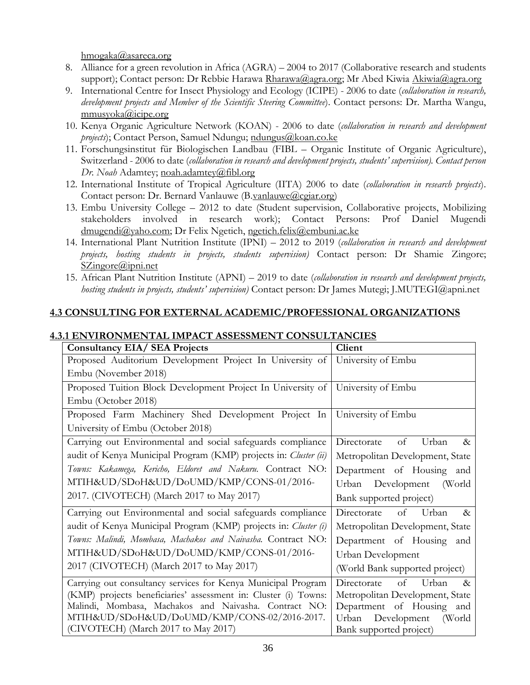[hmogaka@asareca.org](mailto:hmogaka@asareca.org)

- 8. Alliance for a green revolution in Africa (AGRA) 2004 to 2017 (Collaborative research and students support); Contact person: Dr Rebbie Harawa [Rharawa@agra.org;](mailto:Rharawa@agra.org) Mr Abed Kiwia [Akiwia@agra.org](mailto:Akiwia@agra.org)
- 9. International Centre for Insect Physiology and Ecology (ICIPE) 2006 to date (*collaboration in research, development projects and Member of the Scientific Steering Committee*). Contact persons: Dr. Martha Wangu, [mmusyoka@icipe.org](mailto:mmusyoka@icipe.org)
- 10. Kenya Organic Agriculture Network (KOAN) 2006 to date (*collaboration in research and development*  projects); Contact Person, Samuel Ndungu; [ndungus@koan.co.ke](mailto:ndungus@koan.co.ke)
- 11. Forschungsinstitut für Biologischen Landbau (FIBL Organic Institute of Organic Agriculture), Switzerland - 2006 to date (*collaboration in research and development projects, students' supervision). Contact person Dr. Noah* Adamtey; [noah.adamtey@fibl.org](mailto:noah.adamtey@fibl.org)
- 12. International Institute of Tropical Agriculture (IITA) 2006 to date (*collaboration in research projects*). Contact person: Dr. Bernard Vanlauwe (B[.vanlauwe@cgiar.org\)](mailto:vanlauwe@cgiar.org)
- 13. Embu University College 2012 to date (Student supervision, Collaborative projects, Mobilizing stakeholders involved in research work); Contact Persons: Prof Daniel Mugendi [dmugendi@yaho.com;](mailto:dmugendi@yaho.com) Dr Felix Ngetich, [ngetich.felix@embuni.ac.ke](mailto:ngetich.felix@embuni.ac.ke)
- 14. International Plant Nutrition Institute (IPNI) 2012 to 2019 (*collaboration in research and development projects, hosting students in projects, students supervision)* Contact person: Dr Shamie Zingore; [SZingore@ipni.net](mailto:SZingore@ipni.net)
- 15. African Plant Nutrition Institute (APNI) 2019 to date (*collaboration in research and development projects, hosting students in projects, students' supervision)* Contact person: Dr James Mutegi; J.MUTEGI@apni.net

## **4.3 CONSULTING FOR EXTERNAL ACADEMIC/PROFESSIONAL ORGANIZATIONS**

| <b>Consultancy EIA/ SEA Projects</b>                                             | Client                             |
|----------------------------------------------------------------------------------|------------------------------------|
| Proposed Auditorium Development Project In University of University of Embu      |                                    |
| Embu (November 2018)                                                             |                                    |
| Proposed Tuition Block Development Project In University of   University of Embu |                                    |
| Embu (October 2018)                                                              |                                    |
| Proposed Farm Machinery Shed Development Project In                              | University of Embu                 |
| University of Embu (October 2018)                                                |                                    |
| Carrying out Environmental and social safeguards compliance                      | Urban<br>Directorate<br>of<br>$\&$ |
| audit of Kenya Municipal Program (KMP) projects in: Cluster (ii)                 | Metropolitan Development, State    |
| Towns: Kakamega, Kericho, Eldoret and Nakuru. Contract NO:                       | Department of Housing and          |
| MTIH&UD/SDoH&UD/DoUMD/KMP/CONS-01/2016-                                          | Urban Development<br>(World        |
| 2017. (CIVOTECH) (March 2017 to May 2017)                                        | Bank supported project)            |
| Carrying out Environmental and social safeguards compliance                      | Directorate<br>of<br>Urban<br>$\&$ |
| audit of Kenya Municipal Program (KMP) projects in: Cluster (i)                  | Metropolitan Development, State    |
| Towns: Malindi, Mombasa, Machakos and Naivasha. Contract NO:                     | Department of Housing and          |
| MTIH&UD/SDoH&UD/DoUMD/KMP/CONS-01/2016-                                          | Urban Development                  |
| 2017 (CIVOTECH) (March 2017 to May 2017)                                         | (World Bank supported project)     |
| Carrying out consultancy services for Kenya Municipal Program                    | Urban<br>Directorate<br>of<br>&    |
| (KMP) projects beneficiaries' assessment in: Cluster (i) Towns:                  | Metropolitan Development, State    |
| Malindi, Mombasa, Machakos and Naivasha. Contract NO:                            | Department of Housing and          |
| MTIH&UD/SDoH&UD/DoUMD/KMP/CONS-02/2016-2017.                                     | Urban<br>Development<br>(World     |
| (CIVOTECH) (March 2017 to May 2017)                                              | Bank supported project)            |

#### **4.3.1 ENVIRONMENTAL IMPACT ASSESSMENT CONSULTANCIES**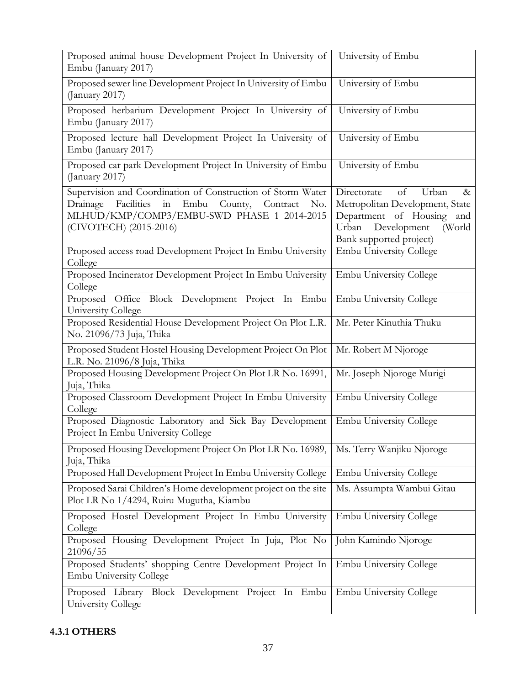| Proposed animal house Development Project In University of<br>Embu (January 2017)                                                                                                                         | University of Embu                                                                                                                                           |
|-----------------------------------------------------------------------------------------------------------------------------------------------------------------------------------------------------------|--------------------------------------------------------------------------------------------------------------------------------------------------------------|
| Proposed sewer line Development Project In University of Embu<br>(January 2017)                                                                                                                           | University of Embu                                                                                                                                           |
| Proposed herbarium Development Project In University of<br>Embu (January 2017)                                                                                                                            | University of Embu                                                                                                                                           |
| Proposed lecture hall Development Project In University of<br>Embu (January 2017)                                                                                                                         | University of Embu                                                                                                                                           |
| Proposed car park Development Project In University of Embu<br>(January 2017)                                                                                                                             | University of Embu                                                                                                                                           |
| Supervision and Coordination of Construction of Storm Water<br>Facilities<br>in<br>Embu<br>County,<br>Drainage<br>Contract<br>No.<br>MLHUD/KMP/COMP3/EMBU-SWD PHASE 1 2014-2015<br>(CIVOTECH) (2015-2016) | Directorate<br>of<br>Urban<br>$\&$<br>Metropolitan Development, State<br>Department of Housing and<br>Urban Development<br>(World<br>Bank supported project) |
| Proposed access road Development Project In Embu University<br>College                                                                                                                                    | <b>Embu University College</b>                                                                                                                               |
| Proposed Incinerator Development Project In Embu University<br>College                                                                                                                                    | <b>Embu University College</b>                                                                                                                               |
| Proposed Office Block Development Project In Embu<br>University College                                                                                                                                   | <b>Embu University College</b>                                                                                                                               |
| Proposed Residential House Development Project On Plot L.R.<br>No. 21096/73 Juja, Thika                                                                                                                   | Mr. Peter Kinuthia Thuku                                                                                                                                     |
| Proposed Student Hostel Housing Development Project On Plot<br>L.R. No. 21096/8 Juja, Thika                                                                                                               | Mr. Robert M Njoroge                                                                                                                                         |
| Proposed Housing Development Project On Plot LR No. 16991,<br>Juja, Thika                                                                                                                                 | Mr. Joseph Njoroge Murigi                                                                                                                                    |
| Proposed Classroom Development Project In Embu University<br>College                                                                                                                                      | <b>Embu University College</b>                                                                                                                               |
| Proposed Diagnostic Laboratory and Sick Bay Development<br>Project In Embu University College                                                                                                             | Embu University College                                                                                                                                      |
| Proposed Housing Development Project On Plot LR No. 16989,<br>Juja, Thika                                                                                                                                 | Ms. Terry Wanjiku Njoroge                                                                                                                                    |
| Proposed Hall Development Project In Embu University College                                                                                                                                              | <b>Embu University College</b>                                                                                                                               |
| Proposed Sarai Children's Home development project on the site<br>Plot LR No 1/4294, Ruiru Mugutha, Kiambu                                                                                                | Ms. Assumpta Wambui Gitau                                                                                                                                    |
| Proposed Hostel Development Project In Embu University<br>College                                                                                                                                         | <b>Embu University College</b>                                                                                                                               |
| Proposed Housing Development Project In Juja, Plot No<br>21096/55                                                                                                                                         | John Kamindo Njoroge                                                                                                                                         |
| Proposed Students' shopping Centre Development Project In<br><b>Embu University College</b>                                                                                                               | <b>Embu University College</b>                                                                                                                               |
| Proposed Library Block Development Project In Embu<br>University College                                                                                                                                  | <b>Embu University College</b>                                                                                                                               |

# **4.3.1 OTHERS**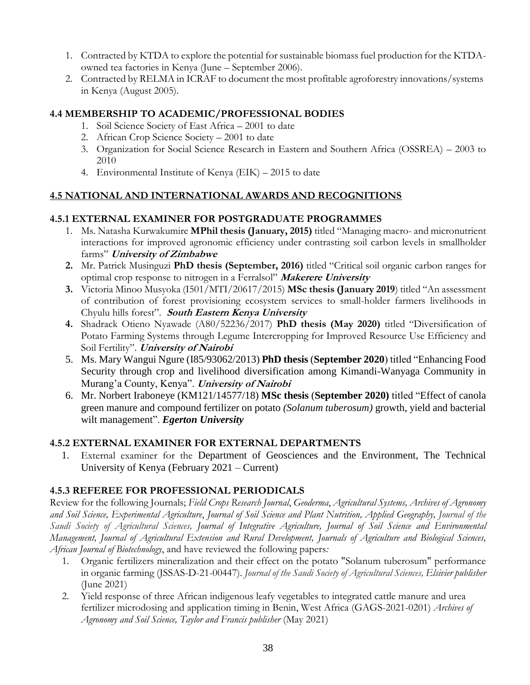- 1. Contracted by KTDA to explore the potential for sustainable biomass fuel production for the KTDAowned tea factories in Kenya (June – September 2006).
- 2. Contracted by RELMA in ICRAF to document the most profitable agroforestry innovations/systems in Kenya (August 2005).

## **4.4 MEMBERSHIP TO ACADEMIC/PROFESSIONAL BODIES**

- 1. Soil Science Society of East Africa 2001 to date
- 2. African Crop Science Society 2001 to date
- 3. Organization for Social Science Research in Eastern and Southern Africa (OSSREA) 2003 to 2010
- 4. Environmental Institute of Kenya (EIK) 2015 to date

## **4.5 NATIONAL AND INTERNATIONAL AWARDS AND RECOGNITIONS**

## **4.5.1 EXTERNAL EXAMINER FOR POSTGRADUATE PROGRAMMES**

- 1. Ms. Natasha Kurwakumire **MPhil thesis (January, 2015)** titled "Managing macro- and micronutrient interactions for improved agronomic efficiency under contrasting soil carbon levels in smallholder farms" **University of Zimbabwe**
- **2.** Mr. Patrick Musinguzi **PhD thesis (September, 2016)** titled "Critical soil organic carbon ranges for optimal crop response to nitrogen in a Ferralsol" **Makerere University**
- **3.** Victoria Minoo Musyoka (I501/MTI/20617/2015) **MSc thesis (January 2019**) titled "An assessment of contribution of forest provisioning ecosystem services to small-holder farmers livelihoods in Chyulu hills forest". **South Eastern Kenya University**
- **4.** Shadrack Otieno Nyawade (A80/52236/2017) **PhD thesis (May 2020)** titled "Diversification of Potato Farming Systems through Legume Intercropping for Improved Resource Use Efficiency and Soil Fertility". **University of Nairobi**
- 5. Ms. Mary Wangui Ngure (I85/93062/2013) **PhD thesis** (**September 2020**) titled "Enhancing Food Security through crop and livelihood diversification among Kimandi-Wanyaga Community in Murang'a County, Kenya". **University of Nairobi**
- 6. Mr. Norbert Iraboneye (KM121/14577/18) **MSc thesis** (**September 2020)** titled "Effect of canola green manure and compound fertilizer on potato *(Solanum tuberosum)* growth, yield and bacterial wilt management". *Egerton University*

## **4.5.2 EXTERNAL EXAMINER FOR EXTERNAL DEPARTMENTS**

1. External examiner for the Department of Geosciences and the Environment, The Technical University of Kenya (February 2021 – Current)

## **4.5.3 REFEREE FOR PROFESSIONAL PERIODICALS**

Review for the following Journals; *Field Crops Research Journal*, *Geoderma*, *Agricultural Systems, Archives of Agronomy and Soil Science, Experimental Agriculture*, *Journal of Soil Science and Plant Nutrition, Applied Geography, Journal of the Saudi Society of Agricultural Sciences, Journal of Integrative Agriculture, Journal of Soil Science and Environmental Management, Journal of Agricultural Extension and Rural Development, Journals of Agriculture and Biological Sciences, African Journal of Biotechnology*, and have reviewed the following papers*:*

- 1. Organic fertilizers mineralization and their effect on the potato "Solanum tuberosum" performance in organic farming (JSSAS-D-21-00447). *Journal of the Saudi Society of Agricultural Sciences, Elsivier publisher* (June 2021)
- 2. Yield response of three African indigenous leafy vegetables to integrated cattle manure and urea fertilizer microdosing and application timing in Benin, West Africa (GAGS-2021-0201) *Archives of Agronomy and Soil Science, Taylor and Francis publisher* (May 2021)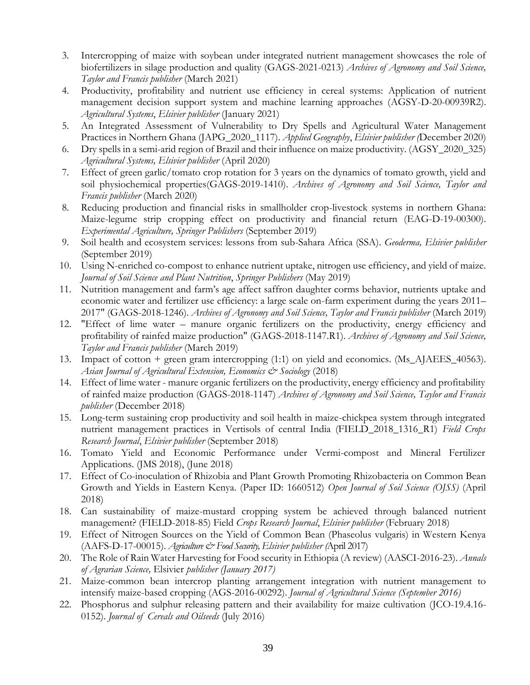- 3. Intercropping of maize with soybean under integrated nutrient management showcases the role of biofertilizers in silage production and quality (GAGS-2021-0213) *Archives of Agronomy and Soil Science, Taylor and Francis publisher* (March 2021)
- 4. Productivity, profitability and nutrient use efficiency in cereal systems: Application of nutrient management decision support system and machine learning approaches (AGSY-D-20-00939R2). *Agricultural Systems*, *Elsivier publisher* (January 2021)
- 5. An Integrated Assessment of Vulnerability to Dry Spells and Agricultural Water Management Practices in Northern Ghana (JAPG\_2020\_1117). *Applied Geography*, *Elsivier publisher (*December 2020)
- 6. Dry spells in a semi-arid region of Brazil and their influence on maize productivity. (AGSY\_2020\_325) *Agricultural Systems, Elsivier publisher* (April 2020)
- 7. Effect of green garlic/tomato crop rotation for 3 years on the dynamics of tomato growth, yield and soil physiochemical properties(GAGS-2019-1410). *Archives of Agronomy and Soil Science, Taylor and Francis publisher* (March 2020)
- 8. Reducing production and financial risks in smallholder crop-livestock systems in northern Ghana: Maize-legume strip cropping effect on productivity and financial return (EAG-D-19-00300). *Experimental Agriculture, Springer Publishers* (September 2019)
- 9. Soil health and ecosystem services: lessons from sub-Sahara Africa (SSA). *Geoderma, Elsivier publisher* (September 2019)
- 10. Using N-enriched co-compost to enhance nutrient uptake, nitrogen use efficiency, and yield of maize. *Journal of Soil Science and Plant Nutrition*, *Springer Publishers* (May 2019)
- 11. Nutrition management and farm's age affect saffron daughter corms behavior, nutrients uptake and economic water and fertilizer use efficiency: a large scale on-farm experiment during the years 2011– 2017" (GAGS-2018-1246). *Archives of Agronomy and Soil Science, Taylor and Francis publisher* (March 2019)
- 12. "Effect of lime water manure organic fertilizers on the productivity, energy efficiency and profitability of rainfed maize production" (GAGS-2018-1147.R1). *Archives of Agronomy and Soil Science, Taylor and Francis publisher* (March 2019)
- 13. Impact of cotton + green gram intercropping (1:1) on yield and economics. (Ms\_AJAEES\_40563). *[Asian Journal of Agricultural Extension, Economics & Sociology](http://sciencedomain.org/journal/25)* (2018)
- 14. Effect of lime water manure organic fertilizers on the productivity, energy efficiency and profitability of rainfed maize production (GAGS-2018-1147) *Archives of Agronomy and Soil Science, Taylor and Francis publisher* (December 2018)
- 15. Long-term sustaining crop productivity and soil health in maize-chickpea system through integrated nutrient management practices in Vertisols of central India (FIELD\_2018\_1316\_R1) *Field Crops Research Journal*, *Elsivier publisher* (September 2018)
- 16. Tomato Yield and Economic Performance under Vermi-compost and Mineral Fertilizer Applications. (JMS 2018), (June 2018)
- 17. Effect of Co-inoculation of Rhizobia and Plant Growth Promoting Rhizobacteria on Common Bean Growth and Yields in Eastern Kenya. (Paper ID: 1660512) *Open Journal of Soil Science (OJSS)* (April 2018)
- 18. Can sustainability of maize-mustard cropping system be achieved through balanced nutrient management? (FIELD-2018-85) Field *Crops Research Journal*, *Elsivier publisher* (February 2018)
- 19. Effect of Nitrogen Sources on the Yield of Common Bean (Phaseolus vulgaris) in Western Kenya (AAFS-D-17-00015). *Agriculture & Food Security, Elsivier publisher (*April 2017)
- 20. The Role of Rain Water Harvesting for Food security in Ethiopia (A review) (AASCI-2016-23). *Annals of Agrarian Science,* Elsivier *publisher (January 2017)*
- 21. Maize-common bean intercrop planting arrangement integration with nutrient management to intensify maize-based cropping (AGS-2016-00292). *Journal of Agricultural Science (September 2016)*
- 22. Phosphorus and sulphur releasing pattern and their availability for maize cultivation (JCO-19.4.16- 0152). *Journal of Cereals and Oilseeds* (July 2016)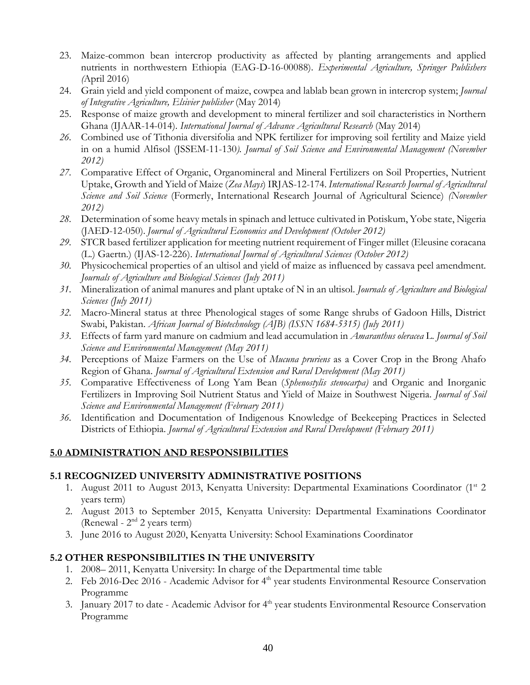- 23. Maize-common bean intercrop productivity as affected by planting arrangements and applied nutrients in northwestern Ethiopia (EAG-D-16-00088). *Experimental Agriculture, Springer Publishers (*April 2016)
- 24. Grain yield and yield component of maize, cowpea and lablab bean grown in intercrop system; *Journal of Integrative Agriculture, Elsivier publisher* (May 2014)
- 25. Response of maize growth and development to mineral fertilizer and soil characteristics in Northern Ghana (IJAAR-14-014). *International Journal of Advance Agricultural Research* (May 2014)
- *26.* Combined use of Tithonia diversifolia and NPK fertilizer for improving soil fertility and Maize yield in on a humid Alfisol (JSSEM-11-130*). Journal of Soil Science and Environmental Management (November 2012)*
- *27.* Comparative Effect of Organic, Organomineral and Mineral Fertilizers on Soil Properties, Nutrient Uptake, Growth and Yield of Maize (*Zea Mays*) IRJAS-12-174. *International Research Journal of Agricultural Science and Soil Science* (Formerly, International Research Journal of Agricultural Science) *(November 2012)*
- *28.* Determination of some heavy metals in spinach and lettuce cultivated in Potiskum, Yobe state, Nigeria (JAED-12-050). *Journal of Agricultural Economics and Development (October 2012)*
- *29.* STCR based fertilizer application for meeting nutrient requirement of Finger millet (Eleusine coracana (L.) Gaertn.) (IJAS-12-226). *International Journal of Agricultural Sciences (October 2012)*
- *30.* Physicochemical properties of an ultisol and yield of maize as influenced by cassava peel amendment. *Journals of Agriculture and Biological Sciences (July 2011)*
- *31.* Mineralization of animal manures and plant uptake of N in an ultisol. *Journals of Agriculture and Biological Sciences (July 2011)*
- *32.* Macro-Mineral status at three Phenological stages of some Range shrubs of Gadoon Hills, District Swabi, Pakistan. *African Journal of Biotechnology (AJB) (ISSN 1684-5315) (July 2011)*
- *33.* Effects of farm yard manure on cadmium and lead accumulation in *Amaranthus oleracea* L. *Journal of Soil Science and Environmental Management (May 2011)*
- *34.* Perceptions of Maize Farmers on the Use of *Mucuna pruriens* as a Cover Crop in the Brong Ahafo Region of Ghana. *Journal of Agricultural Extension and Rural Development (May 2011)*
- *35.* Comparative Effectiveness of Long Yam Bean (*Sphenostylis stenocarpa)* and Organic and Inorganic Fertilizers in Improving Soil Nutrient Status and Yield of Maize in Southwest Nigeria. *Journal of Soil Science and Environmental Management (February 2011)*
- *36.* Identification and Documentation of Indigenous Knowledge of Beekeeping Practices in Selected Districts of Ethiopia. *Journal of Agricultural Extension and Rural Development (February 2011)*

## **5.0 ADMINISTRATION AND RESPONSIBILITIES**

## **5.1 RECOGNIZED UNIVERSITY ADMINISTRATIVE POSITIONS**

- 1. August 2011 to August 2013, Kenyatta University: Departmental Examinations Coordinator (1st 2) years term)
- 2. August 2013 to September 2015, Kenyatta University: Departmental Examinations Coordinator (Renewal -  $2<sup>nd</sup>$  2 years term)
- 3. June 2016 to August 2020, Kenyatta University: School Examinations Coordinator

## **5.2 OTHER RESPONSIBILITIES IN THE UNIVERSITY**

- 1. 2008– 2011, Kenyatta University: In charge of the Departmental time table
- 2. Feb 2016-Dec 2016 Academic Advisor for 4<sup>th</sup> year students Environmental Resource Conservation Programme
- 3. January 2017 to date Academic Advisor for 4<sup>th</sup> year students Environmental Resource Conservation Programme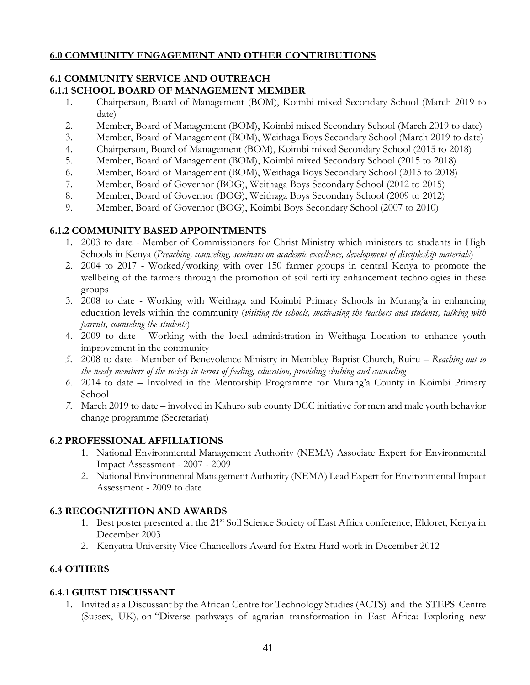## **6.0 COMMUNITY ENGAGEMENT AND OTHER CONTRIBUTIONS**

#### **6.1 COMMUNITY SERVICE AND OUTREACH 6.1.1 SCHOOL BOARD OF MANAGEMENT MEMBER**

- 1. Chairperson, Board of Management (BOM), Koimbi mixed Secondary School (March 2019 to date)
- 2. Member, Board of Management (BOM), Koimbi mixed Secondary School (March 2019 to date)
- 3. Member, Board of Management (BOM), Weithaga Boys Secondary School (March 2019 to date)
- 4. Chairperson, Board of Management (BOM), Koimbi mixed Secondary School (2015 to 2018)
- 5. Member, Board of Management (BOM), Koimbi mixed Secondary School (2015 to 2018)
- 6. Member, Board of Management (BOM), Weithaga Boys Secondary School (2015 to 2018)
- 7. Member, Board of Governor (BOG), Weithaga Boys Secondary School (2012 to 2015)
- 8. Member, Board of Governor (BOG), Weithaga Boys Secondary School (2009 to 2012)
- 9. Member, Board of Governor (BOG), Koimbi Boys Secondary School (2007 to 2010)

## **6.1.2 COMMUNITY BASED APPOINTMENTS**

- 1. 2003 to date Member of Commissioners for Christ Ministry which ministers to students in High Schools in Kenya (*Preaching, counseling, seminars on academic excellence, development of discipleship materials*)
- 2. 2004 to 2017 Worked/working with over 150 farmer groups in central Kenya to promote the wellbeing of the farmers through the promotion of soil fertility enhancement technologies in these groups
- 3. 2008 to date Working with Weithaga and Koimbi Primary Schools in Murang'a in enhancing education levels within the community (*visiting the schools, motivating the teachers and students, talking with parents, counseling the students*)
- 4. 2009 to date Working with the local administration in Weithaga Location to enhance youth improvement in the community
- *5.* 2008 to date Member of Benevolence Ministry in Membley Baptist Church, Ruiru *Reaching out to the needy members of the society in terms of feeding, education, providing clothing and counseling*
- *6.* 2014 to date *–* Involved in the Mentorship Programme for Murang'a County in Koimbi Primary School
- *7.* March 2019 to date involved in Kahuro sub county DCC initiative for men and male youth behavior change programme (Secretariat)

## **6.2 PROFESSIONAL AFFILIATIONS**

- 1. National Environmental Management Authority (NEMA) Associate Expert for Environmental Impact Assessment - 2007 - 2009
- 2. National Environmental Management Authority (NEMA) Lead Expert for Environmental Impact Assessment - 2009 to date

# **6.3 RECOGNIZITION AND AWARDS**

- 1. Best poster presented at the 21<sup>st</sup> Soil Science Society of East Africa conference, Eldoret, Kenya in December 2003
- 2. Kenyatta University Vice Chancellors Award for Extra Hard work in December 2012

# **6.4 OTHERS**

## **6.4.1 GUEST DISCUSSANT**

1. Invited as a Discussant by the African Centre for Technology Studies (ACTS) and the STEPS Centre (Sussex, UK), on "Diverse pathways of agrarian transformation in East Africa: Exploring new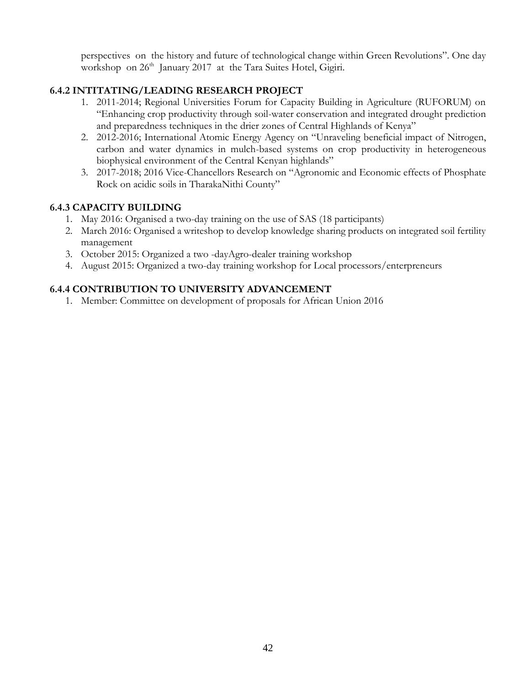perspectives on the history and future of technological change within Green Revolutions". One day workshop on 26<sup>th</sup> January 2017 at the Tara Suites Hotel, Gigiri.

## **6.4.2 INTITATING/LEADING RESEARCH PROJECT**

- 1. 2011-2014; Regional Universities Forum for Capacity Building in Agriculture (RUFORUM) on "Enhancing crop productivity through soil-water conservation and integrated drought prediction and preparedness techniques in the drier zones of Central Highlands of Kenya"
- 2. 2012-2016; International Atomic Energy Agency on "Unraveling beneficial impact of Nitrogen, carbon and water dynamics in mulch-based systems on crop productivity in heterogeneous biophysical environment of the Central Kenyan highlands"
- 3. 2017-2018; 2016 Vice-Chancellors Research on "Agronomic and Economic effects of Phosphate Rock on acidic soils in TharakaNithi County"

## **6.4.3 CAPACITY BUILDING**

- 1. May 2016: Organised a two-day training on the use of SAS (18 participants)
- 2. March 2016: Organised a writeshop to develop knowledge sharing products on integrated soil fertility management
- 3. October 2015: Organized a two -dayAgro-dealer training workshop
- 4. August 2015: Organized a two-day training workshop for Local processors/enterpreneurs

## **6.4.4 CONTRIBUTION TO UNIVERSITY ADVANCEMENT**

1. Member: Committee on development of proposals for African Union 2016